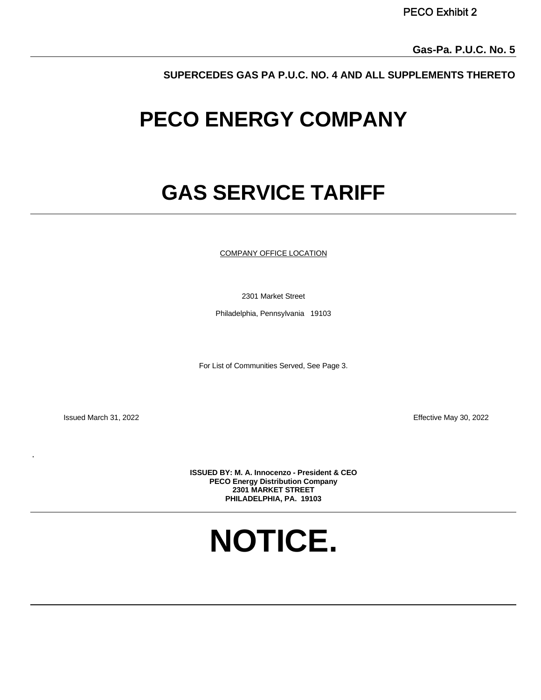**SUPERCEDES GAS PA P.U.C. NO. 4 AND ALL SUPPLEMENTS THERETO**

# **PECO ENERGY COMPANY**

# **GAS SERVICE TARIFF**

COMPANY OFFICE LOCATION

2301 Market Street

Philadelphia, Pennsylvania 19103

For List of Communities Served, See Page 3.

.

Issued March 31, 2022 Effective May 30, 2022

**ISSUED BY: M. A. Innocenzo - President & CEO PECO Energy Distribution Company 2301 MARKET STREET PHILADELPHIA, PA. 19103** 

**NOTICE.**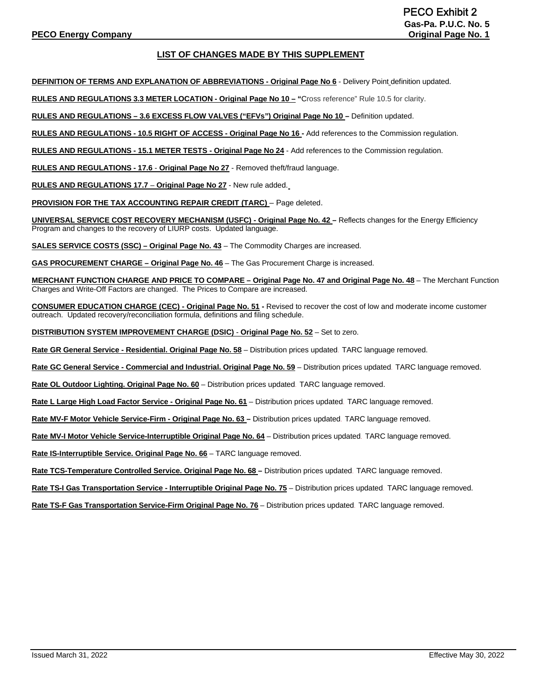# **LIST OF CHANGES MADE BY THIS SUPPLEMENT**

**DEFINITION OF TERMS AND EXPLANATION OF ABBREVIATIONS - Original Page No 6** - Delivery Point definition updated.

**RULES AND REGULATIONS 3.3 METER LOCATION - Original Page No 10 – "**Cross reference" Rule 10.5 for clarity.

**RULES AND REGULATIONS – 3.6 EXCESS FLOW VALVES ("EFVs") Original Page No 10 –** Definition updated.

**RULES AND REGULATIONS - 10.5 RIGHT OF ACCESS - Original Page No 16 -** Add references to the Commission regulation.

**RULES AND REGULATIONS - 15.1 METER TESTS - Original Page No 24** - Add references to the Commission regulation.

**RULES AND REGULATIONS - 17.6** - **Original Page No 27** - Removed theft/fraud language.

**RULES AND REGULATIONS 17.7** – **Original Page No 27** - New rule added.

**PROVISION FOR THE TAX ACCOUNTING REPAIR CREDIT (TARC)** – Page deleted.

**UNIVERSAL SERVICE COST RECOVERY MECHANISM (USFC) - Original Page No. 42 –** Reflects changes for the Energy Efficiency Program and changes to the recovery of LIURP costs. Updated language.

**SALES SERVICE COSTS (SSC) – Original Page No. 43** – The Commodity Charges are increased.

**GAS PROCUREMENT CHARGE – Original Page No. 46** – The Gas Procurement Charge is increased.

**MERCHANT FUNCTION CHARGE AND PRICE TO COMPARE – Original Page No. 47 and Original Page No. 48** – The Merchant Function Charges and Write-Off Factors are changed. The Prices to Compare are increased.

**CONSUMER EDUCATION CHARGE (CEC) - Original Page No. 51 -** Revised to recover the cost of low and moderate income customer outreach. Updated recovery/reconciliation formula, definitions and filing schedule.

**DISTRIBUTION SYSTEM IMPROVEMENT CHARGE (DSIC)** - **Original Page No. 52** – Set to zero.

**Rate GR General Service - Residential. Original Page No. 58** – Distribution prices updated. TARC language removed.

**Rate GC General Service - Commercial and Industrial. Original Page No. 59** – Distribution prices updated. TARC language removed.

**Rate OL Outdoor Lighting. Original Page No. 60** – Distribution prices updated. TARC language removed.

**Rate L Large High Load Factor Service - Original Page No. 61** – Distribution prices updated. TARC language removed.

**Rate MV-F Motor Vehicle Service-Firm - Original Page No. 63 –** Distribution prices updated. TARC language removed.

**Rate MV-I Motor Vehicle Service-Interruptible Original Page No. 64** – Distribution prices updated. TARC language removed.

**Rate IS-Interruptible Service. Original Page No. 66** – TARC language removed.

**Rate TCS-Temperature Controlled Service. Original Page No. 68 –** Distribution prices updated. TARC language removed.

**Rate TS-I Gas Transportation Service - Interruptible Original Page No. 75** – Distribution prices updated. TARC language removed.

**Rate TS-F Gas Transportation Service-Firm Original Page No. 76** – Distribution prices updated. TARC language removed.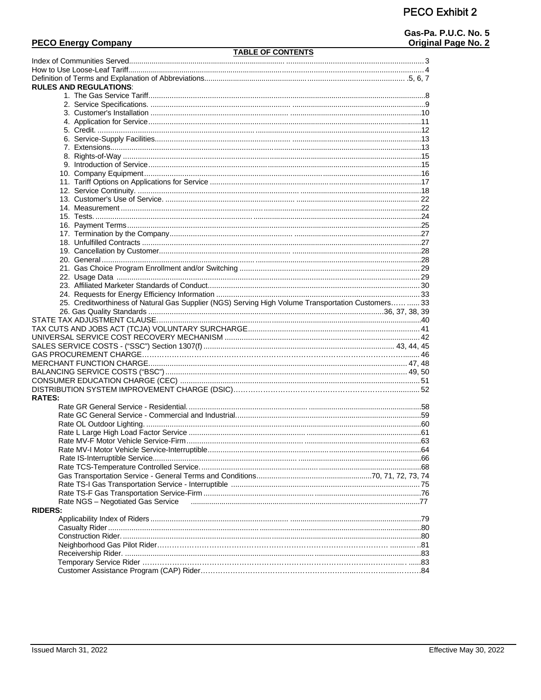# **PECO Energy Company**

# **TABLE OF CONTENTS**

Gas-Pa. P.U.C. No. 5 Original Page No. 2

|                | <b>RULES AND REGULATIONS:</b>                                                                      |  |
|----------------|----------------------------------------------------------------------------------------------------|--|
|                |                                                                                                    |  |
|                |                                                                                                    |  |
|                |                                                                                                    |  |
|                |                                                                                                    |  |
|                |                                                                                                    |  |
|                |                                                                                                    |  |
|                |                                                                                                    |  |
|                |                                                                                                    |  |
|                |                                                                                                    |  |
|                |                                                                                                    |  |
|                |                                                                                                    |  |
|                |                                                                                                    |  |
|                |                                                                                                    |  |
|                |                                                                                                    |  |
|                |                                                                                                    |  |
|                |                                                                                                    |  |
|                |                                                                                                    |  |
|                |                                                                                                    |  |
|                |                                                                                                    |  |
|                |                                                                                                    |  |
|                |                                                                                                    |  |
|                |                                                                                                    |  |
|                |                                                                                                    |  |
|                |                                                                                                    |  |
|                |                                                                                                    |  |
|                |                                                                                                    |  |
|                | 25. Creditworthiness of Natural Gas Supplier (NGS) Serving High Volume Transportation Customers 33 |  |
|                |                                                                                                    |  |
|                |                                                                                                    |  |
|                |                                                                                                    |  |
|                |                                                                                                    |  |
|                |                                                                                                    |  |
|                |                                                                                                    |  |
|                |                                                                                                    |  |
|                |                                                                                                    |  |
|                |                                                                                                    |  |
|                |                                                                                                    |  |
|                |                                                                                                    |  |
| <b>RATES:</b>  |                                                                                                    |  |
|                |                                                                                                    |  |
|                |                                                                                                    |  |
|                |                                                                                                    |  |
|                |                                                                                                    |  |
|                |                                                                                                    |  |
|                |                                                                                                    |  |
|                |                                                                                                    |  |
|                |                                                                                                    |  |
|                |                                                                                                    |  |
|                |                                                                                                    |  |
|                |                                                                                                    |  |
|                |                                                                                                    |  |
|                | Rate NGS - Negotiated Gas Service                                                                  |  |
| <b>RIDERS:</b> |                                                                                                    |  |
|                |                                                                                                    |  |
|                |                                                                                                    |  |
|                |                                                                                                    |  |
|                |                                                                                                    |  |
|                |                                                                                                    |  |
|                |                                                                                                    |  |
|                |                                                                                                    |  |
|                |                                                                                                    |  |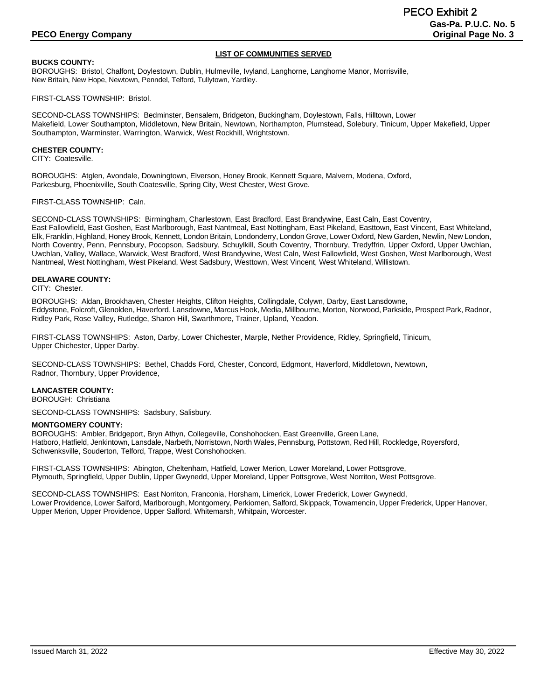# **LIST OF COMMUNITIES SERVED**

#### **BUCKS COUNTY:**

BOROUGHS: Bristol, Chalfont, Doylestown, Dublin, Hulmeville, Ivyland, Langhorne, Langhorne Manor, Morrisville, New Britain, New Hope, Newtown, Penndel, Telford, Tullytown, Yardley.

FIRST-CLASS TOWNSHIP: Bristol.

SECOND-CLASS TOWNSHIPS: Bedminster, Bensalem, Bridgeton, Buckingham, Doylestown, Falls, Hilltown, Lower Makefield, Lower Southampton, Middletown, New Britain, Newtown, Northampton, Plumstead, Solebury, Tinicum, Upper Makefield, Upper Southampton, Warminster, Warrington, Warwick, West Rockhill, Wrightstown.

#### **CHESTER COUNTY:**

CITY: Coatesville.

BOROUGHS: Atglen, Avondale, Downingtown, Elverson, Honey Brook, Kennett Square, Malvern, Modena, Oxford, Parkesburg, Phoenixville, South Coatesville, Spring City, West Chester, West Grove.

#### FIRST-CLASS TOWNSHIP: Caln.

SECOND-CLASS TOWNSHIPS: Birmingham, Charlestown, East Bradford, East Brandywine, East Caln, East Coventry, East Fallowfield, East Goshen, East Marlborough, East Nantmeal, East Nottingham, East Pikeland, Easttown, East Vincent, East Whiteland, Elk, Franklin, Highland, Honey Brook, Kennett, London Britain, Londonderry, London Grove, Lower Oxford, New Garden, Newlin, New London, North Coventry, Penn, Pennsbury, Pocopson, Sadsbury, Schuylkill, South Coventry, Thornbury, Tredyffrin, Upper Oxford, Upper Uwchlan, Uwchlan, Valley, Wallace, Warwick, West Bradford, West Brandywine, West Caln, West Fallowfield, West Goshen, West Marlborough, West Nantmeal, West Nottingham, West Pikeland, West Sadsbury, Westtown, West Vincent, West Whiteland, Willistown.

#### **DELAWARE COUNTY:**

#### CITY: Chester.

BOROUGHS: Aldan, Brookhaven, Chester Heights, Clifton Heights, Collingdale, Colywn, Darby, East Lansdowne, Eddystone, Folcroft, Glenolden, Haverford, Lansdowne, Marcus Hook, Media, Millbourne, Morton, Norwood, Parkside, Prospect Park, Radnor, Ridley Park, Rose Valley, Rutledge, Sharon Hill, Swarthmore, Trainer, Upland, Yeadon.

FIRST-CLASS TOWNSHIPS: Aston, Darby, Lower Chichester, Marple, Nether Providence, Ridley, Springfield, Tinicum, Upper Chichester, Upper Darby.

SECOND-CLASS TOWNSHIPS: Bethel, Chadds Ford, Chester, Concord, Edgmont, Haverford, Middletown, Newtown, Radnor, Thornbury, Upper Providence,

#### **LANCASTER COUNTY:**

BOROUGH: Christiana

SECOND-CLASS TOWNSHIPS: Sadsbury, Salisbury.

#### **MONTGOMERY COUNTY:**

BOROUGHS: Ambler, Bridgeport, Bryn Athyn, Collegeville, Conshohocken, East Greenville, Green Lane, Hatboro, Hatfield, Jenkintown, Lansdale, Narbeth, Norristown, North Wales, Pennsburg, Pottstown, Red Hill, Rockledge, Royersford, Schwenksville, Souderton, Telford, Trappe, West Conshohocken.

FIRST-CLASS TOWNSHIPS: Abington, Cheltenham, Hatfield, Lower Merion, Lower Moreland, Lower Pottsgrove, Plymouth, Springfield, Upper Dublin, Upper Gwynedd, Upper Moreland, Upper Pottsgrove, West Norriton, West Pottsgrove.

SECOND-CLASS TOWNSHIPS: East Norriton, Franconia, Horsham, Limerick, Lower Frederick, Lower Gwynedd, Lower Providence, Lower Salford, Marlborough, Montgomery, Perkiomen, Salford, Skippack, Towamencin, Upper Frederick, Upper Hanover, Upper Merion, Upper Providence, Upper Salford, Whitemarsh, Whitpain, Worcester.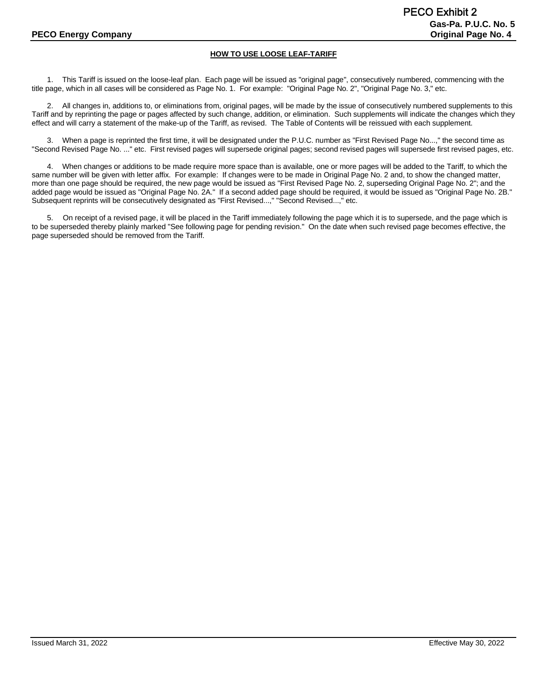# **HOW TO USE LOOSE LEAF-TARIFF**

1. This Tariff is issued on the loose-leaf plan. Each page will be issued as "original page", consecutively numbered, commencing with the title page, which in all cases will be considered as Page No. 1. For example: "Original Page No. 2", "Original Page No. 3," etc.

2. All changes in, additions to, or eliminations from, original pages, will be made by the issue of consecutively numbered supplements to this Tariff and by reprinting the page or pages affected by such change, addition, or elimination. Such supplements will indicate the changes which they effect and will carry a statement of the make-up of the Tariff, as revised. The Table of Contents will be reissued with each supplement.

3. When a page is reprinted the first time, it will be designated under the P.U.C. number as "First Revised Page No...," the second time as "Second Revised Page No. ..." etc. First revised pages will supersede original pages; second revised pages will supersede first revised pages, etc.

4. When changes or additions to be made require more space than is available, one or more pages will be added to the Tariff, to which the same number will be given with letter affix. For example: If changes were to be made in Original Page No. 2 and, to show the changed matter, more than one page should be required, the new page would be issued as "First Revised Page No. 2, superseding Original Page No. 2"; and the added page would be issued as "Original Page No. 2A." If a second added page should be required, it would be issued as "Original Page No. 2B." Subsequent reprints will be consecutively designated as "First Revised...," "Second Revised...," etc.

5. On receipt of a revised page, it will be placed in the Tariff immediately following the page which it is to supersede, and the page which is to be superseded thereby plainly marked "See following page for pending revision." On the date when such revised page becomes effective, the page superseded should be removed from the Tariff.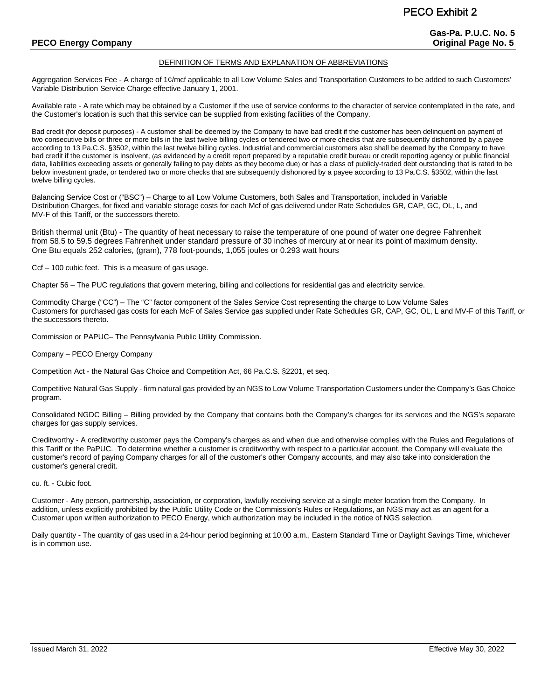# **PECO Energy Company Company Company Company Company Company Company Company Company Company Company Company Company Company Company Company Company Company Company Company Company Company Company Company Company Company C**

#### DEFINITION OF TERMS AND EXPLANATION OF ABBREVIATIONS

Aggregation Services Fee - A charge of 1¢/mcf applicable to all Low Volume Sales and Transportation Customers to be added to such Customers' Variable Distribution Service Charge effective January 1, 2001.

Available rate - A rate which may be obtained by a Customer if the use of service conforms to the character of service contemplated in the rate, and the Customer's location is such that this service can be supplied from existing facilities of the Company.

Bad credit (for deposit purposes) - A customer shall be deemed by the Company to have bad credit if the customer has been delinquent on payment of two consecutive bills or three or more bills in the last twelve billing cycles or tendered two or more checks that are subsequently dishonored by a payee according to 13 Pa.C.S. §3502, within the last twelve billing cycles. Industrial and commercial customers also shall be deemed by the Company to have bad credit if the customer is insolvent, (as evidenced by a credit report prepared by a reputable credit bureau or credit reporting agency or public financial data, liabilities exceeding assets or generally failing to pay debts as they become due) or has a class of publicly-traded debt outstanding that is rated to be below investment grade, or tendered two or more checks that are subsequently dishonored by a payee according to 13 Pa.C.S. §3502, within the last twelve billing cycles.

Balancing Service Cost or ("BSC") – Charge to all Low Volume Customers, both Sales and Transportation, included in Variable Distribution Charges, for fixed and variable storage costs for each Mcf of gas delivered under Rate Schedules GR, CAP, GC, OL, L, and MV-F of this Tariff, or the successors thereto.

British thermal unit (Btu) - The quantity of heat necessary to raise the temperature of one pound of water one degree Fahrenheit from 58.5 to 59.5 degrees Fahrenheit under standard pressure of 30 inches of mercury at or near its point of maximum density. One Btu equals 252 calories, (gram), 778 foot-pounds, 1,055 joules or 0.293 watt hours

Ccf – 100 cubic feet. This is a measure of gas usage.

Chapter 56 – The PUC regulations that govern metering, billing and collections for residential gas and electricity service.

Commodity Charge ("CC") – The "C" factor component of the Sales Service Cost representing the charge to Low Volume Sales Customers for purchased gas costs for each McF of Sales Service gas supplied under Rate Schedules GR, CAP, GC, OL, L and MV-F of this Tariff, or the successors thereto.

Commission or PAPUC– The Pennsylvania Public Utility Commission.

Company – PECO Energy Company

Competition Act - the Natural Gas Choice and Competition Act, 66 Pa.C.S. §2201, et seq.

Competitive Natural Gas Supply - firm natural gas provided by an NGS to Low Volume Transportation Customers under the Company's Gas Choice program.

Consolidated NGDC Billing – Billing provided by the Company that contains both the Company's charges for its services and the NGS's separate charges for gas supply services.

Creditworthy - A creditworthy customer pays the Company's charges as and when due and otherwise complies with the Rules and Regulations of this Tariff or the PaPUC. To determine whether a customer is creditworthy with respect to a particular account, the Company will evaluate the customer's record of paying Company charges for all of the customer's other Company accounts, and may also take into consideration the customer's general credit.

cu. ft. - Cubic foot.

Customer - Any person, partnership, association, or corporation, lawfully receiving service at a single meter location from the Company. In addition, unless explicitly prohibited by the Public Utility Code or the Commission's Rules or Regulations, an NGS may act as an agent for a Customer upon written authorization to PECO Energy, which authorization may be included in the notice of NGS selection.

Daily quantity - The quantity of gas used in a 24-hour period beginning at 10:00 a.m., Eastern Standard Time or Daylight Savings Time, whichever is in common use.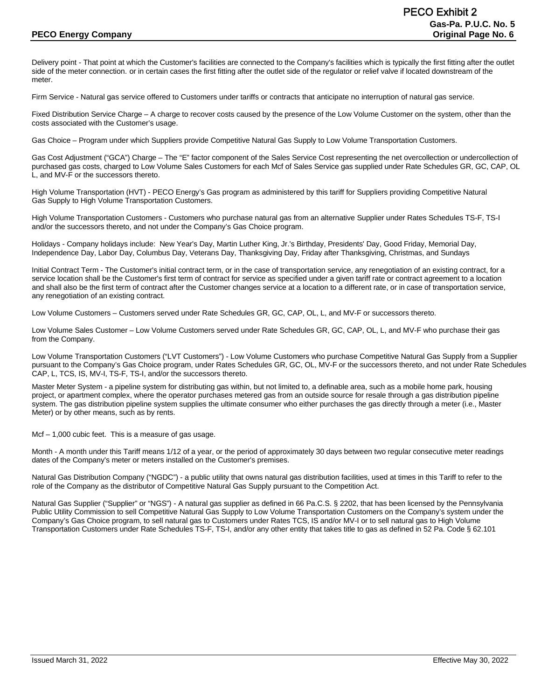Delivery point - That point at which the Customer's facilities are connected to the Company's facilities which is typically the first fitting after the outlet side of the meter connection. or in certain cases the first fitting after the outlet side of the regulator or relief valve if located downstream of the meter.

Firm Service - Natural gas service offered to Customers under tariffs or contracts that anticipate no interruption of natural gas service.

Fixed Distribution Service Charge – A charge to recover costs caused by the presence of the Low Volume Customer on the system, other than the costs associated with the Customer's usage.

Gas Choice – Program under which Suppliers provide Competitive Natural Gas Supply to Low Volume Transportation Customers.

Gas Cost Adjustment ("GCA") Charge – The "E" factor component of the Sales Service Cost representing the net overcollection or undercollection of purchased gas costs, charged to Low Volume Sales Customers for each Mcf of Sales Service gas supplied under Rate Schedules GR, GC, CAP, OL L, and MV-F or the successors thereto.

High Volume Transportation (HVT) - PECO Energy's Gas program as administered by this tariff for Suppliers providing Competitive Natural Gas Supply to High Volume Transportation Customers.

High Volume Transportation Customers - Customers who purchase natural gas from an alternative Supplier under Rates Schedules TS-F, TS-I and/or the successors thereto, and not under the Company's Gas Choice program.

Holidays - Company holidays include: New Year's Day, Martin Luther King, Jr.'s Birthday, Presidents' Day, Good Friday, Memorial Day, Independence Day, Labor Day, Columbus Day, Veterans Day, Thanksgiving Day, Friday after Thanksgiving, Christmas, and Sundays

Initial Contract Term - The Customer's initial contract term, or in the case of transportation service, any renegotiation of an existing contract, for a service location shall be the Customer's first term of contract for service as specified under a given tariff rate or contract agreement to a location and shall also be the first term of contract after the Customer changes service at a location to a different rate, or in case of transportation service, any renegotiation of an existing contract.

Low Volume Customers – Customers served under Rate Schedules GR, GC, CAP, OL, L, and MV-F or successors thereto.

Low Volume Sales Customer – Low Volume Customers served under Rate Schedules GR, GC, CAP, OL, L, and MV-F who purchase their gas from the Company.

Low Volume Transportation Customers ("LVT Customers") - Low Volume Customers who purchase Competitive Natural Gas Supply from a Supplier pursuant to the Company's Gas Choice program, under Rates Schedules GR, GC, OL, MV-F or the successors thereto, and not under Rate Schedules CAP, L, TCS, IS, MV-I, TS-F, TS-I, and/or the successors thereto.

Master Meter System - a pipeline system for distributing gas within, but not limited to, a definable area, such as a mobile home park, housing project, or apartment complex, where the operator purchases metered gas from an outside source for resale through a gas distribution pipeline system. The gas distribution pipeline system supplies the ultimate consumer who either purchases the gas directly through a meter (i.e., Master Meter) or by other means, such as by rents.

Mcf – 1,000 cubic feet. This is a measure of gas usage.

Month - A month under this Tariff means 1/12 of a year, or the period of approximately 30 days between two regular consecutive meter readings dates of the Company's meter or meters installed on the Customer's premises.

Natural Gas Distribution Company ("NGDC") - a public utility that owns natural gas distribution facilities, used at times in this Tariff to refer to the role of the Company as the distributor of Competitive Natural Gas Supply pursuant to the Competition Act.

Natural Gas Supplier ("Supplier" or "NGS") - A natural gas supplier as defined in 66 Pa.C.S. § 2202, that has been licensed by the Pennsylvania Public Utility Commission to sell Competitive Natural Gas Supply to Low Volume Transportation Customers on the Company's system under the Company's Gas Choice program, to sell natural gas to Customers under Rates TCS, IS and/or MV-I or to sell natural gas to High Volume Transportation Customers under Rate Schedules TS-F, TS-I, and/or any other entity that takes title to gas as defined in 52 Pa. Code § 62.101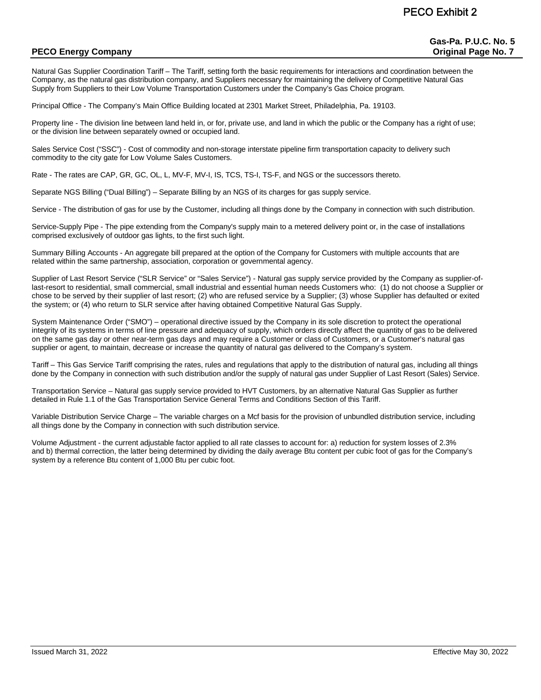# **PECO Energy Company Company Company Company Company Company Company Company Company Company Company Company Company Company Company Company Company Company Company Company Company Company Company Company Company Company C**

Natural Gas Supplier Coordination Tariff – The Tariff, setting forth the basic requirements for interactions and coordination between the Company, as the natural gas distribution company, and Suppliers necessary for maintaining the delivery of Competitive Natural Gas Supply from Suppliers to their Low Volume Transportation Customers under the Company's Gas Choice program.

Principal Office - The Company's Main Office Building located at 2301 Market Street, Philadelphia, Pa. 19103.

Property line - The division line between land held in, or for, private use, and land in which the public or the Company has a right of use; or the division line between separately owned or occupied land.

Sales Service Cost ("SSC") - Cost of commodity and non-storage interstate pipeline firm transportation capacity to delivery such commodity to the city gate for Low Volume Sales Customers.

Rate - The rates are CAP, GR, GC, OL, L, MV-F, MV-I, IS, TCS, TS-I, TS-F, and NGS or the successors thereto.

Separate NGS Billing ("Dual Billing") – Separate Billing by an NGS of its charges for gas supply service.

Service - The distribution of gas for use by the Customer, including all things done by the Company in connection with such distribution.

Service-Supply Pipe - The pipe extending from the Company's supply main to a metered delivery point or, in the case of installations comprised exclusively of outdoor gas lights, to the first such light.

Summary Billing Accounts - An aggregate bill prepared at the option of the Company for Customers with multiple accounts that are related within the same partnership, association, corporation or governmental agency.

Supplier of Last Resort Service ("SLR Service" or "Sales Service") - Natural gas supply service provided by the Company as supplier-oflast-resort to residential, small commercial, small industrial and essential human needs Customers who: (1) do not choose a Supplier or chose to be served by their supplier of last resort; (2) who are refused service by a Supplier; (3) whose Supplier has defaulted or exited the system; or (4) who return to SLR service after having obtained Competitive Natural Gas Supply.

System Maintenance Order ("SMO") – operational directive issued by the Company in its sole discretion to protect the operational integrity of its systems in terms of line pressure and adequacy of supply, which orders directly affect the quantity of gas to be delivered on the same gas day or other near-term gas days and may require a Customer or class of Customers, or a Customer's natural gas supplier or agent, to maintain, decrease or increase the quantity of natural gas delivered to the Company's system.

Tariff – This Gas Service Tariff comprising the rates, rules and regulations that apply to the distribution of natural gas, including all things done by the Company in connection with such distribution and/or the supply of natural gas under Supplier of Last Resort (Sales) Service.

Transportation Service – Natural gas supply service provided to HVT Customers, by an alternative Natural Gas Supplier as further detailed in Rule 1.1 of the Gas Transportation Service General Terms and Conditions Section of this Tariff.

Variable Distribution Service Charge – The variable charges on a Mcf basis for the provision of unbundled distribution service, including all things done by the Company in connection with such distribution service.

Volume Adjustment - the current adjustable factor applied to all rate classes to account for: a) reduction for system losses of 2.3% and b) thermal correction, the latter being determined by dividing the daily average Btu content per cubic foot of gas for the Company's system by a reference Btu content of 1,000 Btu per cubic foot.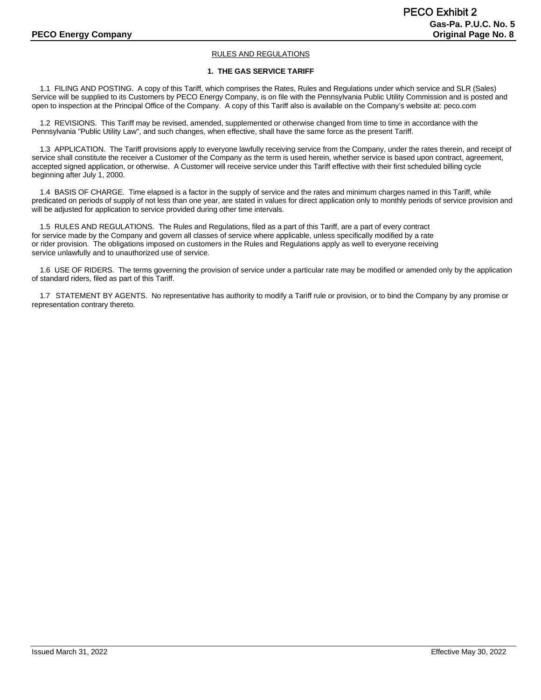# RULES AND REGULATIONS

#### **1. THE GAS SERVICE TARIFF**

 1.1 FILING AND POSTING. A copy of this Tariff, which comprises the Rates, Rules and Regulations under which service and SLR (Sales) Service will be supplied to its Customers by PECO Energy Company, is on file with the Pennsylvania Public Utility Commission and is posted and open to inspection at the Principal Office of the Company. A copy of this Tariff also is available on the Company's website at: peco.com

 1.2 REVISIONS. This Tariff may be revised, amended, supplemented or otherwise changed from time to time in accordance with the Pennsylvania "Public Utility Law", and such changes, when effective, shall have the same force as the present Tariff.

 1.3 APPLICATION. The Tariff provisions apply to everyone lawfully receiving service from the Company, under the rates therein, and receipt of service shall constitute the receiver a Customer of the Company as the term is used herein, whether service is based upon contract, agreement, accepted signed application, or otherwise. A Customer will receive service under this Tariff effective with their first scheduled billing cycle beginning after July 1, 2000.

 1.4 BASIS OF CHARGE. Time elapsed is a factor in the supply of service and the rates and minimum charges named in this Tariff, while predicated on periods of supply of not less than one year, are stated in values for direct application only to monthly periods of service provision and will be adjusted for application to service provided during other time intervals.

 1.5 RULES AND REGULATIONS. The Rules and Regulations, filed as a part of this Tariff, are a part of every contract for service made by the Company and govern all classes of service where applicable, unless specifically modified by a rate or rider provision. The obligations imposed on customers in the Rules and Regulations apply as well to everyone receiving service unlawfully and to unauthorized use of service.

 1.6 USE OF RIDERS. The terms governing the provision of service under a particular rate may be modified or amended only by the application of standard riders, filed as part of this Tariff.

1.7 STATEMENT BY AGENTS. No representative has authority to modify a Tariff rule or provision, or to bind the Company by any promise or representation contrary thereto.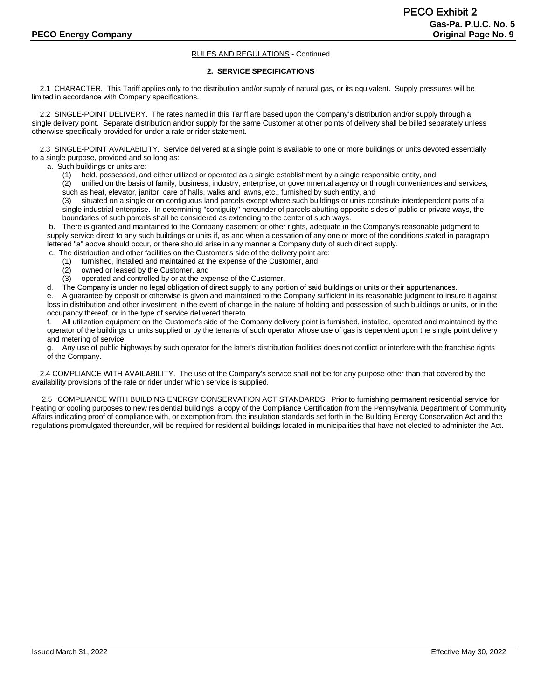#### **2. SERVICE SPECIFICATIONS**

 2.1 CHARACTER. This Tariff applies only to the distribution and/or supply of natural gas, or its equivalent. Supply pressures will be limited in accordance with Company specifications.

 2.2 SINGLE-POINT DELIVERY. The rates named in this Tariff are based upon the Company's distribution and/or supply through a single delivery point. Separate distribution and/or supply for the same Customer at other points of delivery shall be billed separately unless otherwise specifically provided for under a rate or rider statement.

 2.3 SINGLE-POINT AVAILABILITY. Service delivered at a single point is available to one or more buildings or units devoted essentially to a single purpose, provided and so long as:

a. Such buildings or units are:

(1) held, possessed, and either utilized or operated as a single establishment by a single responsible entity, and

 (2) unified on the basis of family, business, industry, enterprise, or governmental agency or through conveniences and services, such as heat, elevator, janitor, care of halls, walks and lawns, etc., furnished by such entity, and

 (3) situated on a single or on contiguous land parcels except where such buildings or units constitute interdependent parts of a single industrial enterprise. In determining "contiguity" hereunder of parcels abutting opposite sides of public or private ways, the boundaries of such parcels shall be considered as extending to the center of such ways.

b. There is granted and maintained to the Company easement or other rights, adequate in the Company's reasonable judgment to supply service direct to any such buildings or units if, as and when a cessation of any one or more of the conditions stated in paragraph lettered "a" above should occur, or there should arise in any manner a Company duty of such direct supply.

c. The distribution and other facilities on the Customer's side of the delivery point are:

- (1) furnished, installed and maintained at the expense of the Customer, and
- (2) owned or leased by the Customer, and
- (3) operated and controlled by or at the expense of the Customer.

d. The Company is under no legal obligation of direct supply to any portion of said buildings or units or their appurtenances.

e. A guarantee by deposit or otherwise is given and maintained to the Company sufficient in its reasonable judgment to insure it against loss in distribution and other investment in the event of change in the nature of holding and possession of such buildings or units, or in the occupancy thereof, or in the type of service delivered thereto.

f. All utilization equipment on the Customer's side of the Company delivery point is furnished, installed, operated and maintained by the operator of the buildings or units supplied or by the tenants of such operator whose use of gas is dependent upon the single point delivery and metering of service.

Any use of public highways by such operator for the latter's distribution facilities does not conflict or interfere with the franchise rights of the Company.

 2.4 COMPLIANCE WITH AVAILABILITY. The use of the Company's service shall not be for any purpose other than that covered by the availability provisions of the rate or rider under which service is supplied.

2.5 COMPLIANCE WITH BUILDING ENERGY CONSERVATION ACT STANDARDS. Prior to furnishing permanent residential service for heating or cooling purposes to new residential buildings, a copy of the Compliance Certification from the Pennsylvania Department of Community Affairs indicating proof of compliance with, or exemption from, the insulation standards set forth in the Building Energy Conservation Act and the regulations promulgated thereunder, will be required for residential buildings located in municipalities that have not elected to administer the Act.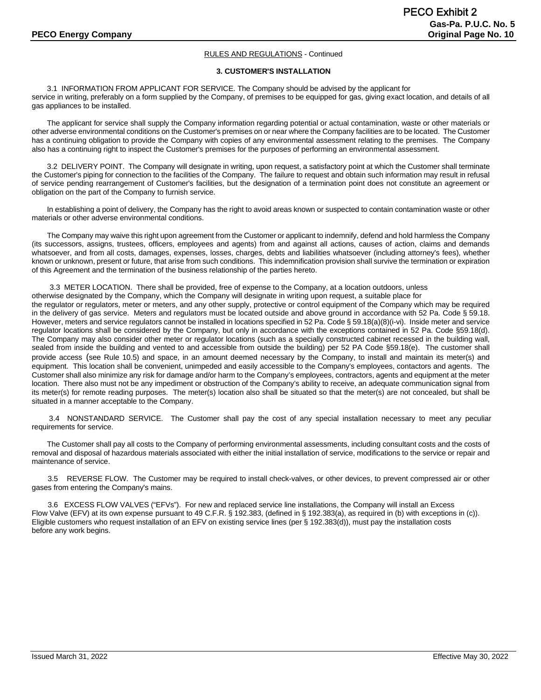#### **3. CUSTOMER'S INSTALLATION**

3.1 INFORMATION FROM APPLICANT FOR SERVICE. The Company should be advised by the applicant for service in writing, preferably on a form supplied by the Company, of premises to be equipped for gas, giving exact location, and details of all gas appliances to be installed.

The applicant for service shall supply the Company information regarding potential or actual contamination, waste or other materials or other adverse environmental conditions on the Customer's premises on or near where the Company facilities are to be located. The Customer has a continuing obligation to provide the Company with copies of any environmental assessment relating to the premises. The Company also has a continuing right to inspect the Customer's premises for the purposes of performing an environmental assessment.

3.2 DELIVERY POINT. The Company will designate in writing, upon request, a satisfactory point at which the Customer shall terminate the Customer's piping for connection to the facilities of the Company. The failure to request and obtain such information may result in refusal of service pending rearrangement of Customer's facilities, but the designation of a termination point does not constitute an agreement or obligation on the part of the Company to furnish service.

In establishing a point of delivery, the Company has the right to avoid areas known or suspected to contain contamination waste or other materials or other adverse environmental conditions.

The Company may waive this right upon agreement from the Customer or applicant to indemnify, defend and hold harmless the Company (its successors, assigns, trustees, officers, employees and agents) from and against all actions, causes of action, claims and demands whatsoever, and from all costs, damages, expenses, losses, charges, debts and liabilities whatsoever (including attorney's fees), whether known or unknown, present or future, that arise from such conditions. This indemnification provision shall survive the termination or expiration of this Agreement and the termination of the business relationship of the parties hereto.

3.3 METER LOCATION. There shall be provided, free of expense to the Company, at a location outdoors, unless otherwise designated by the Company, which the Company will designate in writing upon request, a suitable place for the regulator or regulators, meter or meters, and any other supply, protective or control equipment of the Company which may be required in the delivery of gas service. Meters and regulators must be located outside and above ground in accordance with 52 Pa. Code § 59.18. However, meters and service regulators cannot be installed in locations specified in 52 Pa. Code § 59.18(a)(8)(i-vi). Inside meter and service regulator locations shall be considered by the Company, but only in accordance with the exceptions contained in 52 Pa. Code §59.18(d). The Company may also consider other meter or regulator locations (such as a specially constructed cabinet recessed in the building wall, sealed from inside the building and vented to and accessible from outside the building) per 52 PA Code §59.18(e). The customer shall provide access (see Rule 10.5) and space, in an amount deemed necessary by the Company, to install and maintain its meter(s) and equipment. This location shall be convenient, unimpeded and easily accessible to the Company's employees, contactors and agents. The Customer shall also minimize any risk for damage and/or harm to the Company's employees, contractors, agents and equipment at the meter location. There also must not be any impediment or obstruction of the Company's ability to receive, an adequate communication signal from its meter(s) for remote reading purposes. The meter(s) location also shall be situated so that the meter(s) are not concealed, but shall be situated in a manner acceptable to the Company.

3.4 NONSTANDARD SERVICE. The Customer shall pay the cost of any special installation necessary to meet any peculiar requirements for service.

The Customer shall pay all costs to the Company of performing environmental assessments, including consultant costs and the costs of removal and disposal of hazardous materials associated with either the initial installation of service, modifications to the service or repair and maintenance of service.

3.5 REVERSE FLOW. The Customer may be required to install check-valves, or other devices, to prevent compressed air or other gases from entering the Company's mains.

3.6 EXCESS FLOW VALVES ("EFVs"). For new and replaced service line installations, the Company will install an Excess Flow Valve (EFV) at its own expense pursuant to 49 C.F.R. § 192.383, (defined in § 192.383(a), as required in (b) with exceptions in (c)). Eligible customers who request installation of an EFV on existing service lines (per § 192.383(d)), must pay the installation costs before any work begins.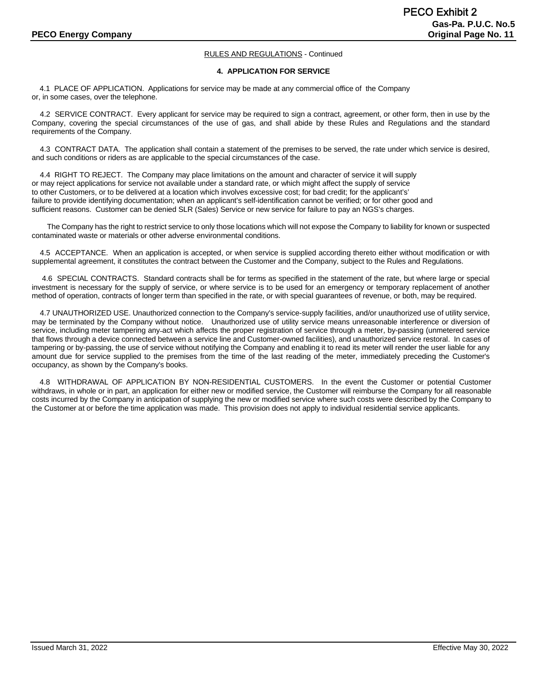#### **4. APPLICATION FOR SERVICE**

4.1 PLACE OF APPLICATION. Applications for service may be made at any commercial office of the Company or, in some cases, over the telephone.

 4.2 SERVICE CONTRACT. Every applicant for service may be required to sign a contract, agreement, or other form, then in use by the Company, covering the special circumstances of the use of gas, and shall abide by these Rules and Regulations and the standard requirements of the Company.

 4.3 CONTRACT DATA. The application shall contain a statement of the premises to be served, the rate under which service is desired, and such conditions or riders as are applicable to the special circumstances of the case.

 4.4 RIGHT TO REJECT. The Company may place limitations on the amount and character of service it will supply or may reject applications for service not available under a standard rate, or which might affect the supply of service to other Customers, or to be delivered at a location which involves excessive cost; for bad credit; for the applicant's' failure to provide identifying documentation; when an applicant's self-identification cannot be verified; or for other good and sufficient reasons. Customer can be denied SLR (Sales) Service or new service for failure to pay an NGS's charges.

The Company has the right to restrict service to only those locations which will not expose the Company to liability for known or suspected contaminated waste or materials or other adverse environmental conditions.

 4.5 ACCEPTANCE. When an application is accepted, or when service is supplied according thereto either without modification or with supplemental agreement, it constitutes the contract between the Customer and the Company, subject to the Rules and Regulations.

 4.6 SPECIAL CONTRACTS. Standard contracts shall be for terms as specified in the statement of the rate, but where large or special investment is necessary for the supply of service, or where service is to be used for an emergency or temporary replacement of another method of operation, contracts of longer term than specified in the rate, or with special guarantees of revenue, or both, may be required.

 4.7 UNAUTHORIZED USE. Unauthorized connection to the Company's service-supply facilities, and/or unauthorized use of utility service, may be terminated by the Company without notice. Unauthorized use of utility service means unreasonable interference or diversion of service, including meter tampering any act which affects the proper registration of service through a meter, by-passing (unmetered service that flows through a device connected between a service line and Customer-owned facilities), and unauthorized service restoral. In cases of tampering or by-passing, the use of service without notifying the Company and enabling it to read its meter will render the user liable for any amount due for service supplied to the premises from the time of the last reading of the meter, immediately preceding the Customer's occupancy, as shown by the Company's books.

4.8 WITHDRAWAL OF APPLICATION BY NON-RESIDENTIAL CUSTOMERS. In the event the Customer or potential Customer withdraws, in whole or in part, an application for either new or modified service, the Customer will reimburse the Company for all reasonable costs incurred by the Company in anticipation of supplying the new or modified service where such costs were described by the Company to the Customer at or before the time application was made. This provision does not apply to individual residential service applicants.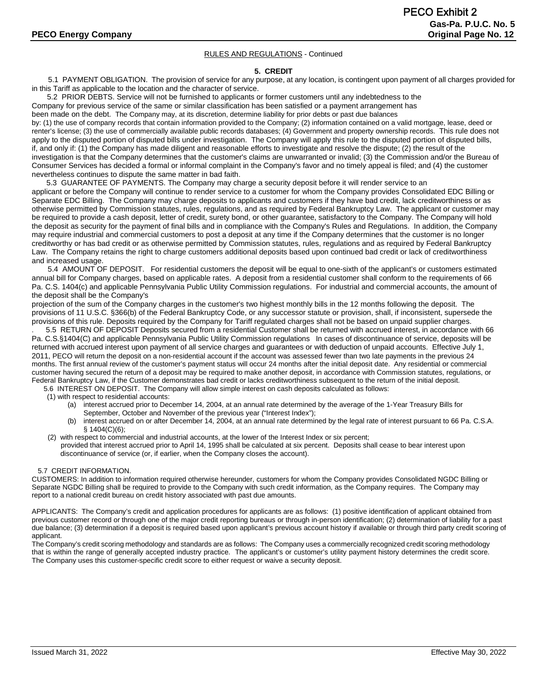#### **5. CREDIT**

 5.1 PAYMENT OBLIGATION. The provision of service for any purpose, at any location, is contingent upon payment of all charges provided for in this Tariff as applicable to the location and the character of service.

5.2 PRIOR DEBTS. Service will not be furnished to applicants or former customers until any indebtedness to the

Company for previous service of the same or similar classification has been satisfied or a payment arrangement has

been made on the debt. The Company may, at its discretion, determine liability for prior debts or past due balances

by: (1) the use of company records that contain information provided to the Company; (2) information contained on a valid mortgage, lease, deed or renter's license; (3) the use of commercially available public records databases; (4) Government and property ownership records. This rule does not apply to the disputed portion of disputed bills under investigation. The Company will apply this rule to the disputed portion of disputed bills, if, and only if: (1) the Company has made diligent and reasonable efforts to investigate and resolve the dispute; (2) the result of the investigation is that the Company determines that the customer's claims are unwarranted or invalid; (3) the Commission and/or the Bureau of Consumer Services has decided a formal or informal complaint in the Company's favor and no timely appeal is filed; and (4) the customer nevertheless continues to dispute the same matter in bad faith.

5.3 GUARANTEE OF PAYMENTS. The Company may charge a security deposit before it will render service to an applicant or before the Company will continue to render service to a customer for whom the Company provides Consolidated EDC Billing or Separate EDC Billing. The Company may charge deposits to applicants and customers if they have bad credit, lack creditworthiness or as otherwise permitted by Commission statutes, rules, regulations, and as required by Federal Bankruptcy Law. The applicant or customer may be required to provide a cash deposit, letter of credit, surety bond, or other guarantee, satisfactory to the Company. The Company will hold the deposit as security for the payment of final bills and in compliance with the Company's Rules and Regulations. In addition, the Company may require industrial and commercial customers to post a deposit at any time if the Company determines that the customer is no longer creditworthy or has bad credit or as otherwise permitted by Commission statutes, rules, regulations and as required by Federal Bankruptcy Law. The Company retains the right to charge customers additional deposits based upon continued bad credit or lack of creditworthiness and increased usage.

5.4 AMOUNT OF DEPOSIT. For residential customers the deposit will be equal to one-sixth of the applicant's or customers estimated annual bill for Company charges, based on applicable rates. A deposit from a residential customer shall conform to the requirements of 66 Pa. C.S. 1404(c) and applicable Pennsylvania Public Utility Commission regulations. For industrial and commercial accounts, the amount of the deposit shall be the Company's

projection of the sum of the Company charges in the customer's two highest monthly bills in the 12 months following the deposit. The provisions of 11 U.S.C. §366(b) of the Federal Bankruptcy Code, or any successor statute or provision, shall, if inconsistent, supersede the provisions of this rule. Deposits required by the Company for Tariff regulated charges shall not be based on unpaid supplier charges.

. 5.5 RETURN OF DEPOSIT Deposits secured from a residential Customer shall be returned with accrued interest, in accordance with 66 Pa. C.S.§1404(C) and applicable Pennsylvania Public Utility Commission regulations In cases of discontinuance of service, deposits will be returned with accrued interest upon payment of all service charges and guarantees or with deduction of unpaid accounts. Effective July 1, 2011, PECO will return the deposit on a non-residential account if the account was assessed fewer than two late payments in the previous 24 months. The first annual review of the customer's payment status will occur 24 months after the initial deposit date. Any residential or commercial customer having secured the return of a deposit may be required to make another deposit, in accordance with Commission statutes, regulations, or Federal Bankruptcy Law, if the Customer demonstrates bad credit or lacks creditworthiness subsequent to the return of the initial deposit.

5.6 INTEREST ON DEPOSIT. The Company will allow simple interest on cash deposits calculated as follows:

- (1) with respect to residential accounts:
	- (a) interest accrued prior to December 14, 2004, at an annual rate determined by the average of the 1-Year Treasury Bills for September, October and November of the previous year ("Interest Index");
	- (b) interest accrued on or after December 14, 2004, at an annual rate determined by the legal rate of interest pursuant to 66 Pa. C.S.A. § 1404(C)(6);
- (2) with respect to commercial and industrial accounts, at the lower of the Interest Index or six percent; provided that interest accrued prior to April 14, 1995 shall be calculated at six percent. Deposits shall cease to bear interest upon discontinuance of service (or, if earlier, when the Company closes the account).

#### 5.7 CREDIT INFORMATION.

CUSTOMERS: In addition to information required otherwise hereunder, customers for whom the Company provides Consolidated NGDC Billing or Separate NGDC Billing shall be required to provide to the Company with such credit information, as the Company requires. The Company may report to a national credit bureau on credit history associated with past due amounts.

APPLICANTS: The Company's credit and application procedures for applicants are as follows: (1) positive identification of applicant obtained from previous customer record or through one of the major credit reporting bureaus or through in-person identification; (2) determination of liability for a past due balance; (3) determination if a deposit is required based upon applicant's previous account history if available or through third party credit scoring of applicant.

The Company's credit scoring methodology and standards are as follows: The Company uses a commercially recognized credit scoring methodology that is within the range of generally accepted industry practice. The applicant's or customer's utility payment history determines the credit score. The Company uses this customer-specific credit score to either request or waive a security deposit.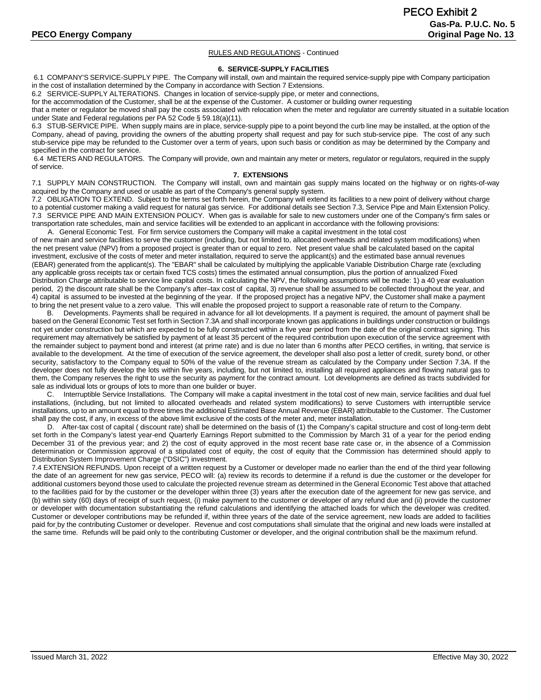#### **6. SERVICE-SUPPLY FACILITIES**

6.1 COMPANY'S SERVICE-SUPPLY PIPE. The Company will install, own and maintain the required service-supply pipe with Company participation in the cost of installation determined by the Company in accordance with Section 7 Extensions.

6.2 SERVICE-SUPPLY ALTERATIONS. Changes in location of service-supply pipe, or meter and connections,

for the accommodation of the Customer, shall be at the expense of the Customer. A customer or building owner requesting

that a meter or regulator be moved shall pay the costs associated with relocation when the meter and regulator are currently situated in a suitable location under State and Federal regulations per PA 52 Code § 59.18(a)(11).

6.3 STUB-SERVICE PIPE. When supply mains are in place, service-supply pipe to a point beyond the curb line may be installed, at the option of the Company, ahead of paving, providing the owners of the abutting property shall request and pay for such stub-service pipe. The cost of any such stub-service pipe may be refunded to the Customer over a term of years, upon such basis or condition as may be determined by the Company and specified in the contract for service.

6.4 METERS AND REGULATORS. The Company will provide, own and maintain any meter or meters, regulator or regulators, required in the supply of service.

#### **7. EXTENSIONS**

7.1 SUPPLY MAIN CONSTRUCTION. The Company will install, own and maintain gas supply mains located on the highway or on rights-of-way acquired by the Company and used or usable as part of the Company's general supply system.

7.2 OBLIGATION TO EXTEND. Subject to the terms set forth herein, the Company will extend its facilities to a new point of delivery without charge to a potential customer making a valid request for natural gas service. For additional details see Section 7.3, Service Pipe and Main Extension Policy. 7.3 SERVICE PIPE AND MAIN EXTENSION POLICY. When gas is available for sale to new customers under one of the Company's firm sales or transportation rate schedules, main and service facilities will be extended to an applicant in accordance with the following provisions:

A. General Economic Test. For firm service customers the Company will make a capital investment in the total cost of new main and service facilities to serve the customer (including, but not limited to, allocated overheads and related system modifications) when the net present value (NPV) from a proposed project is greater than or equal to zero. Net present value shall be calculated based on the capital investment, exclusive of the costs of meter and meter installation, required to serve the applicant(s) and the estimated base annual revenues (EBAR) generated from the applicant(s). The "EBAR" shall be calculated by multiplying the applicable Variable Distribution Charge rate (excluding any applicable gross receipts tax or certain fixed TCS costs) times the estimated annual consumption, plus the portion of annualized Fixed Distribution Charge attributable to service line capital costs. In calculating the NPV, the following assumptions will be made: 1) a 40 year evaluation period, 2) the discount rate shall be the Company's after–tax cost of capital, 3) revenue shall be assumed to be collected throughout the year, and 4) capital is assumed to be invested at the beginning of the year. If the proposed project has a negative NPV, the Customer shall make a payment to bring the net present value to a zero value. This will enable the proposed project to support a reasonable rate of return to the Company.

B. Developments. Payments shall be required in advance for all lot developments. If a payment is required, the amount of payment shall be based on the General Economic Test set forth in Section 7.3A and shall incorporate known gas applications in buildings under construction or buildings not yet under construction but which are expected to be fully constructed within a five year period from the date of the original contract signing. This requirement may alternatively be satisfied by payment of at least 35 percent of the required contribution upon execution of the service agreement with the remainder subject to payment bond and interest (at prime rate) and is due no later than 6 months after PECO certifies, in writing, that service is available to the development. At the time of execution of the service agreement, the developer shall also post a letter of credit, surety bond, or other security, satisfactory to the Company equal to 50% of the value of the revenue stream as calculated by the Company under Section 7.3A. If the developer does not fully develop the lots within five years, including, but not limited to, installing all required appliances and flowing natural gas to them, the Company reserves the right to use the security as payment for the contract amount. Lot developments are defined as tracts subdivided for sale as individual lots or groups of lots to more than one builder or buyer.

C. Interruptible Service Installations. The Company will make a capital investment in the total cost of new main, service facilities and dual fuel installations, (including, but not limited to allocated overheads and related system modifications) to serve Customers with interruptible service installations, up to an amount equal to three times the additional Estimated Base Annual Revenue (EBAR) attributable to the Customer. The Customer shall pay the cost, if any, in excess of the above limit exclusive of the costs of the meter and, meter installation.

 D. After-tax cost of capital ( discount rate) shall be determined on the basis of (1) the Company's capital structure and cost of long-term debt set forth in the Company's latest year-end Quarterly Earnings Report submitted to the Commission by March 31 of a year for the period ending December 31 of the previous year; and 2) the cost of equity approved in the most recent base rate case or, in the absence of a Commission determination or Commission approval of a stipulated cost of equity, the cost of equity that the Commission has determined should apply to Distribution System Improvement Charge ("DSIC") investment.

7.4 EXTENSION REFUNDS. Upon receipt of a written request by a Customer or developer made no earlier than the end of the third year following the date of an agreement for new gas service, PECO will: (a) review its records to determine if a refund is due the customer or the developer for additional customers beyond those used to calculate the projected revenue stream as determined in the General Economic Test above that attached to the facilities paid for by the customer or the developer within three (3) years after the execution date of the agreement for new gas service, and (b) within sixty (60) days of receipt of such request, (i) make payment to the customer or developer of any refund due and (ii) provide the customer or developer with documentation substantiating the refund calculations and identifying the attached loads for which the developer was credited. Customer or developer contributions may be refunded if, within three years of the date of the service agreement, new loads are added to facilities paid for by the contributing Customer or developer. Revenue and cost computations shall simulate that the original and new loads were installed at the same time. Refunds will be paid only to the contributing Customer or developer, and the original contribution shall be the maximum refund.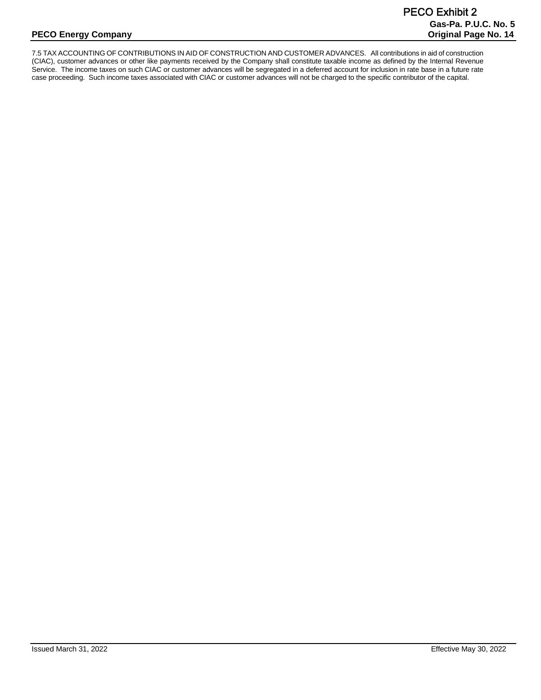7.5 TAX ACCOUNTING OF CONTRIBUTIONS IN AID OF CONSTRUCTION AND CUSTOMER ADVANCES. All contributions in aid of construction (CIAC), customer advances or other like payments received by the Company shall constitute taxable income as defined by the Internal Revenue Service. The income taxes on such CIAC or customer advances will be segregated in a deferred account for inclusion in rate base in a future rate case proceeding. Such income taxes associated with CIAC or customer advances will not be charged to the specific contributor of the capital.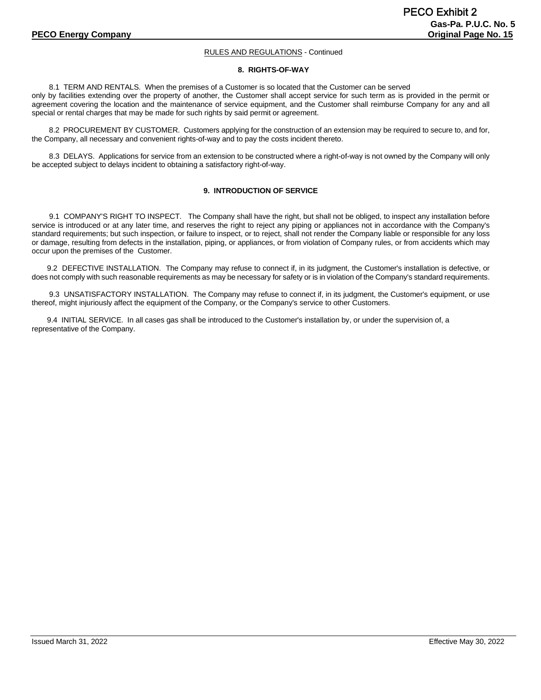#### **8. RIGHTS-OF-WAY**

8.1 TERM AND RENTALS. When the premises of a Customer is so located that the Customer can be served only by facilities extending over the property of another, the Customer shall accept service for such term as is provided in the permit or agreement covering the location and the maintenance of service equipment, and the Customer shall reimburse Company for any and all special or rental charges that may be made for such rights by said permit or agreement.

8.2 PROCUREMENT BY CUSTOMER. Customers applying for the construction of an extension may be required to secure to, and for, the Company, all necessary and convenient rights-of-way and to pay the costs incident thereto.

8.3 DELAYS. Applications for service from an extension to be constructed where a right-of-way is not owned by the Company will only be accepted subject to delays incident to obtaining a satisfactory right-of-way.

#### **9. INTRODUCTION OF SERVICE**

9.1 COMPANY'S RIGHT TO INSPECT. The Company shall have the right, but shall not be obliged, to inspect any installation before service is introduced or at any later time, and reserves the right to reject any piping or appliances not in accordance with the Company's standard requirements; but such inspection, or failure to inspect, or to reject, shall not render the Company liable or responsible for any loss or damage, resulting from defects in the installation, piping, or appliances, or from violation of Company rules, or from accidents which may occur upon the premises of the Customer.

9.2 DEFECTIVE INSTALLATION. The Company may refuse to connect if, in its judgment, the Customer's installation is defective, or does not comply with such reasonable requirements as may be necessary for safety or is in violation of the Company's standard requirements.

9.3 UNSATISFACTORY INSTALLATION. The Company may refuse to connect if, in its judgment, the Customer's equipment, or use thereof, might injuriously affect the equipment of the Company, or the Company's service to other Customers.

9.4 INITIAL SERVICE. In all cases gas shall be introduced to the Customer's installation by, or under the supervision of, a representative of the Company.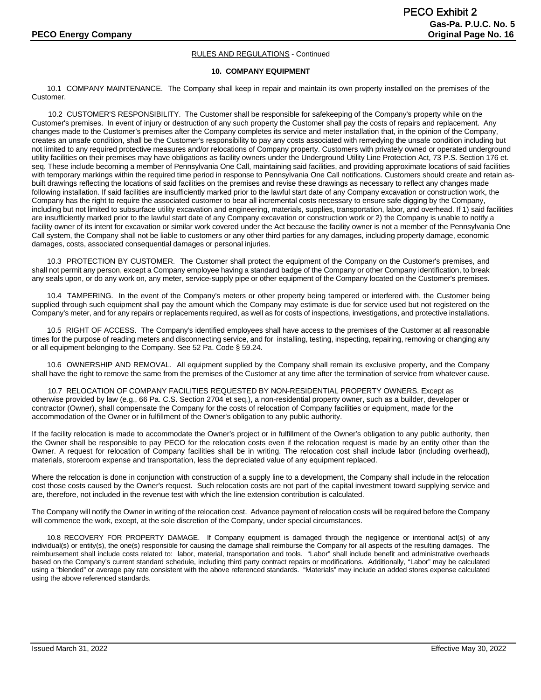#### **10. COMPANY EQUIPMENT**

10.1 COMPANY MAINTENANCE. The Company shall keep in repair and maintain its own property installed on the premises of the Customer.

 10.2 CUSTOMER'S RESPONSIBILITY. The Customer shall be responsible for safekeeping of the Company's property while on the Customer's premises. In event of injury or destruction of any such property the Customer shall pay the costs of repairs and replacement. Any changes made to the Customer's premises after the Company completes its service and meter installation that, in the opinion of the Company, creates an unsafe condition, shall be the Customer's responsibility to pay any costs associated with remedying the unsafe condition including but not limited to any required protective measures and/or relocations of Company property. Customers with privately owned or operated underground utility facilities on their premises may have obligations as facility owners under the Underground Utility Line Protection Act, 73 P.S. Section 176 et. seq. These include becoming a member of Pennsylvania One Call, maintaining said facilities, and providing approximate locations of said facilities with temporary markings within the required time period in response to Pennsylvania One Call notifications. Customers should create and retain asbuilt drawings reflecting the locations of said facilities on the premises and revise these drawings as necessary to reflect any changes made following installation. If said facilities are insufficiently marked prior to the lawful start date of any Company excavation or construction work, the Company has the right to require the associated customer to bear all incremental costs necessary to ensure safe digging by the Company, including but not limited to subsurface utility excavation and engineering, materials, supplies, transportation, labor, and overhead. If 1) said facilities are insufficiently marked prior to the lawful start date of any Company excavation or construction work or 2) the Company is unable to notify a facility owner of its intent for excavation or similar work covered under the Act because the facility owner is not a member of the Pennsylvania One Call system, the Company shall not be liable to customers or any other third parties for any damages, including property damage, economic damages, costs, associated consequential damages or personal injuries.

10.3 PROTECTION BY CUSTOMER. The Customer shall protect the equipment of the Company on the Customer's premises, and shall not permit any person, except a Company employee having a standard badge of the Company or other Company identification, to break any seals upon, or do any work on, any meter, service-supply pipe or other equipment of the Company located on the Customer's premises.

10.4 TAMPERING. In the event of the Company's meters or other property being tampered or interfered with, the Customer being supplied through such equipment shall pay the amount which the Company may estimate is due for service used but not registered on the Company's meter, and for any repairs or replacements required, as well as for costs of inspections, investigations, and protective installations.

10.5 RIGHT OF ACCESS. The Company's identified employees shall have access to the premises of the Customer at all reasonable times for the purpose of reading meters and disconnecting service, and for installing, testing, inspecting, repairing, removing or changing any or all equipment belonging to the Company. See 52 Pa. Code § 59.24.

10.6 OWNERSHIP AND REMOVAL. All equipment supplied by the Company shall remain its exclusive property, and the Company shall have the right to remove the same from the premises of the Customer at any time after the termination of service from whatever cause.

10.7 RELOCATION OF COMPANY FACILITIES REQUESTED BY NON-RESIDENTIAL PROPERTY OWNERS. Except as otherwise provided by law (e.g., 66 Pa. C.S. Section 2704 et seq.), a non-residential property owner, such as a builder, developer or contractor (Owner), shall compensate the Company for the costs of relocation of Company facilities or equipment, made for the accommodation of the Owner or in fulfillment of the Owner's obligation to any public authority.

If the facility relocation is made to accommodate the Owner's project or in fulfillment of the Owner's obligation to any public authority, then the Owner shall be responsible to pay PECO for the relocation costs even if the relocation request is made by an entity other than the Owner. A request for relocation of Company facilities shall be in writing. The relocation cost shall include labor (including overhead), materials, storeroom expense and transportation, less the depreciated value of any equipment replaced.

Where the relocation is done in conjunction with construction of a supply line to a development, the Company shall include in the relocation cost those costs caused by the Owner's request. Such relocation costs are not part of the capital investment toward supplying service and are, therefore, not included in the revenue test with which the line extension contribution is calculated.

The Company will notify the Owner in writing of the relocation cost. Advance payment of relocation costs will be required before the Company will commence the work, except, at the sole discretion of the Company, under special circumstances.

10.8 RECOVERY FOR PROPERTY DAMAGE. If Company equipment is damaged through the negligence or intentional act(s) of any individual(s) or entity(s), the one(s) responsible for causing the damage shall reimburse the Company for all aspects of the resulting damages. The reimbursement shall include costs related to: labor, material, transportation and tools. "Labor" shall include benefit and administrative overheads based on the Company's current standard schedule, including third party contract repairs or modifications. Additionally, "Labor" may be calculated using a "blended" or average pay rate consistent with the above referenced standards. "Materials" may include an added stores expense calculated using the above referenced standards.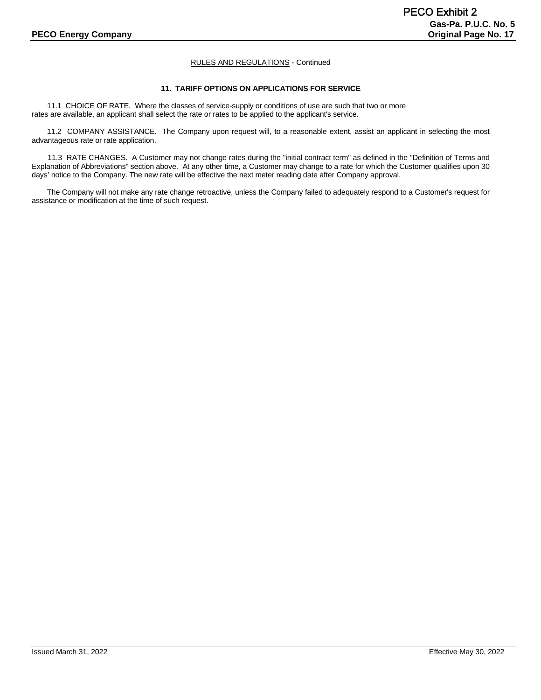# **11. TARIFF OPTIONS ON APPLICATIONS FOR SERVICE**

11.1 CHOICE OF RATE. Where the classes of service-supply or conditions of use are such that two or more rates are available, an applicant shall select the rate or rates to be applied to the applicant's service.

11.2 COMPANY ASSISTANCE. The Company upon request will, to a reasonable extent, assist an applicant in selecting the most advantageous rate or rate application.

11.3 RATE CHANGES. A Customer may not change rates during the "initial contract term" as defined in the "Definition of Terms and Explanation of Abbreviations" section above. At any other time, a Customer may change to a rate for which the Customer qualifies upon 30 days' notice to the Company. The new rate will be effective the next meter reading date after Company approval.

The Company will not make any rate change retroactive, unless the Company failed to adequately respond to a Customer's request for assistance or modification at the time of such request.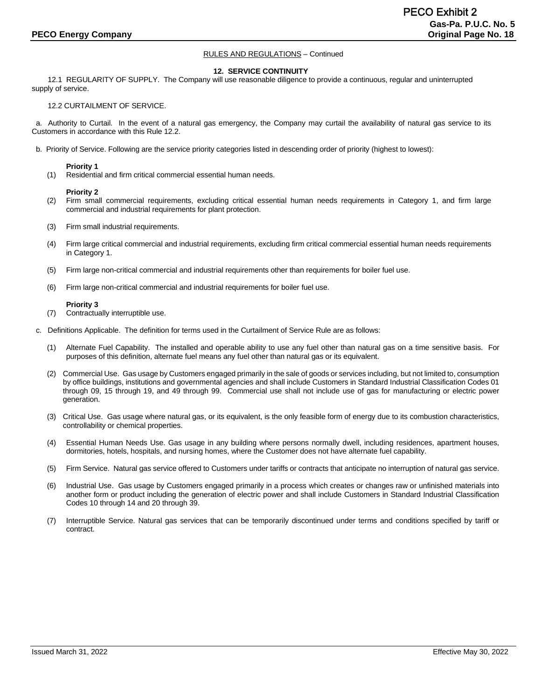#### **12. SERVICE CONTINUITY**

12.1 REGULARITY OF SUPPLY. The Company will use reasonable diligence to provide a continuous, regular and uninterrupted supply of service.

#### 12.2 CURTAILMENT OF SERVICE.

 a. Authority to Curtail. In the event of a natural gas emergency, the Company may curtail the availability of natural gas service to its Customers in accordance with this Rule 12.2.

b. Priority of Service. Following are the service priority categories listed in descending order of priority (highest to lowest):

#### **Priority 1**

(1) Residential and firm critical commercial essential human needs.

#### **Priority 2**

- (2) Firm small commercial requirements, excluding critical essential human needs requirements in Category 1, and firm large commercial and industrial requirements for plant protection.
- (3) Firm small industrial requirements.
- (4) Firm large critical commercial and industrial requirements, excluding firm critical commercial essential human needs requirements in Category 1.
- (5) Firm large non-critical commercial and industrial requirements other than requirements for boiler fuel use.
- (6) Firm large non-critical commercial and industrial requirements for boiler fuel use.

#### **Priority 3**

- (7) Contractually interruptible use.
- c. Definitions Applicable. The definition for terms used in the Curtailment of Service Rule are as follows:
	- (1) Alternate Fuel Capability. The installed and operable ability to use any fuel other than natural gas on a time sensitive basis. For purposes of this definition, alternate fuel means any fuel other than natural gas or its equivalent.
	- (2) Commercial Use. Gas usage by Customers engaged primarily in the sale of goods or services including, but not limited to, consumption by office buildings, institutions and governmental agencies and shall include Customers in Standard Industrial Classification Codes 01 through 09, 15 through 19, and 49 through 99. Commercial use shall not include use of gas for manufacturing or electric power generation.
	- (3) Critical Use. Gas usage where natural gas, or its equivalent, is the only feasible form of energy due to its combustion characteristics, controllability or chemical properties.
	- (4) Essential Human Needs Use. Gas usage in any building where persons normally dwell, including residences, apartment houses, dormitories, hotels, hospitals, and nursing homes, where the Customer does not have alternate fuel capability.
	- (5) Firm Service. Natural gas service offered to Customers under tariffs or contracts that anticipate no interruption of natural gas service.
	- (6) Industrial Use. Gas usage by Customers engaged primarily in a process which creates or changes raw or unfinished materials into another form or product including the generation of electric power and shall include Customers in Standard Industrial Classification Codes 10 through 14 and 20 through 39.
	- (7) Interruptible Service. Natural gas services that can be temporarily discontinued under terms and conditions specified by tariff or contract.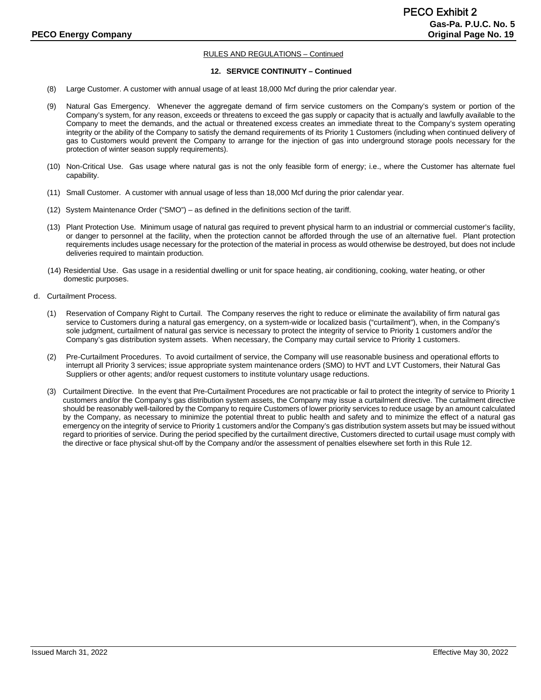#### **12. SERVICE CONTINUITY – Continued**

- (8) Large Customer. A customer with annual usage of at least 18,000 Mcf during the prior calendar year.
- (9) Natural Gas Emergency. Whenever the aggregate demand of firm service customers on the Company's system or portion of the Company's system, for any reason, exceeds or threatens to exceed the gas supply or capacity that is actually and lawfully available to the Company to meet the demands, and the actual or threatened excess creates an immediate threat to the Company's system operating integrity or the ability of the Company to satisfy the demand requirements of its Priority 1 Customers (including when continued delivery of gas to Customers would prevent the Company to arrange for the injection of gas into underground storage pools necessary for the protection of winter season supply requirements).
- (10) Non-Critical Use. Gas usage where natural gas is not the only feasible form of energy; i.e., where the Customer has alternate fuel capability.
- (11) Small Customer. A customer with annual usage of less than 18,000 Mcf during the prior calendar year.
- (12) System Maintenance Order ("SMO") as defined in the definitions section of the tariff.
- (13) Plant Protection Use. Minimum usage of natural gas required to prevent physical harm to an industrial or commercial customer's facility, or danger to personnel at the facility, when the protection cannot be afforded through the use of an alternative fuel. Plant protection requirements includes usage necessary for the protection of the material in process as would otherwise be destroyed, but does not include deliveries required to maintain production.
- (14) Residential Use. Gas usage in a residential dwelling or unit for space heating, air conditioning, cooking, water heating, or other domestic purposes.
- d. Curtailment Process.
	- (1) Reservation of Company Right to Curtail. The Company reserves the right to reduce or eliminate the availability of firm natural gas service to Customers during a natural gas emergency, on a system-wide or localized basis ("curtailment"), when, in the Company's sole judgment, curtailment of natural gas service is necessary to protect the integrity of service to Priority 1 customers and/or the Company's gas distribution system assets. When necessary, the Company may curtail service to Priority 1 customers.
	- (2) Pre-Curtailment Procedures. To avoid curtailment of service, the Company will use reasonable business and operational efforts to interrupt all Priority 3 services; issue appropriate system maintenance orders (SMO) to HVT and LVT Customers, their Natural Gas Suppliers or other agents; and/or request customers to institute voluntary usage reductions.
	- (3) Curtailment Directive. In the event that Pre-Curtailment Procedures are not practicable or fail to protect the integrity of service to Priority 1 customers and/or the Company's gas distribution system assets, the Company may issue a curtailment directive. The curtailment directive should be reasonably well-tailored by the Company to require Customers of lower priority services to reduce usage by an amount calculated by the Company, as necessary to minimize the potential threat to public health and safety and to minimize the effect of a natural gas emergency on the integrity of service to Priority 1 customers and/or the Company's gas distribution system assets but may be issued without regard to priorities of service. During the period specified by the curtailment directive, Customers directed to curtail usage must comply with the directive or face physical shut-off by the Company and/or the assessment of penalties elsewhere set forth in this Rule 12.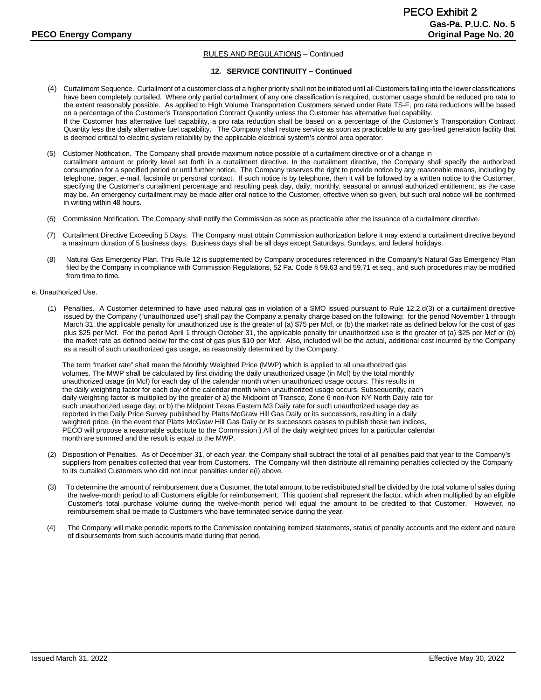#### **12. SERVICE CONTINUITY – Continued**

- (4) Curtailment Sequence. Curtailment of a customer class of a higher priority shall not be initiated until all Customers falling into the lower classifications have been completely curtailed. Where only partial curtailment of any one classification is required, customer usage should be reduced pro rata to the extent reasonably possible. As applied to High Volume Transportation Customers served under Rate TS-F, pro rata reductions will be based on a percentage of the Customer's Transportation Contract Quantity unless the Customer has alternative fuel capability. If the Customer has alternative fuel capability, a pro rata reduction shall be based on a percentage of the Customer's Transportation Contract Quantity less the daily alternative fuel capability. The Company shall restore service as soon as practicable to any gas-fired generation facility that is deemed critical to electric system reliability by the applicable electrical system's control area operator.
- (5) Customer Notification. The Company shall provide maximum notice possible of a curtailment directive or of a change in curtailment amount or priority level set forth in a curtailment directive. In the curtailment directive, the Company shall specify the authorized consumption for a specified period or until further notice. The Company reserves the right to provide notice by any reasonable means, including by telephone, pager, e-mail, facsimile or personal contact. If such notice is by telephone, then it will be followed by a written notice to the Customer, specifying the Customer's curtailment percentage and resulting peak day, daily, monthly, seasonal or annual authorized entitlement, as the case may be. An emergency curtailment may be made after oral notice to the Customer, effective when so given, but such oral notice will be confirmed in writing within 48 hours.
- (6) Commission Notification. The Company shall notify the Commission as soon as practicable after the issuance of a curtailment directive.
- (7) Curtailment Directive Exceeding 5 Days. The Company must obtain Commission authorization before it may extend a curtailment directive beyond a maximum duration of 5 business days. Business days shall be all days except Saturdays, Sundays, and federal holidays.
- (8) Natural Gas Emergency Plan. This Rule 12 is supplemented by Company procedures referenced in the Company's Natural Gas Emergency Plan filed by the Company in compliance with Commission Regulations, 52 Pa. Code § 59.63 and 59.71 et seq., and such procedures may be modified from time to time.

#### e. Unauthorized Use.

(1) Penalties. A Customer determined to have used natural gas in violation of a SMO issued pursuant to Rule 12.2.d(3) or a curtailment directive issued by the Company ("unauthorized use") shall pay the Company a penalty charge based on the following: for the period November 1 through March 31, the applicable penalty for unauthorized use is the greater of (a) \$75 per Mcf, or (b) the market rate as defined below for the cost of gas plus \$25 per Mcf. For the period April 1 through October 31, the applicable penalty for unauthorized use is the greater of (a) \$25 per Mcf or (b) the market rate as defined below for the cost of gas plus \$10 per Mcf. Also, included will be the actual, additional cost incurred by the Company as a result of such unauthorized gas usage, as reasonably determined by the Company.

The term "market rate" shall mean the Monthly Weighted Price (MWP) which is applied to all unauthorized gas volumes. The MWP shall be calculated by first dividing the daily unauthorized usage (in Mcf) by the total monthly unauthorized usage (in Mcf) for each day of the calendar month when unauthorized usage occurs. This results in the daily weighting factor for each day of the calendar month when unauthorized usage occurs. Subsequently, each daily weighting factor is multiplied by the greater of a) the Midpoint of Transco, Zone 6 non-Non NY North Daily rate for such unauthorized usage day; or b) the Midpoint Texas Eastern M3 Daily rate for such unauthorized usage day as reported in the Daily Price Survey published by Platts McGraw Hill Gas Daily or its successors, resulting in a daily weighted price. (In the event that Platts McGraw Hill Gas Daily or its successors ceases to publish these two indices, PECO will propose a reasonable substitute to the Commission.) All of the daily weighted prices for a particular calendar month are summed and the result is equal to the MWP.

- (2) Disposition of Penalties. As of December 31, of each year, the Company shall subtract the total of all penalties paid that year to the Company's suppliers from penalties collected that year from Customers. The Company will then distribute all remaining penalties collected by the Company to its curtailed Customers who did not incur penalties under e(i) above.
- (3) To determine the amount of reimbursement due a Customer, the total amount to be redistributed shall be divided by the total volume of sales during the twelve-month period to all Customers eligible for reimbursement. This quotient shall represent the factor, which when multiplied by an eligible Customer's total purchase volume during the twelve-month period will equal the amount to be credited to that Customer. However, no reimbursement shall be made to Customers who have terminated service during the year.
- (4) The Company will make periodic reports to the Commission containing itemized statements, status of penalty accounts and the extent and nature of disbursements from such accounts made during that period.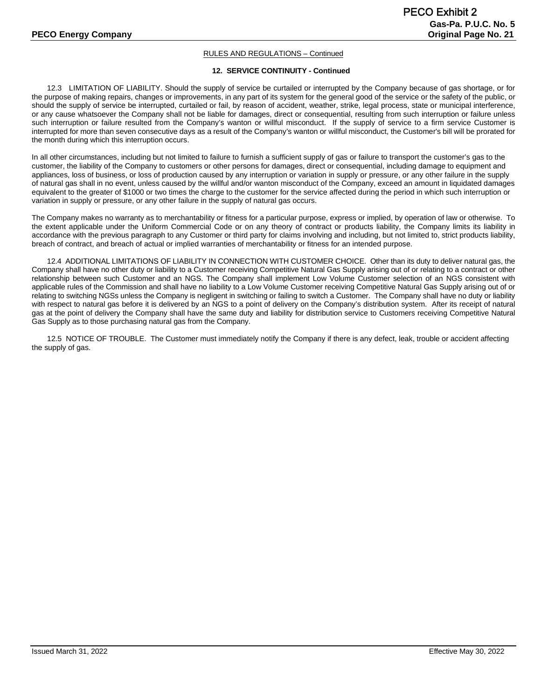#### **12. SERVICE CONTINUITY - Continued**

12.3 LIMITATION OF LIABILITY. Should the supply of service be curtailed or interrupted by the Company because of gas shortage, or for the purpose of making repairs, changes or improvements, in any part of its system for the general good of the service or the safety of the public, or should the supply of service be interrupted, curtailed or fail, by reason of accident, weather, strike, legal process, state or municipal interference, or any cause whatsoever the Company shall not be liable for damages, direct or consequential, resulting from such interruption or failure unless such interruption or failure resulted from the Company's wanton or willful misconduct. If the supply of service to a firm service Customer is interrupted for more than seven consecutive days as a result of the Company's wanton or willful misconduct, the Customer's bill will be prorated for the month during which this interruption occurs.

In all other circumstances, including but not limited to failure to furnish a sufficient supply of gas or failure to transport the customer's gas to the customer, the liability of the Company to customers or other persons for damages, direct or consequential, including damage to equipment and appliances, loss of business, or loss of production caused by any interruption or variation in supply or pressure, or any other failure in the supply of natural gas shall in no event, unless caused by the willful and/or wanton misconduct of the Company, exceed an amount in liquidated damages equivalent to the greater of \$1000 or two times the charge to the customer for the service affected during the period in which such interruption or variation in supply or pressure, or any other failure in the supply of natural gas occurs.

The Company makes no warranty as to merchantability or fitness for a particular purpose, express or implied, by operation of law or otherwise. To the extent applicable under the Uniform Commercial Code or on any theory of contract or products liability, the Company limits its liability in accordance with the previous paragraph to any Customer or third party for claims involving and including, but not limited to, strict products liability, breach of contract, and breach of actual or implied warranties of merchantability or fitness for an intended purpose.

12.4 ADDITIONAL LIMITATIONS OF LIABILITY IN CONNECTION WITH CUSTOMER CHOICE. Other than its duty to deliver natural gas, the Company shall have no other duty or liability to a Customer receiving Competitive Natural Gas Supply arising out of or relating to a contract or other relationship between such Customer and an NGS. The Company shall implement Low Volume Customer selection of an NGS consistent with applicable rules of the Commission and shall have no liability to a Low Volume Customer receiving Competitive Natural Gas Supply arising out of or relating to switching NGSs unless the Company is negligent in switching or failing to switch a Customer. The Company shall have no duty or liability with respect to natural gas before it is delivered by an NGS to a point of delivery on the Company's distribution system. After its receipt of natural gas at the point of delivery the Company shall have the same duty and liability for distribution service to Customers receiving Competitive Natural Gas Supply as to those purchasing natural gas from the Company.

12.5 NOTICE OF TROUBLE. The Customer must immediately notify the Company if there is any defect, leak, trouble or accident affecting the supply of gas.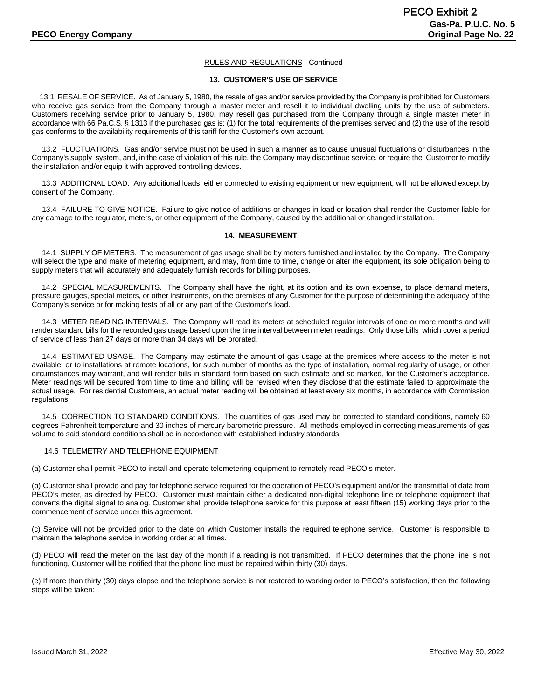# **13. CUSTOMER'S USE OF SERVICE**

13.1 RESALE OF SERVICE. As of January 5, 1980, the resale of gas and/or service provided by the Company is prohibited for Customers who receive gas service from the Company through a master meter and resell it to individual dwelling units by the use of submeters. Customers receiving service prior to January 5, 1980, may resell gas purchased from the Company through a single master meter in accordance with 66 Pa.C.S. § 1313 if the purchased gas is: (1) for the total requirements of the premises served and (2) the use of the resold gas conforms to the availability requirements of this tariff for the Customer's own account.

 13.2 FLUCTUATIONS. Gas and/or service must not be used in such a manner as to cause unusual fluctuations or disturbances in the Company's supply system, and, in the case of violation of this rule, the Company may discontinue service, or require the Customer to modify the installation and/or equip it with approved controlling devices.

 13.3 ADDITIONAL LOAD. Any additional loads, either connected to existing equipment or new equipment, will not be allowed except by consent of the Company.

 13.4 FAILURE TO GIVE NOTICE. Failure to give notice of additions or changes in load or location shall render the Customer liable for any damage to the regulator, meters, or other equipment of the Company, caused by the additional or changed installation.

#### **14. MEASUREMENT**

 14.1 SUPPLY OF METERS. The measurement of gas usage shall be by meters furnished and installed by the Company. The Company will select the type and make of metering equipment, and may, from time to time, change or alter the equipment, its sole obligation being to supply meters that will accurately and adequately furnish records for billing purposes.

 14.2 SPECIAL MEASUREMENTS. The Company shall have the right, at its option and its own expense, to place demand meters, pressure gauges, special meters, or other instruments, on the premises of any Customer for the purpose of determining the adequacy of the Company's service or for making tests of all or any part of the Customer's load.

 14.3 METER READING INTERVALS. The Company will read its meters at scheduled regular intervals of one or more months and will render standard bills for the recorded gas usage based upon the time interval between meter readings. Only those bills which cover a period of service of less than 27 days or more than 34 days will be prorated.

 14.4 ESTIMATED USAGE. The Company may estimate the amount of gas usage at the premises where access to the meter is not available, or to installations at remote locations, for such number of months as the type of installation, normal regularity of usage, or other circumstances may warrant, and will render bills in standard form based on such estimate and so marked, for the Customer's acceptance. Meter readings will be secured from time to time and billing will be revised when they disclose that the estimate failed to approximate the actual usage. For residential Customers, an actual meter reading will be obtained at least every six months, in accordance with Commission regulations.

 14.5 CORRECTION TO STANDARD CONDITIONS. The quantities of gas used may be corrected to standard conditions, namely 60 degrees Fahrenheit temperature and 30 inches of mercury barometric pressure. All methods employed in correcting measurements of gas volume to said standard conditions shall be in accordance with established industry standards.

# 14.6 TELEMETRY AND TELEPHONE EQUIPMENT

(a) Customer shall permit PECO to install and operate telemetering equipment to remotely read PECO's meter.

(b) Customer shall provide and pay for telephone service required for the operation of PECO's equipment and/or the transmittal of data from PECO's meter, as directed by PECO. Customer must maintain either a dedicated non-digital telephone line or telephone equipment that converts the digital signal to analog. Customer shall provide telephone service for this purpose at least fifteen (15) working days prior to the commencement of service under this agreement.

(c) Service will not be provided prior to the date on which Customer installs the required telephone service. Customer is responsible to maintain the telephone service in working order at all times.

(d) PECO will read the meter on the last day of the month if a reading is not transmitted. If PECO determines that the phone line is not functioning, Customer will be notified that the phone line must be repaired within thirty (30) days.

(e) If more than thirty (30) days elapse and the telephone service is not restored to working order to PECO's satisfaction, then the following steps will be taken: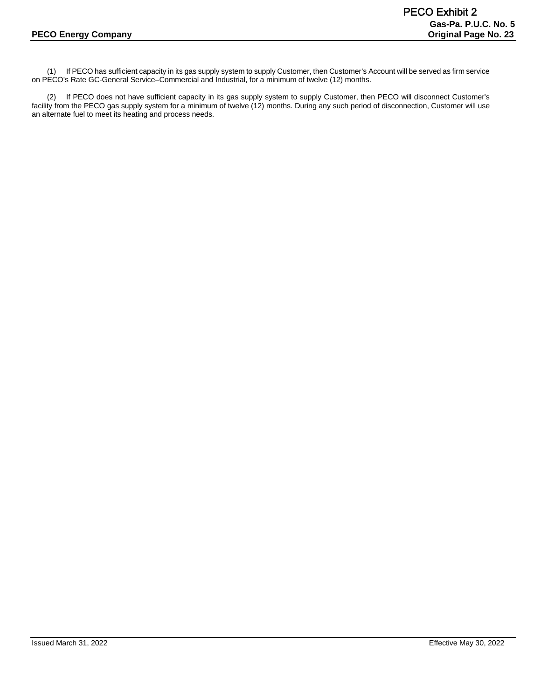(1) If PECO has sufficient capacity in its gas supply system to supply Customer, then Customer's Account will be served as firm service on PECO's Rate GC-General Service–Commercial and Industrial, for a minimum of twelve (12) months.

(2) If PECO does not have sufficient capacity in its gas supply system to supply Customer, then PECO will disconnect Customer's facility from the PECO gas supply system for a minimum of twelve (12) months. During any such period of disconnection, Customer will use an alternate fuel to meet its heating and process needs.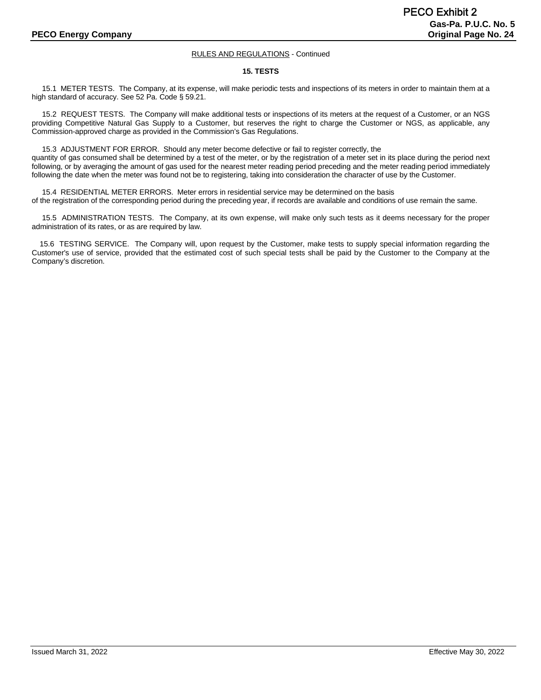#### **15. TESTS**

 15.1 METER TESTS. The Company, at its expense, will make periodic tests and inspections of its meters in order to maintain them at a high standard of accuracy. See 52 Pa. Code § 59.21.

 15.2 REQUEST TESTS. The Company will make additional tests or inspections of its meters at the request of a Customer, or an NGS providing Competitive Natural Gas Supply to a Customer, but reserves the right to charge the Customer or NGS, as applicable, any Commission-approved charge as provided in the Commission's Gas Regulations.

 15.3 ADJUSTMENT FOR ERROR. Should any meter become defective or fail to register correctly, the quantity of gas consumed shall be determined by a test of the meter, or by the registration of a meter set in its place during the period next following, or by averaging the amount of gas used for the nearest meter reading period preceding and the meter reading period immediately following the date when the meter was found not be to registering, taking into consideration the character of use by the Customer.

 15.4 RESIDENTIAL METER ERRORS. Meter errors in residential service may be determined on the basis of the registration of the corresponding period during the preceding year, if records are available and conditions of use remain the same.

 15.5 ADMINISTRATION TESTS. The Company, at its own expense, will make only such tests as it deems necessary for the proper administration of its rates, or as are required by law.

15.6 TESTING SERVICE. The Company will, upon request by the Customer, make tests to supply special information regarding the Customer's use of service, provided that the estimated cost of such special tests shall be paid by the Customer to the Company at the Company's discretion.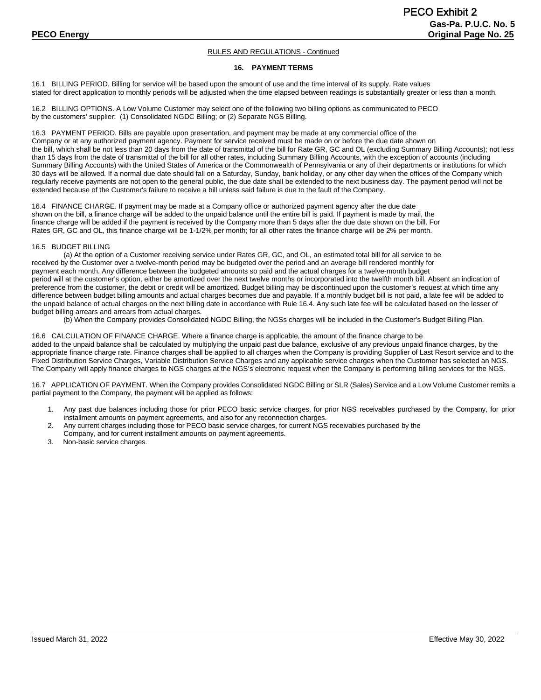#### **16. PAYMENT TERMS**

16.1 BILLING PERIOD. Billing for service will be based upon the amount of use and the time interval of its supply. Rate values stated for direct application to monthly periods will be adjusted when the time elapsed between readings is substantially greater or less than a month.

16.2 BILLING OPTIONS. A Low Volume Customer may select one of the following two billing options as communicated to PECO by the customers' supplier: (1) Consolidated NGDC Billing; or (2) Separate NGS Billing.

16.3 PAYMENT PERIOD. Bills are payable upon presentation, and payment may be made at any commercial office of the Company or at any authorized payment agency. Payment for service received must be made on or before the due date shown on the bill, which shall be not less than 20 days from the date of transmittal of the bill for Rate GR, GC and OL (excluding Summary Billing Accounts); not less than 15 days from the date of transmittal of the bill for all other rates, including Summary Billing Accounts, with the exception of accounts (including Summary Billing Accounts) with the United States of America or the Commonwealth of Pennsylvania or any of their departments or institutions for which 30 days will be allowed. If a normal due date should fall on a Saturday, Sunday, bank holiday, or any other day when the offices of the Company which regularly receive payments are not open to the general public, the due date shall be extended to the next business day. The payment period will not be extended because of the Customer's failure to receive a bill unless said failure is due to the fault of the Company.

16.4 FINANCE CHARGE. If payment may be made at a Company office or authorized payment agency after the due date shown on the bill, a finance charge will be added to the unpaid balance until the entire bill is paid. If payment is made by mail, the finance charge will be added if the payment is received by the Company more than 5 days after the due date shown on the bill. For Rates GR, GC and OL, this finance charge will be 1-1/2% per month; for all other rates the finance charge will be 2% per month.

#### 16.5 BUDGET BILLING

(a) At the option of a Customer receiving service under Rates GR, GC, and OL, an estimated total bill for all service to be received by the Customer over a twelve-month period may be budgeted over the period and an average bill rendered monthly for payment each month. Any difference between the budgeted amounts so paid and the actual charges for a twelve-month budget period will at the customer's option, either be amortized over the next twelve months or incorporated into the twelfth month bill. Absent an indication of preference from the customer, the debit or credit will be amortized. Budget billing may be discontinued upon the customer's request at which time any difference between budget billing amounts and actual charges becomes due and payable. If a monthly budget bill is not paid, a late fee will be added to the unpaid balance of actual charges on the next billing date in accordance with Rule 16.4. Any such late fee will be calculated based on the lesser of budget billing arrears and arrears from actual charges.

(b) When the Company provides Consolidated NGDC Billing, the NGSs charges will be included in the Customer's Budget Billing Plan.

16.6 CALCULATION OF FINANCE CHARGE. Where a finance charge is applicable, the amount of the finance charge to be added to the unpaid balance shall be calculated by multiplying the unpaid past due balance, exclusive of any previous unpaid finance charges, by the appropriate finance charge rate. Finance charges shall be applied to all charges when the Company is providing Supplier of Last Resort service and to the Fixed Distribution Service Charges, Variable Distribution Service Charges and any applicable service charges when the Customer has selected an NGS. The Company will apply finance charges to NGS charges at the NGS's electronic request when the Company is performing billing services for the NGS.

16.7 APPLICATION OF PAYMENT. When the Company provides Consolidated NGDC Billing or SLR (Sales) Service and a Low Volume Customer remits a partial payment to the Company, the payment will be applied as follows:

- 1. Any past due balances including those for prior PECO basic service charges, for prior NGS receivables purchased by the Company, for prior installment amounts on payment agreements, and also for any reconnection charges.
- 2. Any current charges including those for PECO basic service charges, for current NGS receivables purchased by the Company, and for current installment amounts on payment agreements.
- 3. Non-basic service charges.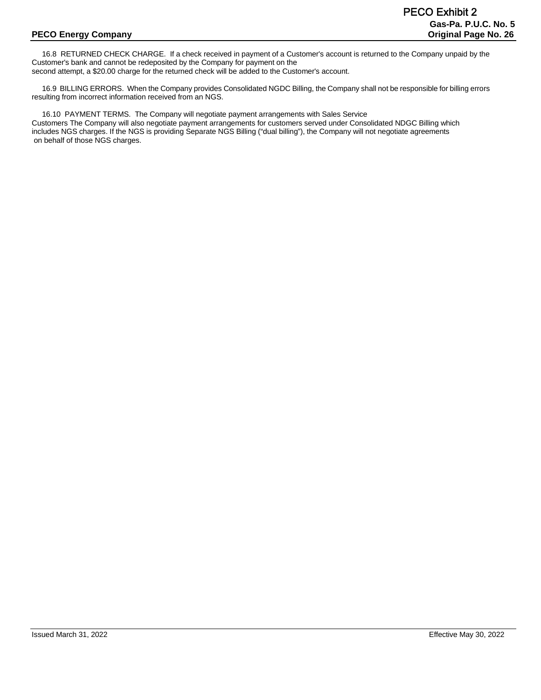16.8 RETURNED CHECK CHARGE. If a check received in payment of a Customer's account is returned to the Company unpaid by the Customer's bank and cannot be redeposited by the Company for payment on the second attempt, a \$20.00 charge for the returned check will be added to the Customer's account.

 16.9 BILLING ERRORS. When the Company provides Consolidated NGDC Billing, the Company shall not be responsible for billing errors resulting from incorrect information received from an NGS.

 16.10 PAYMENT TERMS. The Company will negotiate payment arrangements with Sales Service Customers The Company will also negotiate payment arrangements for customers served under Consolidated NDGC Billing which includes NGS charges. If the NGS is providing Separate NGS Billing ("dual billing"), the Company will not negotiate agreements on behalf of those NGS charges.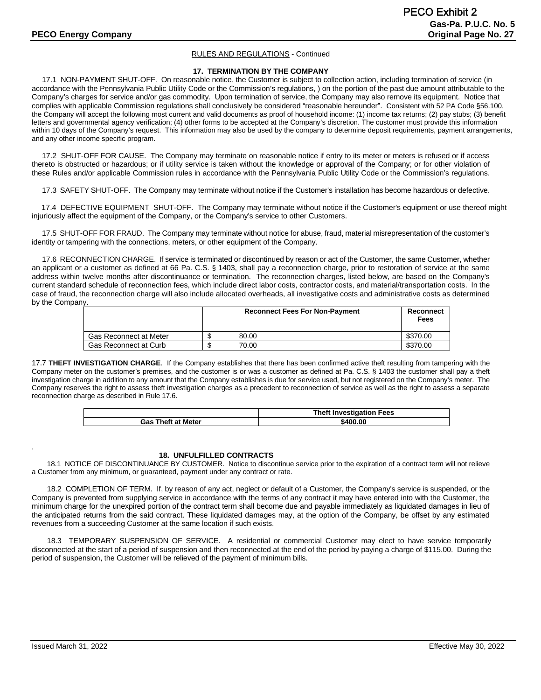#### **17. TERMINATION BY THE COMPANY**

 17.1 NON-PAYMENT SHUT-OFF. On reasonable notice, the Customer is subject to collection action, including termination of service (in accordance with the Pennsylvania Public Utility Code or the Commission's regulations, ) on the portion of the past due amount attributable to the Company's charges for service and/or gas commodity. Upon termination of service, the Company may also remove its equipment. Notice that complies with applicable Commission regulations shall conclusively be considered "reasonable hereunder". Consistent with 52 PA Code §56.100, the Company will accept the following most current and valid documents as proof of household income: (1) income tax returns; (2) pay stubs; (3) benefit letters and governmental agency verification; (4) other forms to be accepted at the Company's discretion. The customer must provide this information within 10 days of the Company's request. This information may also be used by the company to determine deposit requirements, payment arrangements, and any other income specific program.

 17.2 SHUT-OFF FOR CAUSE. The Company may terminate on reasonable notice if entry to its meter or meters is refused or if access thereto is obstructed or hazardous; or if utility service is taken without the knowledge or approval of the Company; or for other violation of these Rules and/or applicable Commission rules in accordance with the Pennsylvania Public Utility Code or the Commission's regulations.

17.3 SAFETY SHUT-OFF. The Company may terminate without notice if the Customer's installation has become hazardous or defective.

 17.4 DEFECTIVE EQUIPMENT SHUT-OFF. The Company may terminate without notice if the Customer's equipment or use thereof might injuriously affect the equipment of the Company, or the Company's service to other Customers.

 17.5 SHUT-OFF FOR FRAUD. The Company may terminate without notice for abuse, fraud, material misrepresentation of the customer's identity or tampering with the connections, meters, or other equipment of the Company.

 17.6 RECONNECTION CHARGE. If service is terminated or discontinued by reason or act of the Customer, the same Customer, whether an applicant or a customer as defined at 66 Pa. C.S. § 1403, shall pay a reconnection charge, prior to restoration of service at the same address within twelve months after discontinuance or termination. The reconnection charges, listed below, are based on the Company's current standard schedule of reconnection fees, which include direct labor costs, contractor costs, and material/transportation costs. In the case of fraud, the reconnection charge will also include allocated overheads, all investigative costs and administrative costs as determined by the Company.

|                        | <b>Reconnect Fees For Non-Payment</b> | Reconnect<br>Fees |
|------------------------|---------------------------------------|-------------------|
| Gas Reconnect at Meter | 80.00                                 | \$370.00          |
| Gas Reconnect at Curb  | 70.00                                 | \$370.00          |

17.7 **THEFT INVESTIGATION CHARGE**. If the Company establishes that there has been confirmed active theft resulting from tampering with the Company meter on the customer's premises, and the customer is or was a customer as defined at Pa. C.S. § 1403 the customer shall pay a theft investigation charge in addition to any amount that the Company establishes is due for service used, but not registered on the Company's meter. The Company reserves the right to assess theft investigation charges as a precedent to reconnection of service as well as the right to assess a separate reconnection charge as described in Rule 17.6.

|                           | <b>Theft Investigation Fees</b> |
|---------------------------|---------------------------------|
| <b>Gas Theft at Meter</b> | \$400.00                        |

#### **18. UNFULFILLED CONTRACTS**

18.1 NOTICE OF DISCONTINUANCE BY CUSTOMER. Notice to discontinue service prior to the expiration of a contract term will not relieve a Customer from any minimum, or guaranteed, payment under any contract or rate.

18.2 COMPLETION OF TERM. If, by reason of any act, neglect or default of a Customer, the Company's service is suspended, or the Company is prevented from supplying service in accordance with the terms of any contract it may have entered into with the Customer, the minimum charge for the unexpired portion of the contract term shall become due and payable immediately as liquidated damages in lieu of the anticipated returns from the said contract. These liquidated damages may, at the option of the Company, be offset by any estimated revenues from a succeeding Customer at the same location if such exists.

18.3 TEMPORARY SUSPENSION OF SERVICE. A residential or commercial Customer may elect to have service temporarily disconnected at the start of a period of suspension and then reconnected at the end of the period by paying a charge of \$115.00. During the period of suspension, the Customer will be relieved of the payment of minimum bills.

.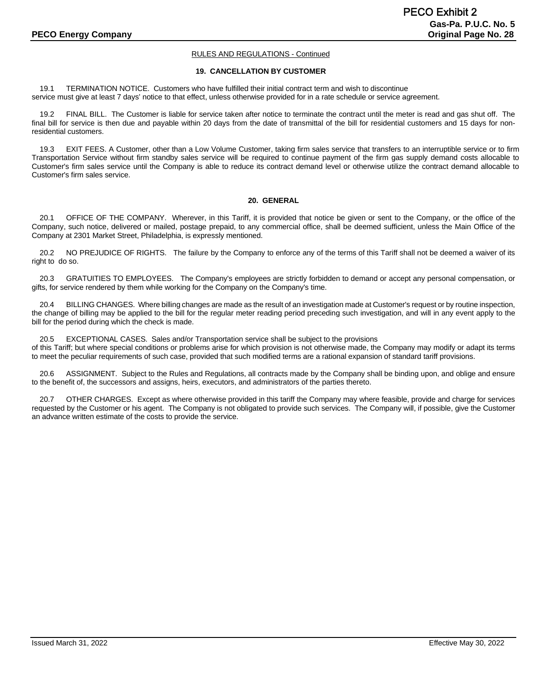#### **19. CANCELLATION BY CUSTOMER**

19.1 TERMINATION NOTICE. Customers who have fulfilled their initial contract term and wish to discontinue service must give at least 7 days' notice to that effect, unless otherwise provided for in a rate schedule or service agreement.

19.2 FINAL BILL. The Customer is liable for service taken after notice to terminate the contract until the meter is read and gas shut off. The final bill for service is then due and payable within 20 days from the date of transmittal of the bill for residential customers and 15 days for nonresidential customers.

19.3 EXIT FEES. A Customer, other than a Low Volume Customer, taking firm sales service that transfers to an interruptible service or to firm Transportation Service without firm standby sales service will be required to continue payment of the firm gas supply demand costs allocable to Customer's firm sales service until the Company is able to reduce its contract demand level or otherwise utilize the contract demand allocable to Customer's firm sales service.

#### **20. GENERAL**

20.1 OFFICE OF THE COMPANY. Wherever, in this Tariff, it is provided that notice be given or sent to the Company, or the office of the Company, such notice, delivered or mailed, postage prepaid, to any commercial office, shall be deemed sufficient, unless the Main Office of the Company at 2301 Market Street, Philadelphia, is expressly mentioned.

20.2 NO PREJUDICE OF RIGHTS. The failure by the Company to enforce any of the terms of this Tariff shall not be deemed a waiver of its right to do so.

20.3 GRATUITIES TO EMPLOYEES. The Company's employees are strictly forbidden to demand or accept any personal compensation, or gifts, for service rendered by them while working for the Company on the Company's time.

20.4 BILLING CHANGES. Where billing changes are made as the result of an investigation made at Customer's request or by routine inspection, the change of billing may be applied to the bill for the regular meter reading period preceding such investigation, and will in any event apply to the bill for the period during which the check is made.

20.5 EXCEPTIONAL CASES. Sales and/or Transportation service shall be subject to the provisions

of this Tariff; but where special conditions or problems arise for which provision is not otherwise made, the Company may modify or adapt its terms to meet the peculiar requirements of such case, provided that such modified terms are a rational expansion of standard tariff provisions.

20.6 ASSIGNMENT. Subject to the Rules and Regulations, all contracts made by the Company shall be binding upon, and oblige and ensure to the benefit of, the successors and assigns, heirs, executors, and administrators of the parties thereto.

20.7 OTHER CHARGES. Except as where otherwise provided in this tariff the Company may where feasible, provide and charge for services requested by the Customer or his agent. The Company is not obligated to provide such services. The Company will, if possible, give the Customer an advance written estimate of the costs to provide the service.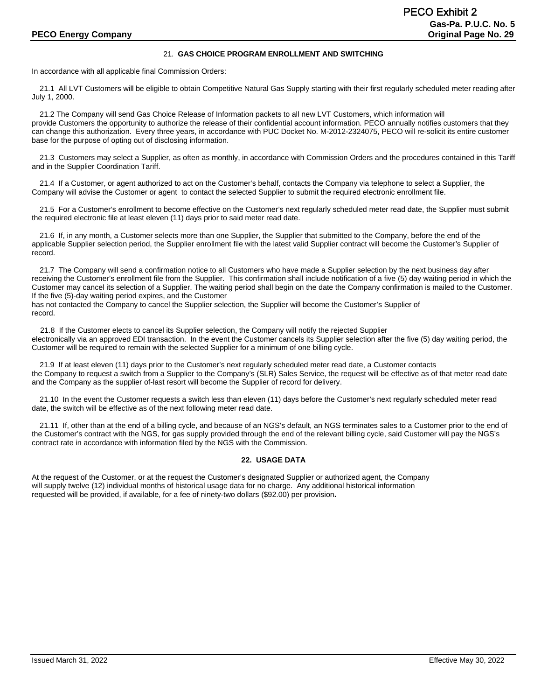#### 21. **GAS CHOICE PROGRAM ENROLLMENT AND SWITCHING**

In accordance with all applicable final Commission Orders:

21.1 All LVT Customers will be eligible to obtain Competitive Natural Gas Supply starting with their first regularly scheduled meter reading after July 1, 2000.

21.2 The Company will send Gas Choice Release of Information packets to all new LVT Customers, which information will provide Customers the opportunity to authorize the release of their confidential account information. PECO annually notifies customers that they can change this authorization. Every three years, in accordance with PUC Docket No. M-2012-2324075, PECO will re-solicit its entire customer base for the purpose of opting out of disclosing information.

21.3 Customers may select a Supplier, as often as monthly, in accordance with Commission Orders and the procedures contained in this Tariff and in the Supplier Coordination Tariff.

21.4 If a Customer, or agent authorized to act on the Customer's behalf, contacts the Company via telephone to select a Supplier, the Company will advise the Customer or agent to contact the selected Supplier to submit the required electronic enrollment file.

21.5 For a Customer's enrollment to become effective on the Customer's next regularly scheduled meter read date, the Supplier must submit the required electronic file at least eleven (11) days prior to said meter read date.

21.6 If, in any month, a Customer selects more than one Supplier, the Supplier that submitted to the Company, before the end of the applicable Supplier selection period, the Supplier enrollment file with the latest valid Supplier contract will become the Customer's Supplier of record.

21.7 The Company will send a confirmation notice to all Customers who have made a Supplier selection by the next business day after receiving the Customer's enrollment file from the Supplier. This confirmation shall include notification of a five (5) day waiting period in which the Customer may cancel its selection of a Supplier. The waiting period shall begin on the date the Company confirmation is mailed to the Customer. If the five (5)-day waiting period expires, and the Customer

has not contacted the Company to cancel the Supplier selection, the Supplier will become the Customer's Supplier of record.

 21.8 If the Customer elects to cancel its Supplier selection, the Company will notify the rejected Supplier electronically via an approved EDI transaction. In the event the Customer cancels its Supplier selection after the five (5) day waiting period, the Customer will be required to remain with the selected Supplier for a minimum of one billing cycle.

21.9 If at least eleven (11) days prior to the Customer's next regularly scheduled meter read date, a Customer contacts the Company to request a switch from a Supplier to the Company's (SLR) Sales Service, the request will be effective as of that meter read date and the Company as the supplier of-last resort will become the Supplier of record for delivery.

21.10 In the event the Customer requests a switch less than eleven (11) days before the Customer's next regularly scheduled meter read date, the switch will be effective as of the next following meter read date.

21.11 If, other than at the end of a billing cycle, and because of an NGS's default, an NGS terminates sales to a Customer prior to the end of the Customer's contract with the NGS, for gas supply provided through the end of the relevant billing cycle, said Customer will pay the NGS's contract rate in accordance with information filed by the NGS with the Commission.

#### **22. USAGE DATA**

At the request of the Customer, or at the request the Customer's designated Supplier or authorized agent, the Company will supply twelve (12) individual months of historical usage data for no charge. Any additional historical information requested will be provided, if available, for a fee of ninety-two dollars (\$92.00) per provision**.**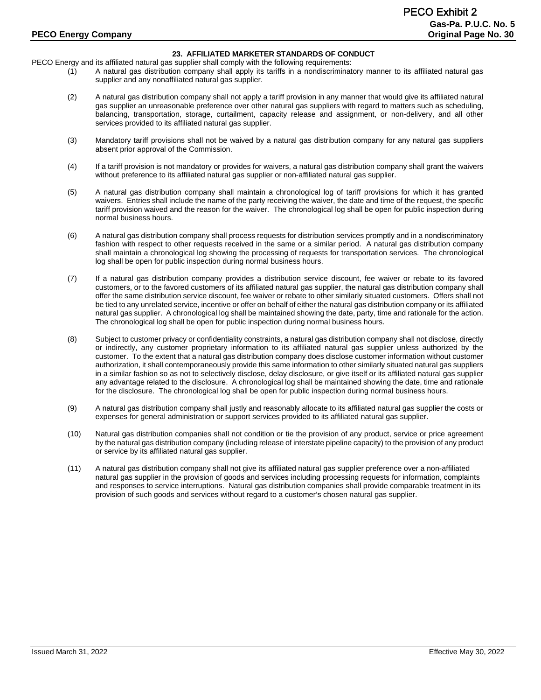# **23. AFFILIATED MARKETER STANDARDS OF CONDUCT**

PECO Energy and its affiliated natural gas supplier shall comply with the following requirements:

- (1) A natural gas distribution company shall apply its tariffs in a nondiscriminatory manner to its affiliated natural gas supplier and any nonaffiliated natural gas supplier.
- (2) A natural gas distribution company shall not apply a tariff provision in any manner that would give its affiliated natural gas supplier an unreasonable preference over other natural gas suppliers with regard to matters such as scheduling, balancing, transportation, storage, curtailment, capacity release and assignment, or non-delivery, and all other services provided to its affiliated natural gas supplier.
- (3) Mandatory tariff provisions shall not be waived by a natural gas distribution company for any natural gas suppliers absent prior approval of the Commission.
- (4) If a tariff provision is not mandatory or provides for waivers, a natural gas distribution company shall grant the waivers without preference to its affiliated natural gas supplier or non-affiliated natural gas supplier.
- (5) A natural gas distribution company shall maintain a chronological log of tariff provisions for which it has granted waivers. Entries shall include the name of the party receiving the waiver, the date and time of the request, the specific tariff provision waived and the reason for the waiver. The chronological log shall be open for public inspection during normal business hours.
- (6) A natural gas distribution company shall process requests for distribution services promptly and in a nondiscriminatory fashion with respect to other requests received in the same or a similar period. A natural gas distribution company shall maintain a chronological log showing the processing of requests for transportation services. The chronological log shall be open for public inspection during normal business hours.
- (7) If a natural gas distribution company provides a distribution service discount, fee waiver or rebate to its favored customers, or to the favored customers of its affiliated natural gas supplier, the natural gas distribution company shall offer the same distribution service discount, fee waiver or rebate to other similarly situated customers. Offers shall not be tied to any unrelated service, incentive or offer on behalf of either the natural gas distribution company or its affiliated natural gas supplier. A chronological log shall be maintained showing the date, party, time and rationale for the action. The chronological log shall be open for public inspection during normal business hours.
- (8) Subject to customer privacy or confidentiality constraints, a natural gas distribution company shall not disclose, directly or indirectly, any customer proprietary information to its affiliated natural gas supplier unless authorized by the customer. To the extent that a natural gas distribution company does disclose customer information without customer authorization, it shall contemporaneously provide this same information to other similarly situated natural gas suppliers in a similar fashion so as not to selectively disclose, delay disclosure, or give itself or its affiliated natural gas supplier any advantage related to the disclosure. A chronological log shall be maintained showing the date, time and rationale for the disclosure. The chronological log shall be open for public inspection during normal business hours.
- (9) A natural gas distribution company shall justly and reasonably allocate to its affiliated natural gas supplier the costs or expenses for general administration or support services provided to its affiliated natural gas supplier.
- (10) Natural gas distribution companies shall not condition or tie the provision of any product, service or price agreement by the natural gas distribution company (including release of interstate pipeline capacity) to the provision of any product or service by its affiliated natural gas supplier.
- (11) A natural gas distribution company shall not give its affiliated natural gas supplier preference over a non-affiliated natural gas supplier in the provision of goods and services including processing requests for information, complaints and responses to service interruptions. Natural gas distribution companies shall provide comparable treatment in its provision of such goods and services without regard to a customer's chosen natural gas supplier.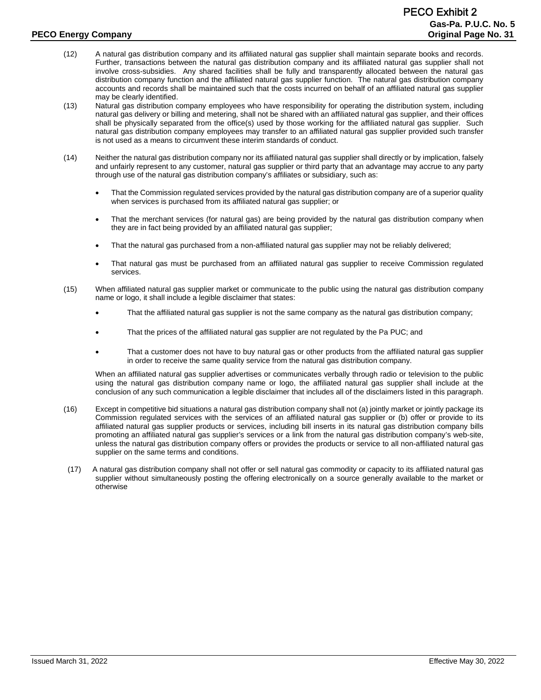- (12) A natural gas distribution company and its affiliated natural gas supplier shall maintain separate books and records. Further, transactions between the natural gas distribution company and its affiliated natural gas supplier shall not involve cross-subsidies. Any shared facilities shall be fully and transparently allocated between the natural gas distribution company function and the affiliated natural gas supplier function. The natural gas distribution company accounts and records shall be maintained such that the costs incurred on behalf of an affiliated natural gas supplier may be clearly identified.
- (13) Natural gas distribution company employees who have responsibility for operating the distribution system, including natural gas delivery or billing and metering, shall not be shared with an affiliated natural gas supplier, and their offices shall be physically separated from the office(s) used by those working for the affiliated natural gas supplier. Such natural gas distribution company employees may transfer to an affiliated natural gas supplier provided such transfer is not used as a means to circumvent these interim standards of conduct.
- (14) Neither the natural gas distribution company nor its affiliated natural gas supplier shall directly or by implication, falsely and unfairly represent to any customer, natural gas supplier or third party that an advantage may accrue to any party through use of the natural gas distribution company's affiliates or subsidiary, such as:
	- That the Commission regulated services provided by the natural gas distribution company are of a superior quality when services is purchased from its affiliated natural gas supplier; or
	- That the merchant services (for natural gas) are being provided by the natural gas distribution company when they are in fact being provided by an affiliated natural gas supplier;
	- That the natural gas purchased from a non-affiliated natural gas supplier may not be reliably delivered;
	- That natural gas must be purchased from an affiliated natural gas supplier to receive Commission regulated services.
- (15) When affiliated natural gas supplier market or communicate to the public using the natural gas distribution company name or logo, it shall include a legible disclaimer that states:
	- That the affiliated natural gas supplier is not the same company as the natural gas distribution company;
	- That the prices of the affiliated natural gas supplier are not regulated by the Pa PUC; and
	- That a customer does not have to buy natural gas or other products from the affiliated natural gas supplier in order to receive the same quality service from the natural gas distribution company.

When an affiliated natural gas supplier advertises or communicates verbally through radio or television to the public using the natural gas distribution company name or logo, the affiliated natural gas supplier shall include at the conclusion of any such communication a legible disclaimer that includes all of the disclaimers listed in this paragraph.

- (16) Except in competitive bid situations a natural gas distribution company shall not (a) jointly market or jointly package its Commission regulated services with the services of an affiliated natural gas supplier or (b) offer or provide to its affiliated natural gas supplier products or services, including bill inserts in its natural gas distribution company bills promoting an affiliated natural gas supplier's services or a link from the natural gas distribution company's web-site, unless the natural gas distribution company offers or provides the products or service to all non-affiliated natural gas supplier on the same terms and conditions.
- (17) A natural gas distribution company shall not offer or sell natural gas commodity or capacity to its affiliated natural gas supplier without simultaneously posting the offering electronically on a source generally available to the market or otherwise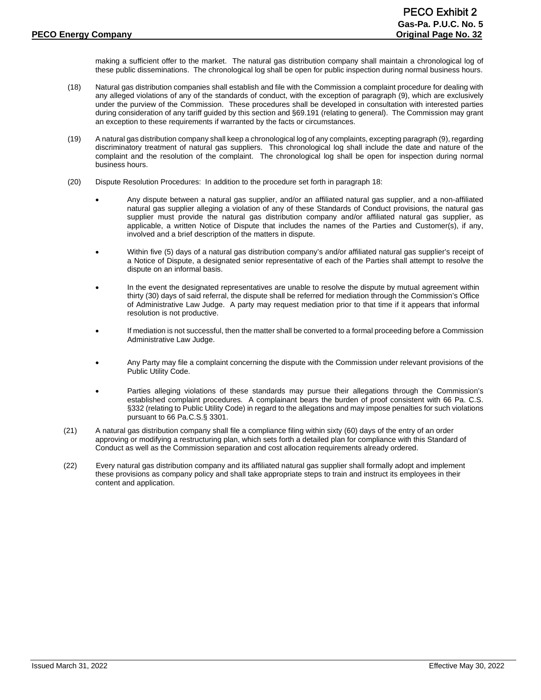making a sufficient offer to the market. The natural gas distribution company shall maintain a chronological log of these public disseminations. The chronological log shall be open for public inspection during normal business hours.

- (18) Natural gas distribution companies shall establish and file with the Commission a complaint procedure for dealing with any alleged violations of any of the standards of conduct, with the exception of paragraph (9), which are exclusively under the purview of the Commission. These procedures shall be developed in consultation with interested parties during consideration of any tariff guided by this section and §69.191 (relating to general). The Commission may grant an exception to these requirements if warranted by the facts or circumstances.
- (19) A natural gas distribution company shall keep a chronological log of any complaints, excepting paragraph (9), regarding discriminatory treatment of natural gas suppliers. This chronological log shall include the date and nature of the complaint and the resolution of the complaint. The chronological log shall be open for inspection during normal business hours.
- (20) Dispute Resolution Procedures: In addition to the procedure set forth in paragraph 18:
	- Any dispute between a natural gas supplier, and/or an affiliated natural gas supplier, and a non-affiliated natural gas supplier alleging a violation of any of these Standards of Conduct provisions, the natural gas supplier must provide the natural gas distribution company and/or affiliated natural gas supplier, as applicable, a written Notice of Dispute that includes the names of the Parties and Customer(s), if any, involved and a brief description of the matters in dispute.
	- Within five (5) days of a natural gas distribution company's and/or affiliated natural gas supplier's receipt of a Notice of Dispute, a designated senior representative of each of the Parties shall attempt to resolve the dispute on an informal basis.
	- In the event the designated representatives are unable to resolve the dispute by mutual agreement within thirty (30) days of said referral, the dispute shall be referred for mediation through the Commission's Office of Administrative Law Judge. A party may request mediation prior to that time if it appears that informal resolution is not productive.
	- If mediation is not successful, then the matter shall be converted to a formal proceeding before a Commission Administrative Law Judge.
	- Any Party may file a complaint concerning the dispute with the Commission under relevant provisions of the Public Utility Code.
	- Parties alleging violations of these standards may pursue their allegations through the Commission's established complaint procedures. A complainant bears the burden of proof consistent with 66 Pa. C.S. §332 (relating to Public Utility Code) in regard to the allegations and may impose penalties for such violations pursuant to 66 Pa.C.S.§ 3301.
- (21) A natural gas distribution company shall file a compliance filing within sixty (60) days of the entry of an order approving or modifying a restructuring plan, which sets forth a detailed plan for compliance with this Standard of Conduct as well as the Commission separation and cost allocation requirements already ordered.
- (22) Every natural gas distribution company and its affiliated natural gas supplier shall formally adopt and implement these provisions as company policy and shall take appropriate steps to train and instruct its employees in their content and application.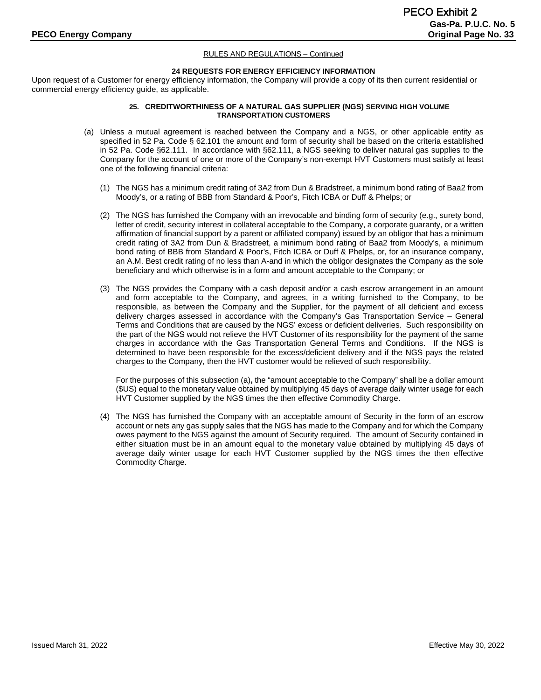#### **24 REQUESTS FOR ENERGY EFFICIENCY INFORMATION**

Upon request of a Customer for energy efficiency information, the Company will provide a copy of its then current residential or commercial energy efficiency guide, as applicable.

#### **25. CREDITWORTHINESS OF A NATURAL GAS SUPPLIER (NGS) SERVING HIGH VOLUME TRANSPORTATION CUSTOMERS**

- (a) Unless a mutual agreement is reached between the Company and a NGS, or other applicable entity as specified in 52 Pa. Code § 62.101 the amount and form of security shall be based on the criteria established in 52 Pa. Code §62.111. In accordance with §62.111, a NGS seeking to deliver natural gas supplies to the Company for the account of one or more of the Company's non-exempt HVT Customers must satisfy at least one of the following financial criteria:
	- (1) The NGS has a minimum credit rating of 3A2 from Dun & Bradstreet, a minimum bond rating of Baa2 from Moody's, or a rating of BBB from Standard & Poor's, Fitch ICBA or Duff & Phelps; or
	- (2) The NGS has furnished the Company with an irrevocable and binding form of security (e.g., surety bond, letter of credit, security interest in collateral acceptable to the Company, a corporate guaranty, or a written affirmation of financial support by a parent or affiliated company) issued by an obligor that has a minimum credit rating of 3A2 from Dun & Bradstreet, a minimum bond rating of Baa2 from Moody's, a minimum bond rating of BBB from Standard & Poor's, Fitch ICBA or Duff & Phelps, or, for an insurance company, an A.M. Best credit rating of no less than A-and in which the obligor designates the Company as the sole beneficiary and which otherwise is in a form and amount acceptable to the Company; or
	- (3) The NGS provides the Company with a cash deposit and/or a cash escrow arrangement in an amount and form acceptable to the Company, and agrees, in a writing furnished to the Company, to be responsible, as between the Company and the Supplier, for the payment of all deficient and excess delivery charges assessed in accordance with the Company's Gas Transportation Service – General Terms and Conditions that are caused by the NGS' excess or deficient deliveries. Such responsibility on the part of the NGS would not relieve the HVT Customer of its responsibility for the payment of the same charges in accordance with the Gas Transportation General Terms and Conditions. If the NGS is determined to have been responsible for the excess/deficient delivery and if the NGS pays the related charges to the Company, then the HVT customer would be relieved of such responsibility.

For the purposes of this subsection (a)**,** the "amount acceptable to the Company" shall be a dollar amount (\$US) equal to the monetary value obtained by multiplying 45 days of average daily winter usage for each HVT Customer supplied by the NGS times the then effective Commodity Charge.

(4) The NGS has furnished the Company with an acceptable amount of Security in the form of an escrow account or nets any gas supply sales that the NGS has made to the Company and for which the Company owes payment to the NGS against the amount of Security required. The amount of Security contained in either situation must be in an amount equal to the monetary value obtained by multiplying 45 days of average daily winter usage for each HVT Customer supplied by the NGS times the then effective Commodity Charge.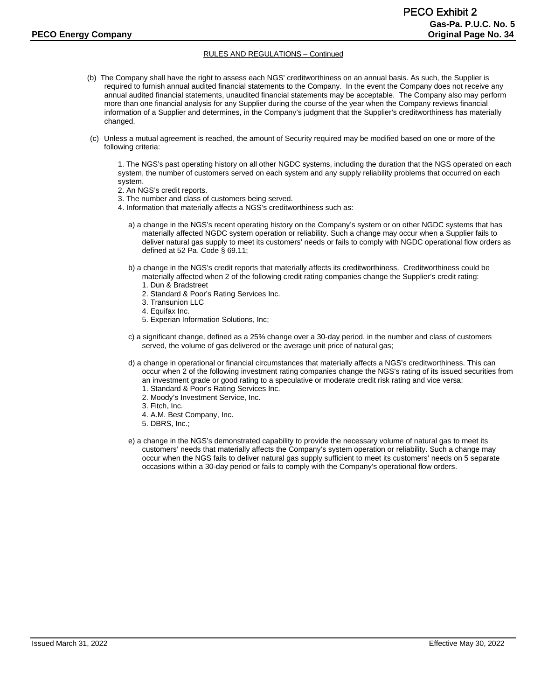- (b) The Company shall have the right to assess each NGS' creditworthiness on an annual basis. As such, the Supplier is required to furnish annual audited financial statements to the Company. In the event the Company does not receive any annual audited financial statements, unaudited financial statements may be acceptable. The Company also may perform more than one financial analysis for any Supplier during the course of the year when the Company reviews financial information of a Supplier and determines, in the Company's judgment that the Supplier's creditworthiness has materially changed.
- (c) Unless a mutual agreement is reached, the amount of Security required may be modified based on one or more of the following criteria:

1. The NGS's past operating history on all other NGDC systems, including the duration that the NGS operated on each system, the number of customers served on each system and any supply reliability problems that occurred on each system.

- 2. An NGS's credit reports.
- 3. The number and class of customers being served.
- 4. Information that materially affects a NGS's creditworthiness such as:
	- a) a change in the NGS's recent operating history on the Company's system or on other NGDC systems that has materially affected NGDC system operation or reliability. Such a change may occur when a Supplier fails to deliver natural gas supply to meet its customers' needs or fails to comply with NGDC operational flow orders as defined at 52 Pa. Code § 69.11;
	- b) a change in the NGS's credit reports that materially affects its creditworthiness. Creditworthiness could be materially affected when 2 of the following credit rating companies change the Supplier's credit rating:
		- 1. Dun & Bradstreet
		- 2. Standard & Poor's Rating Services Inc.
		- 3. Transunion LLC
		- 4. Equifax Inc.
		- 5. Experian Information Solutions, Inc;
	- c) a significant change, defined as a 25% change over a 30-day period, in the number and class of customers served, the volume of gas delivered or the average unit price of natural gas;
	- d) a change in operational or financial circumstances that materially affects a NGS's creditworthiness. This can occur when 2 of the following investment rating companies change the NGS's rating of its issued securities from
		- an investment grade or good rating to a speculative or moderate credit risk rating and vice versa:
		- 1. Standard & Poor's Rating Services Inc.
		- 2. Moody's Investment Service, Inc.
		- 3. Fitch, Inc.
		- 4. A.M. Best Company, Inc.
		- 5. DBRS, Inc.;
	- e) a change in the NGS's demonstrated capability to provide the necessary volume of natural gas to meet its customers' needs that materially affects the Company's system operation or reliability. Such a change may occur when the NGS fails to deliver natural gas supply sufficient to meet its customers' needs on 5 separate occasions within a 30-day period or fails to comply with the Company's operational flow orders.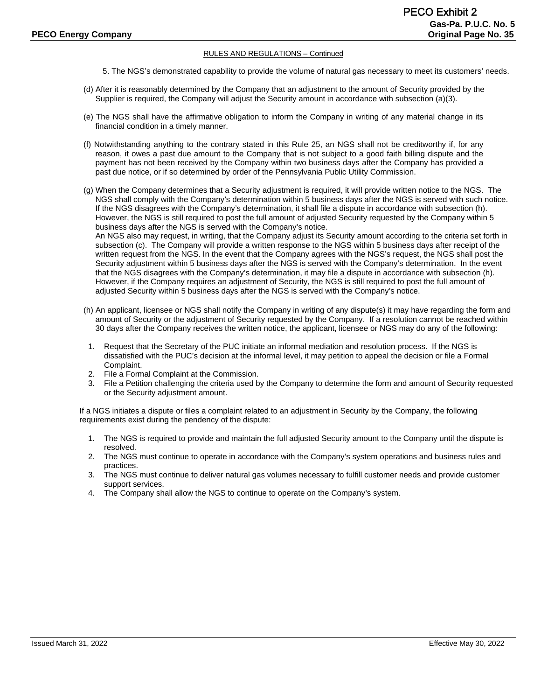- 5. The NGS's demonstrated capability to provide the volume of natural gas necessary to meet its customers' needs.
- (d) After it is reasonably determined by the Company that an adjustment to the amount of Security provided by the Supplier is required, the Company will adjust the Security amount in accordance with subsection (a)(3).
- (e) The NGS shall have the affirmative obligation to inform the Company in writing of any material change in its financial condition in a timely manner.
- (f) Notwithstanding anything to the contrary stated in this Rule 25, an NGS shall not be creditworthy if, for any reason, it owes a past due amount to the Company that is not subject to a good faith billing dispute and the payment has not been received by the Company within two business days after the Company has provided a past due notice, or if so determined by order of the Pennsylvania Public Utility Commission.
- (g) When the Company determines that a Security adjustment is required, it will provide written notice to the NGS. The NGS shall comply with the Company's determination within 5 business days after the NGS is served with such notice. If the NGS disagrees with the Company's determination, it shall file a dispute in accordance with subsection (h). However, the NGS is still required to post the full amount of adjusted Security requested by the Company within 5 business days after the NGS is served with the Company's notice. An NGS also may request, in writing, that the Company adjust its Security amount according to the criteria set forth in subsection (c). The Company will provide a written response to the NGS within 5 business days after receipt of the written request from the NGS. In the event that the Company agrees with the NGS's request, the NGS shall post the Security adjustment within 5 business days after the NGS is served with the Company's determination. In the event that the NGS disagrees with the Company's determination, it may file a dispute in accordance with subsection (h). However, if the Company requires an adjustment of Security, the NGS is still required to post the full amount of adjusted Security within 5 business days after the NGS is served with the Company's notice.
- (h) An applicant, licensee or NGS shall notify the Company in writing of any dispute(s) it may have regarding the form and amount of Security or the adjustment of Security requested by the Company. If a resolution cannot be reached within 30 days after the Company receives the written notice, the applicant, licensee or NGS may do any of the following:
- 1. Request that the Secretary of the PUC initiate an informal mediation and resolution process. If the NGS is dissatisfied with the PUC's decision at the informal level, it may petition to appeal the decision or file a Formal Complaint.
- 2. File a Formal Complaint at the Commission.
- 3. File a Petition challenging the criteria used by the Company to determine the form and amount of Security requested or the Security adjustment amount.

If a NGS initiates a dispute or files a complaint related to an adjustment in Security by the Company, the following requirements exist during the pendency of the dispute:

- 1. The NGS is required to provide and maintain the full adjusted Security amount to the Company until the dispute is resolved.
- 2. The NGS must continue to operate in accordance with the Company's system operations and business rules and practices.
- 3. The NGS must continue to deliver natural gas volumes necessary to fulfill customer needs and provide customer support services.
- 4. The Company shall allow the NGS to continue to operate on the Company's system.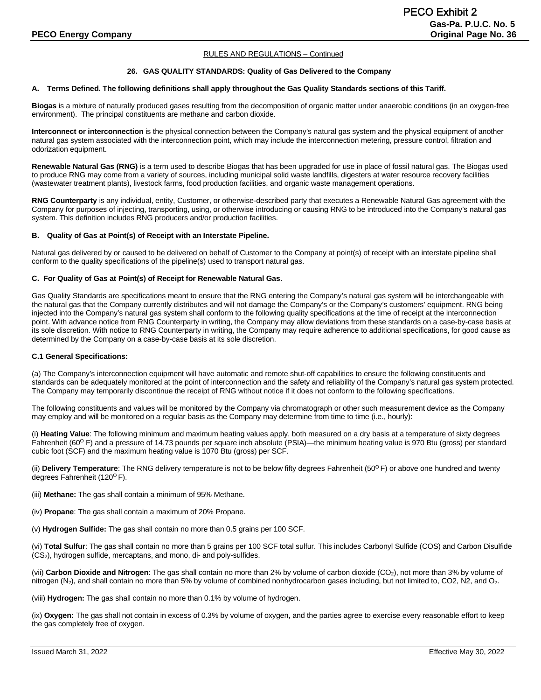#### **26. GAS QUALITY STANDARDS: Quality of Gas Delivered to the Company**

#### **A. Terms Defined. The following definitions shall apply throughout the Gas Quality Standards sections of this Tariff.**

**Biogas** is a mixture of naturally produced gases resulting from the decomposition of organic matter under anaerobic conditions (in an oxygen-free environment). The principal constituents are methane and carbon dioxide.

**Interconnect or interconnection** is the physical connection between the Company's natural gas system and the physical equipment of another natural gas system associated with the interconnection point, which may include the interconnection metering, pressure control, filtration and odorization equipment.

**Renewable Natural Gas (RNG)** is a term used to describe Biogas that has been upgraded for use in place of fossil natural gas. The Biogas used to produce RNG may come from a variety of sources, including municipal solid waste landfills, digesters at water resource recovery facilities (wastewater treatment plants), livestock farms, food production facilities, and organic waste management operations.

**RNG Counterparty** is any individual, entity, Customer, or otherwise-described party that executes a Renewable Natural Gas agreement with the Company for purposes of injecting, transporting, using, or otherwise introducing or causing RNG to be introduced into the Company's natural gas system. This definition includes RNG producers and/or production facilities.

#### **B. Quality of Gas at Point(s) of Receipt with an Interstate Pipeline.**

Natural gas delivered by or caused to be delivered on behalf of Customer to the Company at point(s) of receipt with an interstate pipeline shall conform to the quality specifications of the pipeline(s) used to transport natural gas.

#### **C. For Quality of Gas at Point(s) of Receipt for Renewable Natural Gas**.

Gas Quality Standards are specifications meant to ensure that the RNG entering the Company's natural gas system will be interchangeable with the natural gas that the Company currently distributes and will not damage the Company's or the Company's customers' equipment. RNG being injected into the Company's natural gas system shall conform to the following quality specifications at the time of receipt at the interconnection point. With advance notice from RNG Counterparty in writing, the Company may allow deviations from these standards on a case-by-case basis at its sole discretion. With notice to RNG Counterparty in writing, the Company may require adherence to additional specifications, for good cause as determined by the Company on a case-by-case basis at its sole discretion.

#### **C.1 General Specifications:**

(a) The Company's interconnection equipment will have automatic and remote shut-off capabilities to ensure the following constituents and standards can be adequately monitored at the point of interconnection and the safety and reliability of the Company's natural gas system protected. The Company may temporarily discontinue the receipt of RNG without notice if it does not conform to the following specifications.

The following constituents and values will be monitored by the Company via chromatograph or other such measurement device as the Company may employ and will be monitored on a regular basis as the Company may determine from time to time (i.e., hourly):

(i) **Heating Value**: The following minimum and maximum heating values apply, both measured on a dry basis at a temperature of sixty degrees Fahrenheit (60<sup>o</sup> F) and a pressure of 14.73 pounds per square inch absolute (PSIA)—the minimum heating value is 970 Btu (gross) per standard cubic foot (SCF) and the maximum heating value is 1070 Btu (gross) per SCF.

(ii) **Delivery Temperature**: The RNG delivery temperature is not to be below fifty degrees Fahrenheit (50<sup>o</sup>F) or above one hundred and twenty degrees Fahrenheit (120<sup>o</sup> F).

(iii) **Methane:** The gas shall contain a minimum of 95% Methane.

(iv) **Propane**: The gas shall contain a maximum of 20% Propane.

(v) **Hydrogen Sulfide:** The gas shall contain no more than 0.5 grains per 100 SCF.

(vi) **Total Sulfur**: The gas shall contain no more than 5 grains per 100 SCF total sulfur. This includes Carbonyl Sulfide (COS) and Carbon Disulfide (CS2), hydrogen sulfide, mercaptans, and mono, di- and poly-sulfides.

(vii) **Carbon Dioxide and Nitrogen**: The gas shall contain no more than 2% by volume of carbon dioxide (CO<sub>2</sub>), not more than 3% by volume of nitrogen (N<sub>2</sub>), and shall contain no more than 5% by volume of combined nonhydrocarbon gases including, but not limited to, CO2, N2, and O<sub>2</sub>.

(viii) **Hydrogen:** The gas shall contain no more than 0.1% by volume of hydrogen.

(ix) **Oxygen:** The gas shall not contain in excess of 0.3% by volume of oxygen, and the parties agree to exercise every reasonable effort to keep the gas completely free of oxygen.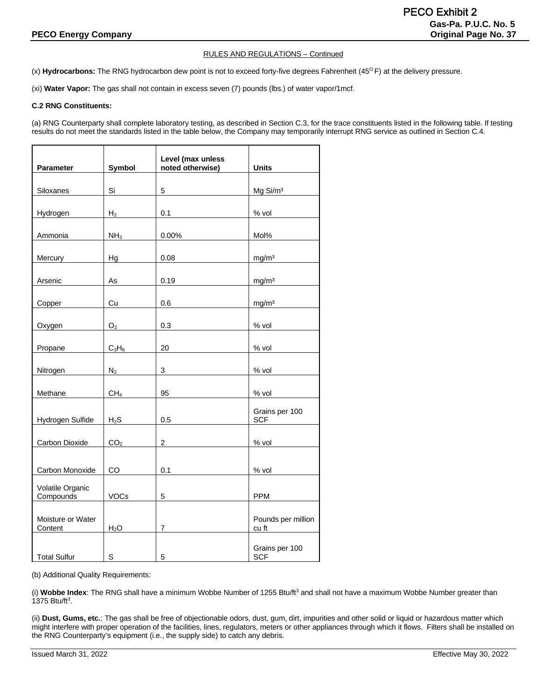(x) Hydrocarbons: The RNG hydrocarbon dew point is not to exceed forty-five degrees Fahrenheit (45<sup>o</sup> F) at the delivery pressure.

(xi) **Water Vapor:** The gas shall not contain in excess seven (7) pounds (lbs.) of water vapor/1mcf.

#### **C.2 RNG Constituents:**

(a) RNG Counterparty shall complete laboratory testing, as described in Section C.3, for the trace constituents listed in the following table. If testing results do not meet the standards listed in the table below, the Company may temporarily interrupt RNG service as outlined in Section C.4.

|                               |                  | Level (max unless |                              |
|-------------------------------|------------------|-------------------|------------------------------|
| Parameter                     | <b>Symbol</b>    | noted otherwise)  | <b>Units</b>                 |
| Siloxanes                     | Si               | 5                 | Mg Si/m <sup>3</sup>         |
| Hydrogen                      | H <sub>2</sub>   | 0.1               | % vol                        |
| Ammonia                       | NH <sub>3</sub>  | 0.00%             | Mol%                         |
| Mercury                       | Hg               | 0.08              | mg/m <sup>3</sup>            |
| Arsenic                       | As               | 0.19              | mg/m <sup>3</sup>            |
| Copper                        | Cu               | 0.6               | mg/m <sup>3</sup>            |
| Oxygen                        | O <sub>2</sub>   | 0.3               | $%$ vol                      |
| Propane                       | $C_3H_8$         | 20                | $%$ vol                      |
| Nitrogen                      | $N_2$            | 3                 | % vol                        |
| Methane                       | CH <sub>4</sub>  | 95                | $%$ vol                      |
| Hydrogen Sulfide              | $H_2S$           | 0.5               | Grains per 100<br><b>SCF</b> |
| Carbon Dioxide                | CO <sub>2</sub>  | $\overline{2}$    | $%$ vol                      |
| Carbon Monoxide               | <b>CO</b>        | 0.1               | $%$ vol                      |
| Volatile Organic<br>Compounds | VOCs             | 5                 | <b>PPM</b>                   |
| Moisture or Water<br>Content  | H <sub>2</sub> O | $\overline{7}$    | Pounds per million<br>cu ft  |
| <b>Total Sulfur</b>           | S                | 5                 | Grains per 100<br><b>SCF</b> |

(b) Additional Quality Requirements:

(i) Wobbe Index: The RNG shall have a minimum Wobbe Number of 1255 Btu/ft<sup>3</sup> and shall not have a maximum Wobbe Number greater than 1375 Btu/ft<sup>3</sup>.

(ii) **Dust, Gums, etc.**: The gas shall be free of objectionable odors, dust, gum, dirt, impurities and other solid or liquid or hazardous matter which might interfere with proper operation of the facilities, lines, regulators, meters or other appliances through which it flows. Filters shall be installed on the RNG Counterparty's equipment (i.e., the supply side) to catch any debris.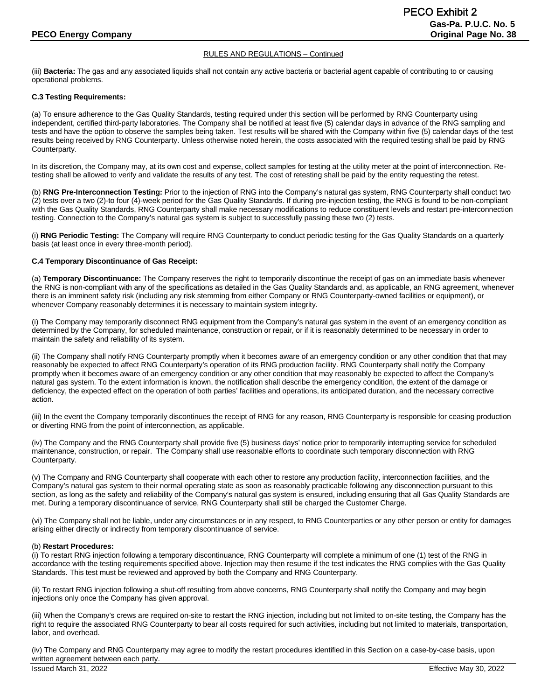(iii) **Bacteria:** The gas and any associated liquids shall not contain any active bacteria or bacterial agent capable of contributing to or causing operational problems.

#### **C.3 Testing Requirements:**

(a) To ensure adherence to the Gas Quality Standards, testing required under this section will be performed by RNG Counterparty using independent, certified third-party laboratories. The Company shall be notified at least five (5) calendar days in advance of the RNG sampling and tests and have the option to observe the samples being taken. Test results will be shared with the Company within five (5) calendar days of the test results being received by RNG Counterparty. Unless otherwise noted herein, the costs associated with the required testing shall be paid by RNG Counterparty.

In its discretion, the Company may, at its own cost and expense, collect samples for testing at the utility meter at the point of interconnection. Retesting shall be allowed to verify and validate the results of any test. The cost of retesting shall be paid by the entity requesting the retest.

(b) **RNG Pre-Interconnection Testing:** Prior to the injection of RNG into the Company's natural gas system, RNG Counterparty shall conduct two (2) tests over a two (2)-to four (4)-week period for the Gas Quality Standards. If during pre-injection testing, the RNG is found to be non-compliant with the Gas Quality Standards, RNG Counterparty shall make necessary modifications to reduce constituent levels and restart pre-interconnection testing. Connection to the Company's natural gas system is subject to successfully passing these two (2) tests.

(i) **RNG Periodic Testing:** The Company will require RNG Counterparty to conduct periodic testing for the Gas Quality Standards on a quarterly basis (at least once in every three-month period).

#### **C.4 Temporary Discontinuance of Gas Receipt:**

(a) **Temporary Discontinuance:** The Company reserves the right to temporarily discontinue the receipt of gas on an immediate basis whenever the RNG is non-compliant with any of the specifications as detailed in the Gas Quality Standards and, as applicable, an RNG agreement, whenever there is an imminent safety risk (including any risk stemming from either Company or RNG Counterparty-owned facilities or equipment), or whenever Company reasonably determines it is necessary to maintain system integrity.

(i) The Company may temporarily disconnect RNG equipment from the Company's natural gas system in the event of an emergency condition as determined by the Company, for scheduled maintenance, construction or repair, or if it is reasonably determined to be necessary in order to maintain the safety and reliability of its system.

(ii) The Company shall notify RNG Counterparty promptly when it becomes aware of an emergency condition or any other condition that that may reasonably be expected to affect RNG Counterparty's operation of its RNG production facility. RNG Counterparty shall notify the Company promptly when it becomes aware of an emergency condition or any other condition that may reasonably be expected to affect the Company's natural gas system. To the extent information is known, the notification shall describe the emergency condition, the extent of the damage or deficiency, the expected effect on the operation of both parties' facilities and operations, its anticipated duration, and the necessary corrective action.

(iii) In the event the Company temporarily discontinues the receipt of RNG for any reason, RNG Counterparty is responsible for ceasing production or diverting RNG from the point of interconnection, as applicable.

(iv) The Company and the RNG Counterparty shall provide five (5) business days' notice prior to temporarily interrupting service for scheduled maintenance, construction, or repair. The Company shall use reasonable efforts to coordinate such temporary disconnection with RNG Counterparty.

(v) The Company and RNG Counterparty shall cooperate with each other to restore any production facility, interconnection facilities, and the Company's natural gas system to their normal operating state as soon as reasonably practicable following any disconnection pursuant to this section, as long as the safety and reliability of the Company's natural gas system is ensured, including ensuring that all Gas Quality Standards are met. During a temporary discontinuance of service, RNG Counterparty shall still be charged the Customer Charge.

(vi) The Company shall not be liable, under any circumstances or in any respect, to RNG Counterparties or any other person or entity for damages arising either directly or indirectly from temporary discontinuance of service.

#### (b) **Restart Procedures:**

(i) To restart RNG injection following a temporary discontinuance, RNG Counterparty will complete a minimum of one (1) test of the RNG in accordance with the testing requirements specified above. Injection may then resume if the test indicates the RNG complies with the Gas Quality Standards. This test must be reviewed and approved by both the Company and RNG Counterparty.

(ii) To restart RNG injection following a shut-off resulting from above concerns, RNG Counterparty shall notify the Company and may begin injections only once the Company has given approval.

(iii) When the Company's crews are required on-site to restart the RNG injection, including but not limited to on-site testing, the Company has the right to require the associated RNG Counterparty to bear all costs required for such activities, including but not limited to materials, transportation, labor, and overhead.

(iv) The Company and RNG Counterparty may agree to modify the restart procedures identified in this Section on a case-by-case basis, upon written agreement between each party.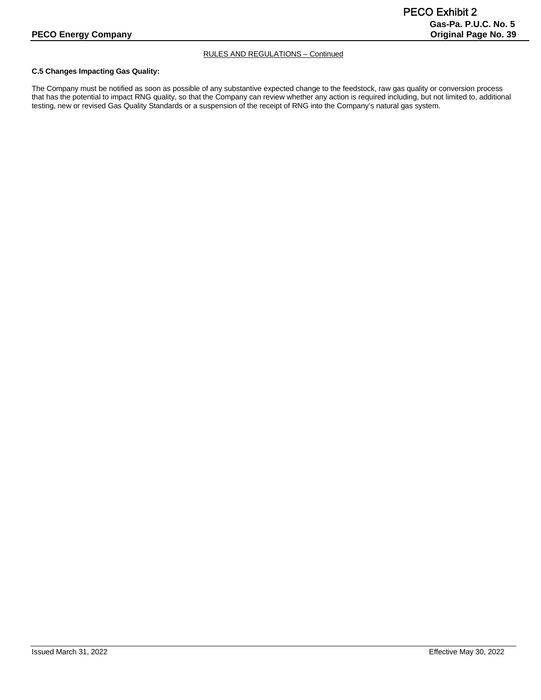#### **C.5 Changes Impacting Gas Quality:**

The Company must be notified as soon as possible of any substantive expected change to the feedstock, raw gas quality or conversion process that has the potential to impact RNG quality, so that the Company can review whether any action is required including, but not limited to, additional testing, new or revised Gas Quality Standards or a suspension of the receipt of RNG into the Company's natural gas system.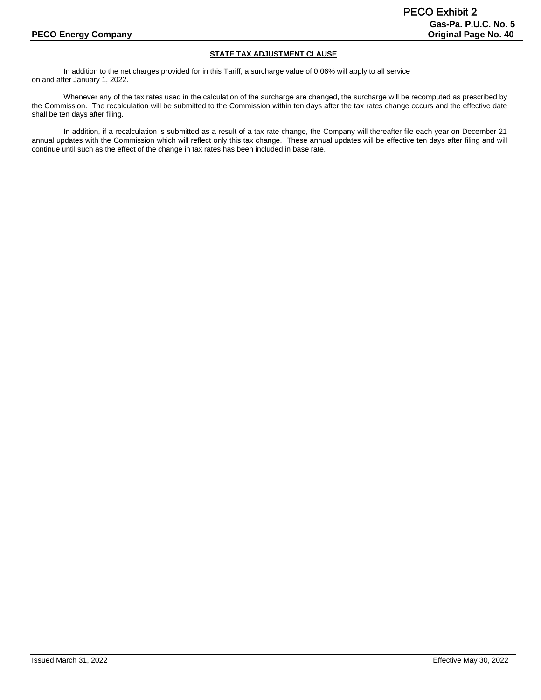# **STATE TAX ADJUSTMENT CLAUSE**

In addition to the net charges provided for in this Tariff, a surcharge value of 0.06% will apply to all service on and after January 1, 2022.

Whenever any of the tax rates used in the calculation of the surcharge are changed, the surcharge will be recomputed as prescribed by the Commission. The recalculation will be submitted to the Commission within ten days after the tax rates change occurs and the effective date shall be ten days after filing.

In addition, if a recalculation is submitted as a result of a tax rate change, the Company will thereafter file each year on December 21 annual updates with the Commission which will reflect only this tax change. These annual updates will be effective ten days after filing and will continue until such as the effect of the change in tax rates has been included in base rate.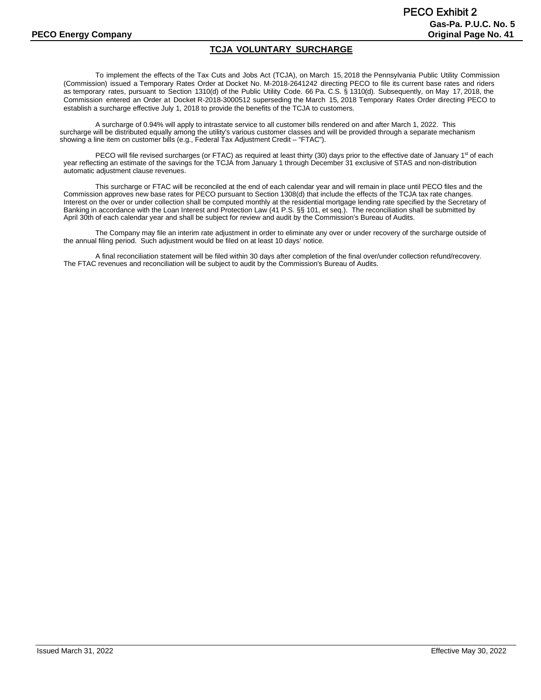# **TCJA VOLUNTARY SURCHARGE**

To implement the effects of the Tax Cuts and Jobs Act (TCJA), on March 15, 2018 the Pennsylvania Public Utility Commission (Commission) issued a Temporary Rates Order at Docket No. M-2018-2641242 directing PECO to file its current base rates and riders as temporary rates, pursuant to Section 1310(d) of the Public Utility Code. 66 Pa. C.S. § 1310(d). Subsequently, on May 17, 2018, the Commission entered an Order at Docket R-2018-3000512 superseding the March 15, 2018 Temporary Rates Order directing PECO to establish a surcharge effective July 1, 2018 to provide the benefits of the TCJA to customers.

A surcharge of 0.94% will apply to intrastate service to all customer bills rendered on and after March 1, 2022. This surcharge will be distributed equally among the utility's various customer classes and will be provided through a separate mechanism showing a line item on customer bills (e.g., Federal Tax Adjustment Credit – "FTAC").

PECO will file revised surcharges (or FTAC) as required at least thirty (30) days prior to the effective date of January 1<sup>st</sup> of each year reflecting an estimate of the savings for the TCJA from January 1 through December 31 exclusive of STAS and non-distribution automatic adjustment clause revenues.

This surcharge or FTAC will be reconciled at the end of each calendar year and will remain in place until PECO files and the Commission approves new base rates for PECO pursuant to Section 1308(d) that include the effects of the TCJA tax rate changes. Interest on the over or under collection shall be computed monthly at the residential mortgage lending rate specified by the Secretary of Banking in accordance with the Loan Interest and Protection Law (41 P.S. §§ 101, et seq.). The reconciliation shall be submitted by April 30th of each calendar year and shall be subject for review and audit by the Commission's Bureau of Audits.

The Company may file an interim rate adjustment in order to eliminate any over or under recovery of the surcharge outside of the annual filing period. Such adjustment would be filed on at least 10 days' notice.

A final reconciliation statement will be filed within 30 days after completion of the final over/under collection refund/recovery. The FTAC revenues and reconciliation will be subject to audit by the Commission's Bureau of Audits.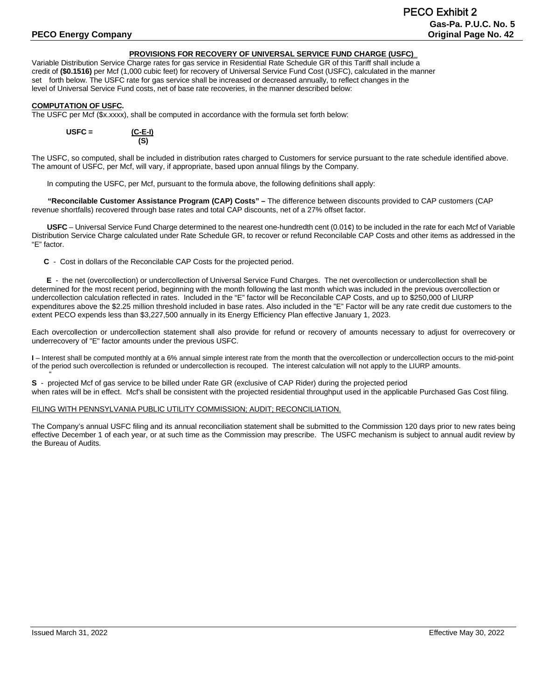# **Gas-Pa. P.U.C. No. 5 PECO Energy Company Company Company Company Company Company Company Company Company Company Company Company Company Company Company Company Company Company Company Company Company Company Company Company Company Company C** PECO Exhibit 2

#### **PROVISIONS FOR RECOVERY OF UNIVERSAL SERVICE FUND CHARGE (USFC)\_**

Variable Distribution Service Charge rates for gas service in Residential Rate Schedule GR of this Tariff shall include a credit of **(\$0.1516)** per Mcf (1,000 cubic feet) for recovery of Universal Service Fund Cost (USFC), calculated in the manner set forth below. The USFC rate for gas service shall be increased or decreased annually, to reflect changes in the level of Universal Service Fund costs, net of base rate recoveries, in the manner described below:

#### **COMPUTATION OF USFC.**

The USFC per Mcf (\$x.xxxx), shall be computed in accordance with the formula set forth below:



The USFC, so computed, shall be included in distribution rates charged to Customers for service pursuant to the rate schedule identified above. The amount of USFC, per Mcf, will vary, if appropriate, based upon annual filings by the Company.

In computing the USFC, per Mcf, pursuant to the formula above, the following definitions shall apply:

**"Reconcilable Customer Assistance Program (CAP) Costs" –** The difference between discounts provided to CAP customers (CAP revenue shortfalls) recovered through base rates and total CAP discounts, net of a 27% offset factor.

**USFC** – Universal Service Fund Charge determined to the nearest one-hundredth cent (0.01¢) to be included in the rate for each Mcf of Variable Distribution Service Charge calculated under Rate Schedule GR, to recover or refund Reconcilable CAP Costs and other items as addressed in the "E" factor.

**C** - Cost in dollars of the Reconcilable CAP Costs for the projected period.

 **E** - the net (overcollection) or undercollection of Universal Service Fund Charges. The net overcollection or undercollection shall be determined for the most recent period, beginning with the month following the last month which was included in the previous overcollection or undercollection calculation reflected in rates. Included in the "E" factor will be Reconcilable CAP Costs, and up to \$250,000 of LIURP expenditures above the \$2.25 million threshold included in base rates. Also included in the "E" Factor will be any rate credit due customers to the extent PECO expends less than \$3,227,500 annually in its Energy Efficiency Plan effective January 1, 2023.

Each overcollection or undercollection statement shall also provide for refund or recovery of amounts necessary to adjust for overrecovery or underrecovery of "E" factor amounts under the previous USFC.

**I** – Interest shall be computed monthly at a 6% annual simple interest rate from the month that the overcollection or undercollection occurs to the mid-point of the period such overcollection is refunded or undercollection is recouped. The interest calculation will not apply to the LIURP amounts.

" **S** - projected Mcf of gas service to be billed under Rate GR (exclusive of CAP Rider) during the projected period when rates will be in effect. Mcf's shall be consistent with the projected residential throughput used in the applicable Purchased Gas Cost filing.

#### FILING WITH PENNSYLVANIA PUBLIC UTILITY COMMISSION; AUDIT; RECONCILIATION.

The Company's annual USFC filing and its annual reconciliation statement shall be submitted to the Commission 120 days prior to new rates being effective December 1 of each year, or at such time as the Commission may prescribe. The USFC mechanism is subject to annual audit review by the Bureau of Audits.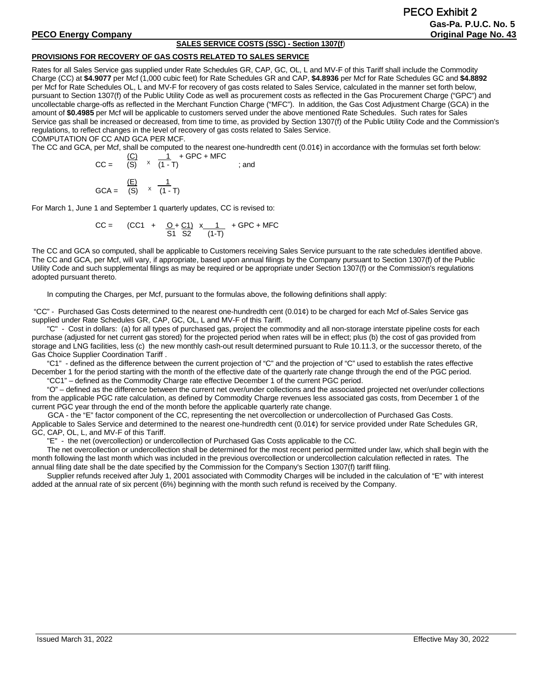# **SALES SERVICE COSTS (SSC) - Section 1307(f**)

# **PROVISIONS FOR RECOVERY OF GAS COSTS RELATED TO SALES SERVICE**

Rates for all Sales Service gas supplied under Rate Schedules GR, CAP, GC, OL, L and MV-F of this Tariff shall include the Commodity Charge (CC) at **\$4.9077** per Mcf (1,000 cubic feet) for Rate Schedules GR and CAP, **\$4.8936** per Mcf for Rate Schedules GC and **\$4.8892** per Mcf for Rate Schedules OL, L and MV-F for recovery of gas costs related to Sales Service, calculated in the manner set forth below, pursuant to Section 1307(f) of the Public Utility Code as well as procurement costs as reflected in the Gas Procurement Charge ("GPC") and uncollectable charge-offs as reflected in the Merchant Function Charge ("MFC"). In addition, the Gas Cost Adjustment Charge (GCA) in the amount of **\$0.4985** per Mcf will be applicable to customers served under the above mentioned Rate Schedules. Such rates for Sales Service gas shall be increased or decreased, from time to time, as provided by Section 1307(f) of the Public Utility Code and the Commission's regulations, to reflect changes in the level of recovery of gas costs related to Sales Service.

COMPUTATION OF CC AND GCA PER MCF.

The CC and GCA, per Mcf, shall be computed to the nearest one-hundredth cent  $(0.01¢)$  in accordance with the formulas set forth below:

$$
CC = \frac{(C)}{(S)} \times \frac{1}{(1-T)} + GPC + MFC
$$
  
and  

$$
GCA = \frac{(E)}{(S)} \times \frac{1}{(1-T)}
$$

For March 1, June 1 and September 1 quarterly updates, CC is revised to:

$$
CC = (CC1 + \frac{O + C1}{S1} \times \frac{1}{1} + GPC + MFC)
$$

The CC and GCA so computed, shall be applicable to Customers receiving Sales Service pursuant to the rate schedules identified above. The CC and GCA, per Mcf, will vary, if appropriate, based upon annual filings by the Company pursuant to Section 1307(f) of the Public Utility Code and such supplemental filings as may be required or be appropriate under Section 1307(f) or the Commission's regulations adopted pursuant thereto.

In computing the Charges, per Mcf, pursuant to the formulas above, the following definitions shall apply:

"CC" - Purchased Gas Costs determined to the nearest one-hundredth cent (0.01¢) to be charged for each Mcf of Sales Service gas supplied under Rate Schedules GR, CAP, GC, OL, L and MV-F of this Tariff.

"C" - Cost in dollars: (a) for all types of purchased gas, project the commodity and all non-storage interstate pipeline costs for each purchase (adjusted for net current gas stored) for the projected period when rates will be in effect; plus (b) the cost of gas provided from storage and LNG facilities, less (c) the new monthly cash-out result determined pursuant to Rule 10.11.3, or the successor thereto, of the Gas Choice Supplier Coordination Tariff .

"C1" - defined as the difference between the current projection of "C" and the projection of "C" used to establish the rates effective December 1 for the period starting with the month of the effective date of the quarterly rate change through the end of the PGC period.

"CC1" – defined as the Commodity Charge rate effective December 1 of the current PGC period.

"O" – defined as the difference between the current net over/under collections and the associated projected net over/under collections from the applicable PGC rate calculation, as defined by Commodity Charge revenues less associated gas costs, from December 1 of the current PGC year through the end of the month before the applicable quarterly rate change.

GCA - the "E" factor component of the CC, representing the net overcollection or undercollection of Purchased Gas Costs. Applicable to Sales Service and determined to the nearest one-hundredth cent (0.01¢) for service provided under Rate Schedules GR, GC, CAP, OL, L, and MV-F of this Tariff.

"E" - the net (overcollection) or undercollection of Purchased Gas Costs applicable to the CC.

The net overcollection or undercollection shall be determined for the most recent period permitted under law, which shall begin with the month following the last month which was included in the previous overcollection or undercollection calculation reflected in rates. The annual filing date shall be the date specified by the Commission for the Company's Section 1307(f) tariff filing.

Supplier refunds received after July 1, 2001 associated with Commodity Charges will be included in the calculation of "E" with interest added at the annual rate of six percent (6%) beginning with the month such refund is received by the Company.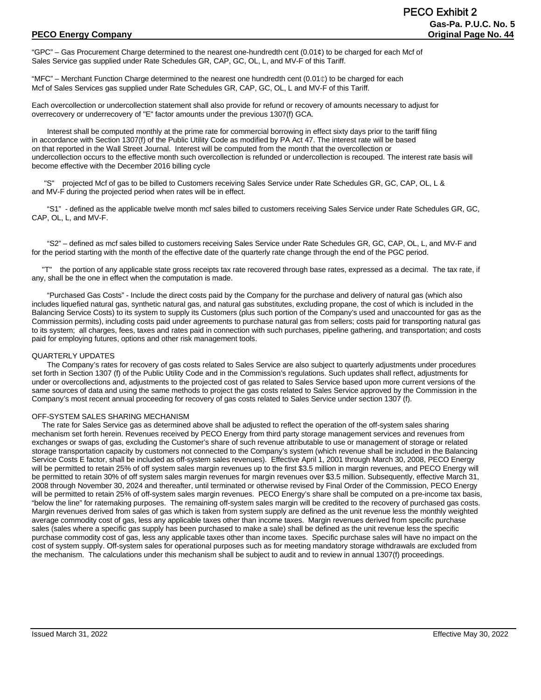"GPC" – Gas Procurement Charge determined to the nearest one-hundredth cent (0.01¢) to be charged for each Mcf of Sales Service gas supplied under Rate Schedules GR, CAP, GC, OL, L, and MV-F of this Tariff.

"MFC" – Merchant Function Charge determined to the nearest one hundredth cent  $(0.01¢)$  to be charged for each Mcf of Sales Services gas supplied under Rate Schedules GR, CAP, GC, OL, L and MV-F of this Tariff.

Each overcollection or undercollection statement shall also provide for refund or recovery of amounts necessary to adjust for overrecovery or underrecovery of "E" factor amounts under the previous 1307(f) GCA.

Interest shall be computed monthly at the prime rate for commercial borrowing in effect sixty days prior to the tariff filing in accordance with Section 1307(f) of the Public Utility Code as modified by PA Act 47. The interest rate will be based on that reported in the Wall Street Journal. Interest will be computed from the month that the overcollection or undercollection occurs to the effective month such overcollection is refunded or undercollection is recouped. The interest rate basis will become effective with the December 2016 billing cycle

 "S" projected Mcf of gas to be billed to Customers receiving Sales Service under Rate Schedules GR, GC, CAP, OL, L & and MV-F during the projected period when rates will be in effect.

"S1" - defined as the applicable twelve month mcf sales billed to customers receiving Sales Service under Rate Schedules GR, GC, CAP, OL, L, and MV-F.

"S2" – defined as mcf sales billed to customers receiving Sales Service under Rate Schedules GR, GC, CAP, OL, L, and MV-F and for the period starting with the month of the effective date of the quarterly rate change through the end of the PGC period.

 "T" the portion of any applicable state gross receipts tax rate recovered through base rates, expressed as a decimal. The tax rate, if any, shall be the one in effect when the computation is made.

"Purchased Gas Costs" - Include the direct costs paid by the Company for the purchase and delivery of natural gas (which also includes liquefied natural gas, synthetic natural gas, and natural gas substitutes, excluding propane, the cost of which is included in the Balancing Service Costs) to its system to supply its Customers (plus such portion of the Company's used and unaccounted for gas as the Commission permits), including costs paid under agreements to purchase natural gas from sellers; costs paid for transporting natural gas to its system; all charges, fees, taxes and rates paid in connection with such purchases, pipeline gathering, and transportation; and costs paid for employing futures, options and other risk management tools.

#### QUARTERLY UPDATES

The Company's rates for recovery of gas costs related to Sales Service are also subject to quarterly adjustments under procedures set forth in Section 1307 (f) of the Public Utility Code and in the Commission's regulations. Such updates shall reflect, adjustments for under or overcollections and, adjustments to the projected cost of gas related to Sales Service based upon more current versions of the same sources of data and using the same methods to project the gas costs related to Sales Service approved by the Commission in the Company's most recent annual proceeding for recovery of gas costs related to Sales Service under section 1307 (f).

#### OFF-SYSTEM SALES SHARING MECHANISM

 The rate for Sales Service gas as determined above shall be adjusted to reflect the operation of the off-system sales sharing mechanism set forth herein. Revenues received by PECO Energy from third party storage management services and revenues from exchanges or swaps of gas, excluding the Customer's share of such revenue attributable to use or management of storage or related storage transportation capacity by customers not connected to the Company's system (which revenue shall be included in the Balancing Service Costs E factor, shall be included as off-system sales revenues). Effective April 1, 2001 through March 30, 2008, PECO Energy will be permitted to retain 25% of off system sales margin revenues up to the first \$3.5 million in margin revenues, and PECO Energy will be permitted to retain 30% of off system sales margin revenues for margin revenues over \$3.5 million. Subsequently, effective March 31, 2008 through November 30, 2024 and thereafter, until terminated or otherwise revised by Final Order of the Commission, PECO Energy will be permitted to retain 25% of off-system sales margin revenues. PECO Energy's share shall be computed on a pre-income tax basis, "below the line" for ratemaking purposes. The remaining off-system sales margin will be credited to the recovery of purchased gas costs. Margin revenues derived from sales of gas which is taken from system supply are defined as the unit revenue less the monthly weighted average commodity cost of gas, less any applicable taxes other than income taxes. Margin revenues derived from specific purchase sales (sales where a specific gas supply has been purchased to make a sale) shall be defined as the unit revenue less the specific purchase commodity cost of gas, less any applicable taxes other than income taxes. Specific purchase sales will have no impact on the cost of system supply. Off-system sales for operational purposes such as for meeting mandatory storage withdrawals are excluded from the mechanism. The calculations under this mechanism shall be subject to audit and to review in annual 1307(f) proceedings.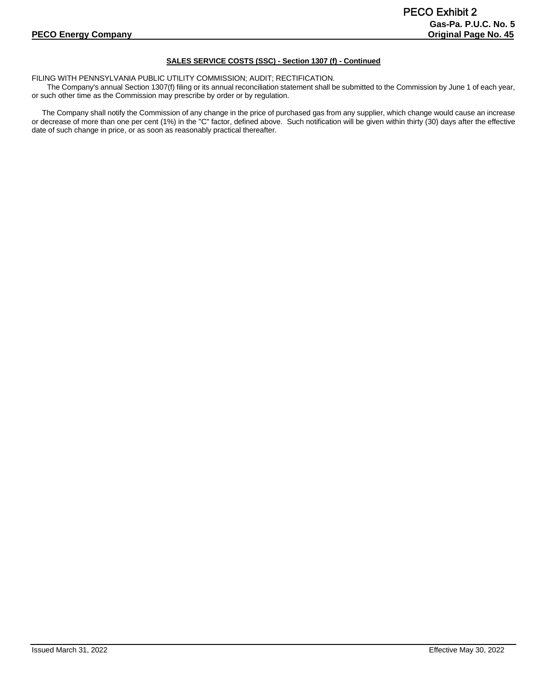# **SALES SERVICE COSTS (SSC) - Section 1307 (f) - Continued**

FILING WITH PENNSYLVANIA PUBLIC UTILITY COMMISSION; AUDIT; RECTIFICATION.

The Company's annual Section 1307(f) filing or its annual reconciliation statement shall be submitted to the Commission by June 1 of each year, or such other time as the Commission may prescribe by order or by regulation.

 The Company shall notify the Commission of any change in the price of purchased gas from any supplier, which change would cause an increase or decrease of more than one per cent (1%) in the "C" factor, defined above. Such notification will be given within thirty (30) days after the effective date of such change in price, or as soon as reasonably practical thereafter.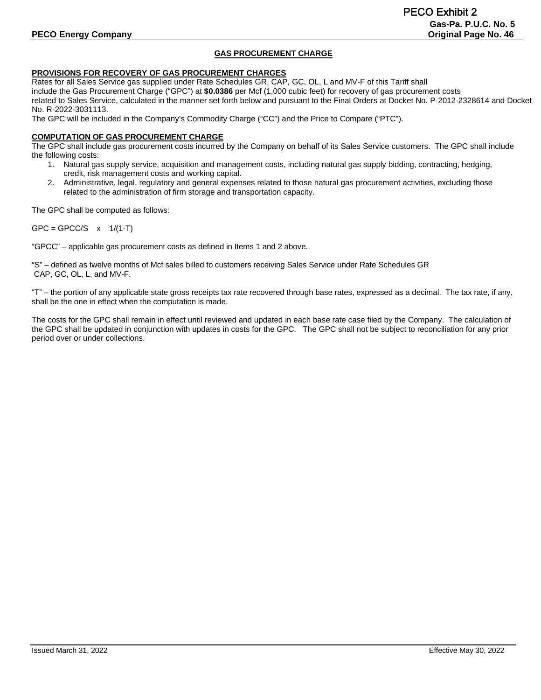# **GAS PROCUREMENT CHARGE**

# **PROVISIONS FOR RECOVERY OF GAS PROCUREMENT CHARGES**

Rates for all Sales Service gas supplied under Rate Schedules GR, CAP, GC, OL, L and MV-F of this Tariff shall include the Gas Procurement Charge ("GPC") at **\$0.0386** per Mcf (1,000 cubic feet) for recovery of gas procurement costs related to Sales Service, calculated in the manner set forth below and pursuant to the Final Orders at Docket No. P-2012-2328614 and Docket No. R-2022-3031113.

The GPC will be included in the Company's Commodity Charge ("CC") and the Price to Compare ("PTC").

#### **COMPUTATION OF GAS PROCUREMENT CHARGE**

The GPC shall include gas procurement costs incurred by the Company on behalf of its Sales Service customers. The GPC shall include the following costs:

- 1. Natural gas supply service, acquisition and management costs, including natural gas supply bidding, contracting, hedging, credit, risk management costs and working capital.
- 2. Administrative, legal, regulatory and general expenses related to those natural gas procurement activities, excluding those related to the administration of firm storage and transportation capacity.

The GPC shall be computed as follows:

 $GPC = GPCC/S$  x  $1/(1-T)$ 

"GPCC" – applicable gas procurement costs as defined in Items 1 and 2 above.

"S" – defined as twelve months of Mcf sales billed to customers receiving Sales Service under Rate Schedules GR CAP, GC, OL, L, and MV-F.

"T" – the portion of any applicable state gross receipts tax rate recovered through base rates, expressed as a decimal. The tax rate, if any, shall be the one in effect when the computation is made.

The costs for the GPC shall remain in effect until reviewed and updated in each base rate case filed by the Company. The calculation of the GPC shall be updated in conjunction with updates in costs for the GPC. The GPC shall not be subject to reconciliation for any prior period over or under collections.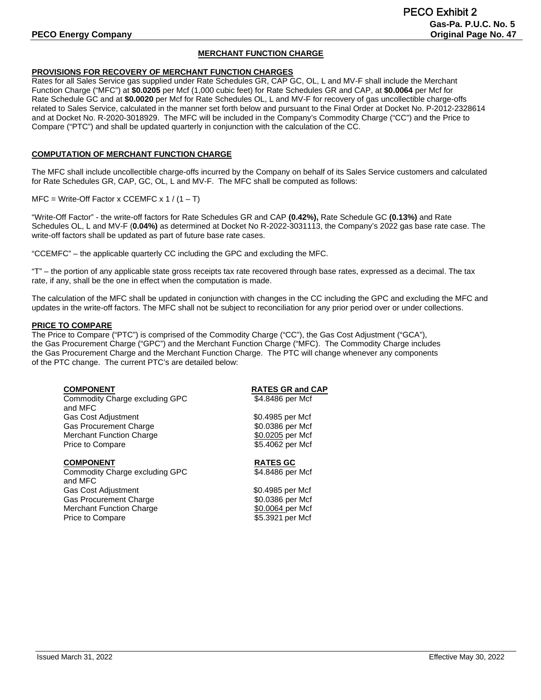# **MERCHANT FUNCTION CHARGE**

#### **PROVISIONS FOR RECOVERY OF MERCHANT FUNCTION CHARGES**

Rates for all Sales Service gas supplied under Rate Schedules GR, CAP GC, OL, L and MV-F shall include the Merchant Function Charge ("MFC") at **\$0.0205** per Mcf (1,000 cubic feet) for Rate Schedules GR and CAP, at **\$0.0064** per Mcf for Rate Schedule GC and at **\$0.0020** per Mcf for Rate Schedules OL, L and MV-F for recovery of gas uncollectible charge-offs related to Sales Service, calculated in the manner set forth below and pursuant to the Final Order at Docket No. P-2012-2328614 and at Docket No. R-2020-3018929. The MFC will be included in the Company's Commodity Charge ("CC") and the Price to Compare ("PTC") and shall be updated quarterly in conjunction with the calculation of the CC.

## **COMPUTATION OF MERCHANT FUNCTION CHARGE**

The MFC shall include uncollectible charge-offs incurred by the Company on behalf of its Sales Service customers and calculated for Rate Schedules GR, CAP, GC, OL, L and MV-F. The MFC shall be computed as follows:

 $MFC = Write-Off Factor x CCEMFC x 1 / (1 - T)$ 

"Write-Off Factor" - the write-off factors for Rate Schedules GR and CAP **(0.42%),** Rate Schedule GC **(0.13%)** and Rate Schedules OL, L and MV-F (**0.04%)** as determined at Docket No R-2022-3031113, the Company's 2022 gas base rate case. The write-off factors shall be updated as part of future base rate cases.

"CCEMFC" – the applicable quarterly CC including the GPC and excluding the MFC.

"T" – the portion of any applicable state gross receipts tax rate recovered through base rates, expressed as a decimal. The tax rate, if any, shall be the one in effect when the computation is made.

The calculation of the MFC shall be updated in conjunction with changes in the CC including the GPC and excluding the MFC and updates in the write-off factors. The MFC shall not be subject to reconciliation for any prior period over or under collections.

### **PRICE TO COMPARE**

The Price to Compare ("PTC") is comprised of the Commodity Charge ("CC"), the Gas Cost Adjustment ("GCA"), the Gas Procurement Charge ("GPC") and the Merchant Function Charge ("MFC). The Commodity Charge includes the Gas Procurement Charge and the Merchant Function Charge. The PTC will change whenever any components of the PTC change. The current PTC's are detailed below:

| <b>COMPONENT</b> |
|------------------|
|------------------|

Commodity Charge excluding GPC and MFC Gas Cost Adjustment  $$0.4985$  per Mcf Gas Procurement Charge \$0.0386 per Mcf Merchant Function Charge Price to Compare \$5.4062 per Mcf

**COMPONENT**<br> **Commodity Charge excluding GPC**<br> **RATES GC**<br> **RATES GC**<br> **RATES GC**<br> **RATES GC** Commodity Charge excluding GPC and MFC Gas Cost Adjustment  $$0.4985$  per Mcf Gas Procurement Charge  $$0.0386$  per Mcf Merchant Function Charge  $$0.0064$  per Mcf Price to Compare \$5.3921 per Mcf

# **RATES GR and CAP**<br>\$4.8486 per Mcf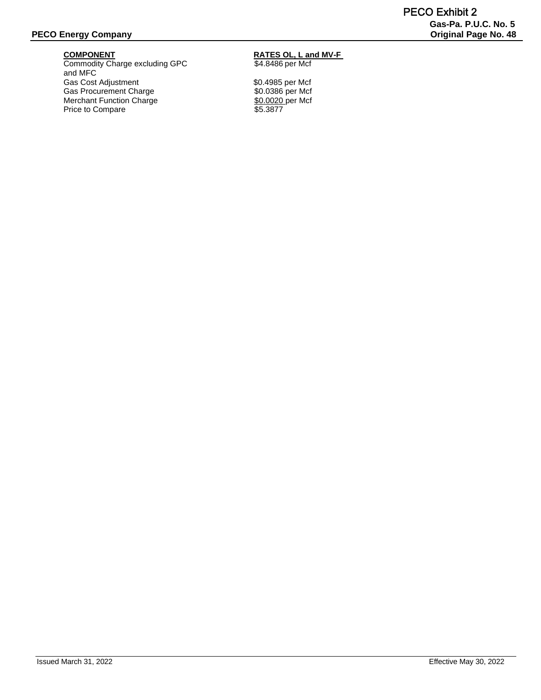Commodity Charge excluding GPC  $$4.8486$  per Mcf and MFC Gas Cost Adjustment<br>
Gas Procurement Charge<br>
\$0.0386 per Mcf Gas Procurement Charge \$0.0386 per Mcf<br>Merchant Function Charge \$0.0020 per Mcf Merchant Function Charge Price to Compare \$5.3877

# **COMPONENT RATES OL, L and MV-F**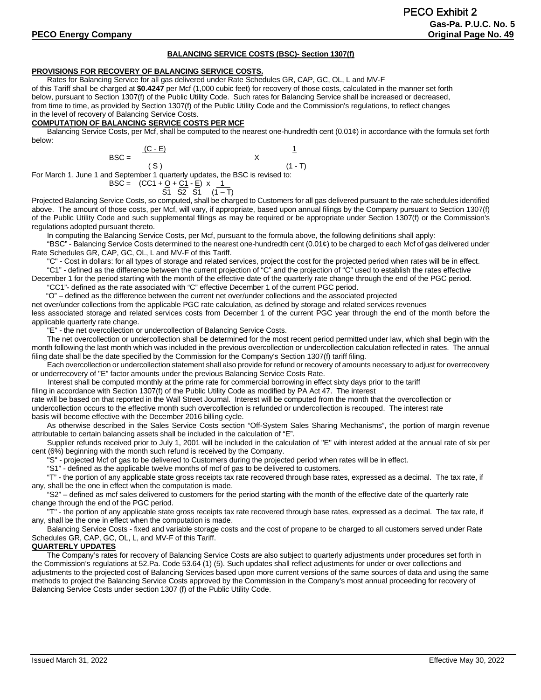#### **BALANCING SERVICE COSTS (BSC)- Section 1307(f)**

#### **PROVISIONS FOR RECOVERY OF BALANCING SERVICE COSTS.**

Rates for Balancing Service for all gas delivered under Rate Schedules GR, CAP, GC, OL, L and MV-F

of this Tariff shall be charged at **\$0.4247** per Mcf (1,000 cubic feet) for recovery of those costs, calculated in the manner set forth below, pursuant to Section 1307(f) of the Public Utility Code. Such rates for Balancing Service shall be increased or decreased, from time to time, as provided by Section 1307(f) of the Public Utility Code and the Commission's regulations, to reflect changes in the level of recovery of Balancing Service Costs.

#### **COMPUTATION OF BALANCING SERVICE COSTS PER MCF**

Balancing Service Costs, per Mcf, shall be computed to the nearest one-hundredth cent (0.01¢) in accordance with the formula set forth below:

$$
BSC = \frac{(C - E)}{(S)}
$$
 1  
(S) (1 - T)

For March 1, June 1 and September 1 quarterly updates, the BSC is revised to:

$$
BSC = (CC1 + Q + C1 - E) \times 1
$$
  
ST S2 S1 (1-T)

Projected Balancing Service Costs, so computed, shall be charged to Customers for all gas delivered pursuant to the rate schedules identified above. The amount of those costs, per Mcf, will vary, if appropriate, based upon annual filings by the Company pursuant to Section 1307(f) of the Public Utility Code and such supplemental filings as may be required or be appropriate under Section 1307(f) or the Commission's regulations adopted pursuant thereto.

In computing the Balancing Service Costs, per Mcf, pursuant to the formula above, the following definitions shall apply:

"BSC" - Balancing Service Costs determined to the nearest one-hundredth cent (0.01¢) to be charged to each Mcf of gas delivered under Rate Schedules GR, CAP, GC, OL, L and MV-F of this Tariff.

"C" - Cost in dollars: for all types of storage and related services, project the cost for the projected period when rates will be in effect. "C1" - defined as the difference between the current projection of "C" and the projection of "C" used to establish the rates effective

December 1 for the period starting with the month of the effective date of the quarterly rate change through the end of the PGC period. "CC1"- defined as the rate associated with "C" effective December 1 of the current PGC period.

 "O" – defined as the difference between the current net over/under collections and the associated projected net over/under collections from the applicable PGC rate calculation, as defined by storage and related services revenues less associated storage and related services costs from December 1 of the current PGC year through the end of the month before the applicable quarterly rate change.

"E" - the net overcollection or undercollection of Balancing Service Costs.

The net overcollection or undercollection shall be determined for the most recent period permitted under law, which shall begin with the month following the last month which was included in the previous overcollection or undercollection calculation reflected in rates. The annual filing date shall be the date specified by the Commission for the Company's Section 1307(f) tariff filing.

Each overcollection or undercollection statement shall also provide for refund or recovery of amounts necessary to adjust for overrecovery or underrecovery of "E" factor amounts under the previous Balancing Service Costs Rate.

Interest shall be computed monthly at the prime rate for commercial borrowing in effect sixty days prior to the tariff

filing in accordance with Section 1307(f) of the Public Utility Code as modified by PA Act 47. The interest

rate will be based on that reported in the Wall Street Journal. Interest will be computed from the month that the overcollection or undercollection occurs to the effective month such overcollection is refunded or undercollection is recouped. The interest rate

basis will become effective with the December 2016 billing cycle. As otherwise described in the Sales Service Costs section "Off-System Sales Sharing Mechanisms", the portion of margin revenue attributable to certain balancing assets shall be included in the calculation of "E".

Supplier refunds received prior to July 1, 2001 will be included in the calculation of "E" with interest added at the annual rate of six per cent (6%) beginning with the month such refund is received by the Company.

"S" - projected Mcf of gas to be delivered to Customers during the projected period when rates will be in effect.

"S1" - defined as the applicable twelve months of mcf of gas to be delivered to customers.

"T" - the portion of any applicable state gross receipts tax rate recovered through base rates, expressed as a decimal. The tax rate, if any, shall be the one in effect when the computation is made.

"S2" – defined as mcf sales delivered to customers for the period starting with the month of the effective date of the quarterly rate change through the end of the PGC period.

"T" - the portion of any applicable state gross receipts tax rate recovered through base rates, expressed as a decimal. The tax rate, if any, shall be the one in effect when the computation is made.

 Balancing Service Costs - fixed and variable storage costs and the cost of propane to be charged to all customers served under Rate Schedules GR, CAP, GC, OL, L, and MV-F of this Tariff.

# **QUARTERLY UPDATES**

The Company's rates for recovery of Balancing Service Costs are also subject to quarterly adjustments under procedures set forth in the Commission's regulations at 52.Pa. Code 53.64 (1) (5). Such updates shall reflect adjustments for under or over collections and adjustments to the projected cost of Balancing Services based upon more current versions of the same sources of data and using the same methods to project the Balancing Service Costs approved by the Commission in the Company's most annual proceeding for recovery of Balancing Service Costs under section 1307 (f) of the Public Utility Code.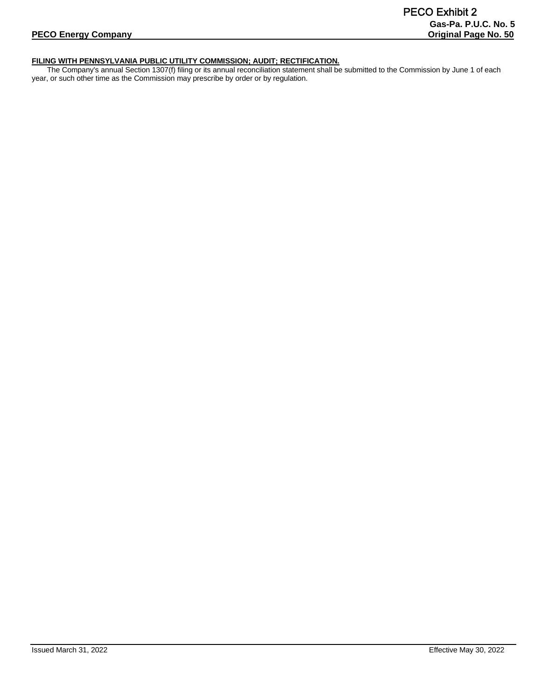# **FILING WITH PENNSYLVANIA PUBLIC UTILITY COMMISSION; AUDIT; RECTIFICATION.**

The Company's annual Section 1307(f) filing or its annual reconciliation statement shall be submitted to the Commission by June 1 of each year, or such other time as the Commission may prescribe by order or by regulation.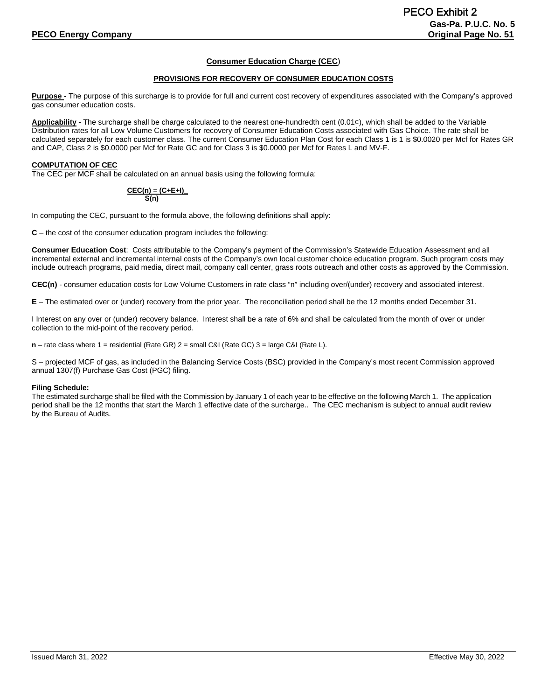# **Consumer Education Charge (CEC**)

#### **PROVISIONS FOR RECOVERY OF CONSUMER EDUCATION COSTS**

**Purpose -** The purpose of this surcharge is to provide for full and current cost recovery of expenditures associated with the Company's approved gas consumer education costs.

**Applicability -** The surcharge shall be charge calculated to the nearest one-hundredth cent (0.01¢), which shall be added to the Variable Distribution rates for all Low Volume Customers for recovery of Consumer Education Costs associated with Gas Choice. The rate shall be calculated separately for each customer class. The current Consumer Education Plan Cost for each Class 1 is 1 is \$0.0020 per Mcf for Rates GR and CAP, Class 2 is \$0.0000 per Mcf for Rate GC and for Class 3 is \$0.0000 per Mcf for Rates L and MV-F.

#### **COMPUTATION OF CEC**

The CEC per MCF shall be calculated on an annual basis using the following formula:

#### **CEC(n)** = **(C+E+I)\_ S(n)**

In computing the CEC, pursuant to the formula above, the following definitions shall apply:

**C** – the cost of the consumer education program includes the following:

**Consumer Education Cost**: Costs attributable to the Company's payment of the Commission's Statewide Education Assessment and all incremental external and incremental internal costs of the Company's own local customer choice education program. Such program costs may include outreach programs, paid media, direct mail, company call center, grass roots outreach and other costs as approved by the Commission.

**CEC(n)** - consumer education costs for Low Volume Customers in rate class "n" including over/(under) recovery and associated interest.

**E** – The estimated over or (under) recovery from the prior year. The reconciliation period shall be the 12 months ended December 31.

I Interest on any over or (under) recovery balance. Interest shall be a rate of 6% and shall be calculated from the month of over or under collection to the mid-point of the recovery period.

**n** – rate class where 1 = residential (Rate GR) 2 = small C&I (Rate GC) 3 = large C&I (Rate L).

S – projected MCF of gas, as included in the Balancing Service Costs (BSC) provided in the Company's most recent Commission approved annual 1307(f) Purchase Gas Cost (PGC) filing.

#### **Filing Schedule:**

The estimated surcharge shall be filed with the Commission by January 1 of each year to be effective on the following March 1. The application period shall be the 12 months that start the March 1 effective date of the surcharge.. The CEC mechanism is subject to annual audit review by the Bureau of Audits.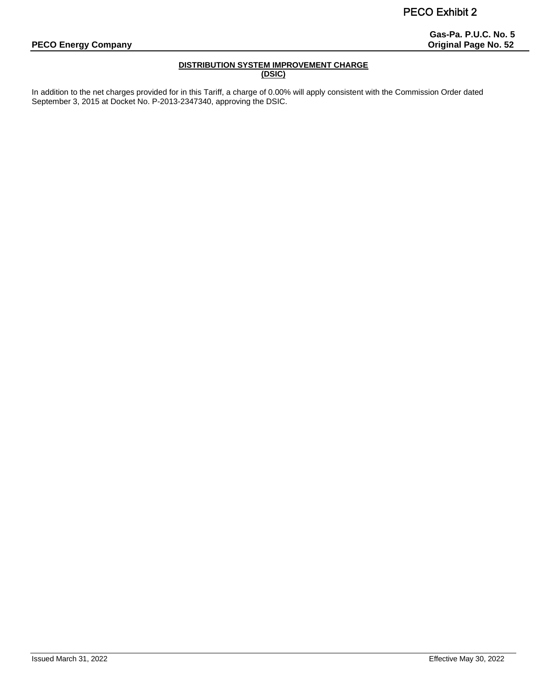# **Gas-Pa. P.U.C. No. 5**

# **DISTRIBUTION SYSTEM IMPROVEMENT CHARGE (DSIC)**

In addition to the net charges provided for in this Tariff, a charge of 0.00% will apply consistent with the Commission Order dated September 3, 2015 at Docket No. P-2013-2347340, approving the DSIC.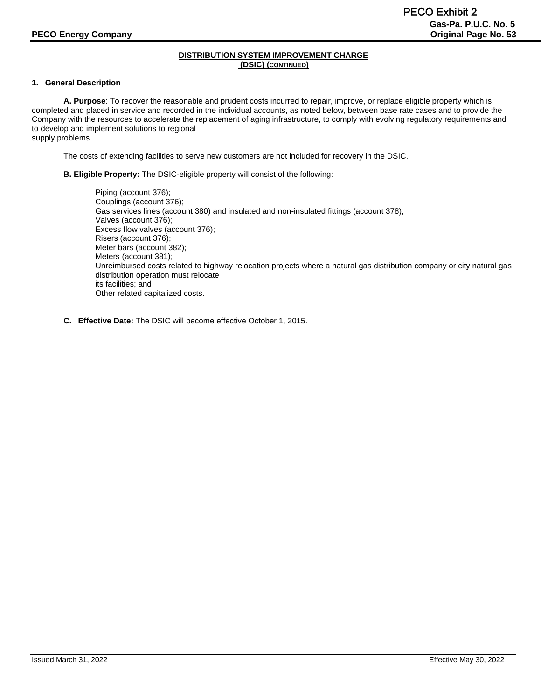## **1. General Description**

**A. Purpose**: To recover the reasonable and prudent costs incurred to repair, improve, or replace eligible property which is completed and placed in service and recorded in the individual accounts, as noted below, between base rate cases and to provide the Company with the resources to accelerate the replacement of aging infrastructure, to comply with evolving regulatory requirements and to develop and implement solutions to regional

supply problems.

The costs of extending facilities to serve new customers are not included for recovery in the DSIC.

**B. Eligible Property:** The DSIC-eligible property will consist of the following:

Piping (account 376); Couplings (account 376); Gas services lines (account 380) and insulated and non-insulated fittings (account 378); Valves (account 376); Excess flow valves (account 376); Risers (account 376); Meter bars (account 382); Meters (account 381); Unreimbursed costs related to highway relocation projects where a natural gas distribution company or city natural gas distribution operation must relocate its facilities; and Other related capitalized costs.

**C. Effective Date:** The DSIC will become effective October 1, 2015.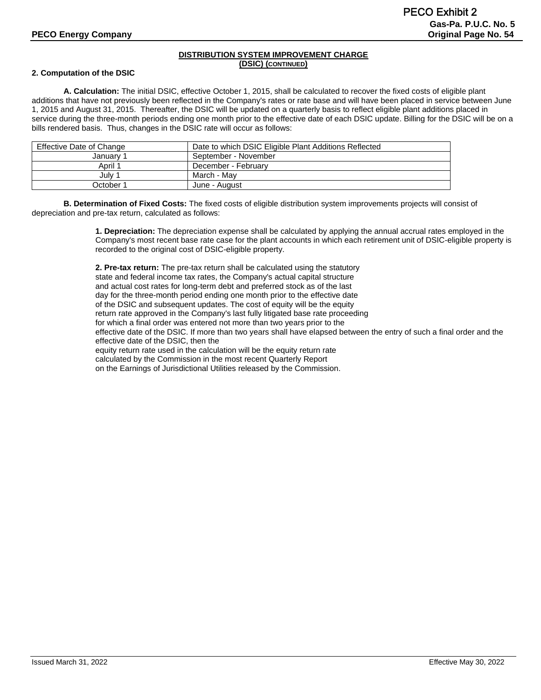#### **2. Computation of the DSIC**

**A. Calculation:** The initial DSIC, effective October 1, 2015, shall be calculated to recover the fixed costs of eligible plant additions that have not previously been reflected in the Company's rates or rate base and will have been placed in service between June 1, 2015 and August 31, 2015. Thereafter, the DSIC will be updated on a quarterly basis to reflect eligible plant additions placed in service during the three-month periods ending one month prior to the effective date of each DSIC update. Billing for the DSIC will be on a bills rendered basis. Thus, changes in the DSIC rate will occur as follows:

| Effective Date of Change | Date to which DSIC Eligible Plant Additions Reflected |
|--------------------------|-------------------------------------------------------|
| Januarv 1                | September - November                                  |
| April 1                  | December - February                                   |
| July 1                   | March - Mav                                           |
| October 1                | June - August                                         |

**B. Determination of Fixed Costs:** The fixed costs of eligible distribution system improvements projects will consist of depreciation and pre-tax return, calculated as follows:

> **1. Depreciation:** The depreciation expense shall be calculated by applying the annual accrual rates employed in the Company's most recent base rate case for the plant accounts in which each retirement unit of DSIC-eligible property is recorded to the original cost of DSIC-eligible property.

**2. Pre-tax return:** The pre-tax return shall be calculated using the statutory state and federal income tax rates, the Company's actual capital structure and actual cost rates for long-term debt and preferred stock as of the last day for the three-month period ending one month prior to the effective date of the DSIC and subsequent updates. The cost of equity will be the equity return rate approved in the Company's last fully litigated base rate proceeding for which a final order was entered not more than two years prior to the effective date of the DSIC. If more than two years shall have elapsed between the entry of such a final order and the effective date of the DSIC, then the equity return rate used in the calculation will be the equity return rate calculated by the Commission in the most recent Quarterly Report on the Earnings of Jurisdictional Utilities released by the Commission.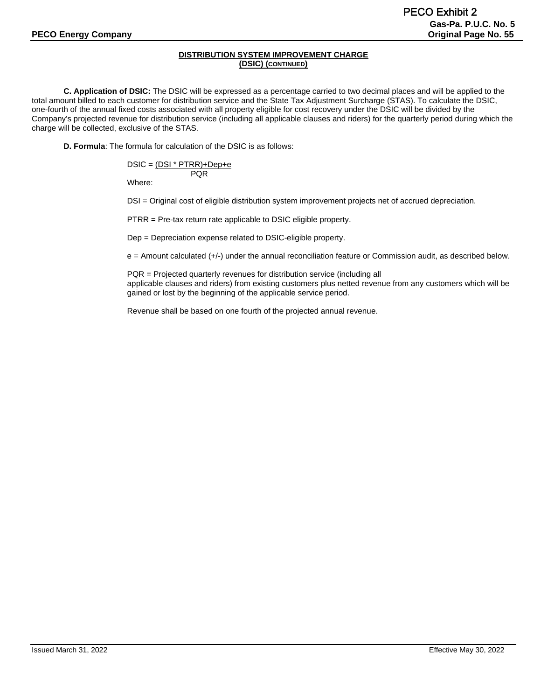**C. Application of DSIC:** The DSIC will be expressed as a percentage carried to two decimal places and will be applied to the total amount billed to each customer for distribution service and the State Tax Adjustment Surcharge (STAS). To calculate the DSIC, one-fourth of the annual fixed costs associated with all property eligible for cost recovery under the DSIC will be divided by the Company's projected revenue for distribution service (including all applicable clauses and riders) for the quarterly period during which the charge will be collected, exclusive of the STAS.

**D. Formula**: The formula for calculation of the DSIC is as follows:

$$
DSIC = \underbrace{DSI * PTRR) + Dep + e}_{PQR}
$$

Where:

DSI = Original cost of eligible distribution system improvement projects net of accrued depreciation.

PTRR = Pre-tax return rate applicable to DSIC eligible property.

Dep = Depreciation expense related to DSIC-eligible property.

e = Amount calculated (+/-) under the annual reconciliation feature or Commission audit, as described below.

PQR = Projected quarterly revenues for distribution service (including all applicable clauses and riders) from existing customers plus netted revenue from any customers which will be gained or lost by the beginning of the applicable service period.

Revenue shall be based on one fourth of the projected annual revenue.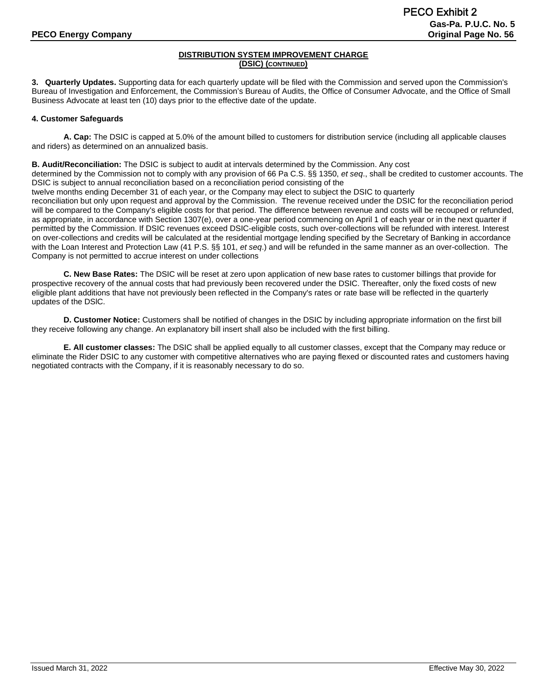**3. Quarterly Updates.** Supporting data for each quarterly update will be filed with the Commission and served upon the Commission's Bureau of Investigation and Enforcement, the Commission's Bureau of Audits, the Office of Consumer Advocate, and the Office of Small Business Advocate at least ten (10) days prior to the effective date of the update.

# **4. Customer Safeguards**

**A. Cap:** The DSIC is capped at 5.0% of the amount billed to customers for distribution service (including all applicable clauses and riders) as determined on an annualized basis.

**B. Audit/Reconciliation:** The DSIC is subject to audit at intervals determined by the Commission. Any cost

determined by the Commission not to comply with any provision of 66 Pa C.S. §§ 1350, *et seq*., shall be credited to customer accounts. The DSIC is subject to annual reconciliation based on a reconciliation period consisting of the

twelve months ending December 31 of each year, or the Company may elect to subject the DSIC to quarterly

reconciliation but only upon request and approval by the Commission. The revenue received under the DSIC for the reconciliation period will be compared to the Company's eligible costs for that period. The difference between revenue and costs will be recouped or refunded, as appropriate, in accordance with Section 1307(e), over a one-year period commencing on April 1 of each year or in the next quarter if permitted by the Commission. If DSIC revenues exceed DSIC-eligible costs, such over-collections will be refunded with interest. Interest on over-collections and credits will be calculated at the residential mortgage lending specified by the Secretary of Banking in accordance with the Loan Interest and Protection Law (41 P.S. §§ 101, *et seq*.) and will be refunded in the same manner as an over-collection. The Company is not permitted to accrue interest on under collections

**C. New Base Rates:** The DSIC will be reset at zero upon application of new base rates to customer billings that provide for prospective recovery of the annual costs that had previously been recovered under the DSIC. Thereafter, only the fixed costs of new eligible plant additions that have not previously been reflected in the Company's rates or rate base will be reflected in the quarterly updates of the DSlC.

**D. Customer Notice:** Customers shall be notified of changes in the DSIC by including appropriate information on the first bill they receive following any change. An explanatory bill insert shall also be included with the first billing.

**E. All customer classes:** The DSIC shall be applied equally to all customer classes, except that the Company may reduce or eliminate the Rider DSIC to any customer with competitive alternatives who are paying flexed or discounted rates and customers having negotiated contracts with the Company, if it is reasonably necessary to do so.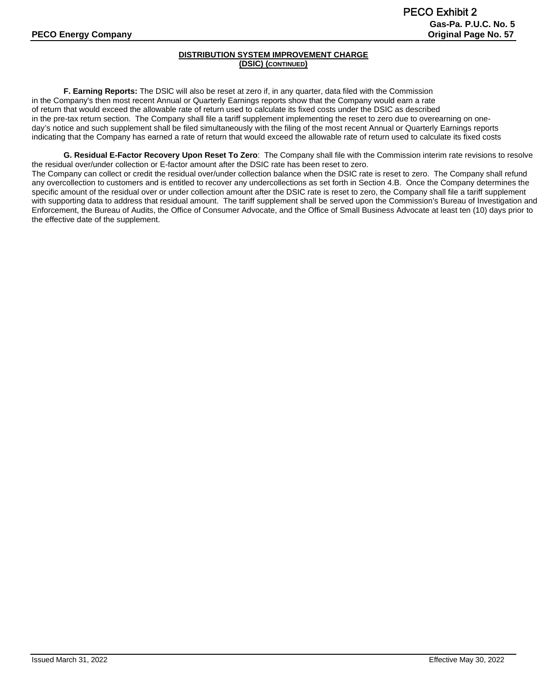**F. Earning Reports:** The DSlC will also be reset at zero if, in any quarter, data filed with the Commission in the Company's then most recent Annual or Quarterly Earnings reports show that the Company would earn a rate of return that would exceed the allowable rate of return used to calculate its fixed costs under the DSIC as described in the pre-tax return section. The Company shall file a tariff supplement implementing the reset to zero due to overearning on oneday's notice and such supplement shall be filed simultaneously with the filing of the most recent Annual or Quarterly Earnings reports indicating that the Company has earned a rate of return that would exceed the allowable rate of return used to calculate its fixed costs

**G. Residual E-Factor Recovery Upon Reset To Zero**: The Company shall file with the Commission interim rate revisions to resolve the residual over/under collection or E-factor amount after the DSIC rate has been reset to zero. The Company can collect or credit the residual over/under collection balance when the DSIC rate is reset to zero. The Company shall refund any overcollection to customers and is entitled to recover any undercollections as set forth in Section 4.B. Once the Company determines the specific amount of the residual over or under collection amount after the DSIC rate is reset to zero, the Company shall file a tariff supplement with supporting data to address that residual amount. The tariff supplement shall be served upon the Commission's Bureau of Investigation and Enforcement, the Bureau of Audits, the Office of Consumer Advocate, and the Office of Small Business Advocate at least ten (10) days prior to the effective date of the supplement.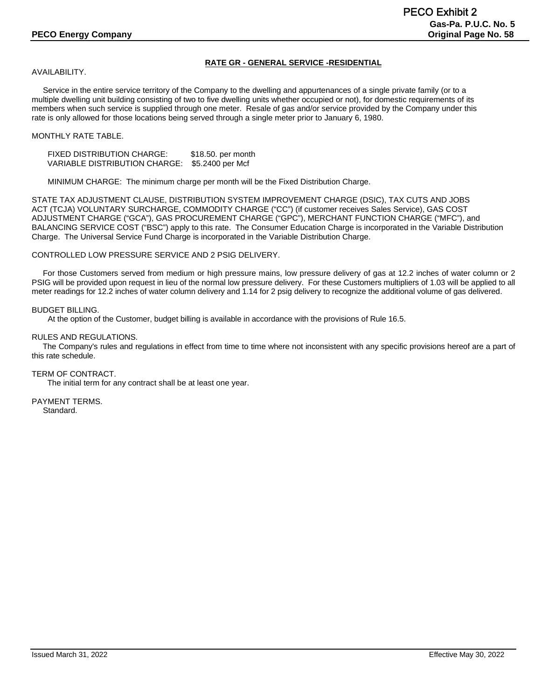# **RATE GR - GENERAL SERVICE -RESIDENTIAL**

AVAILABILITY.

 Service in the entire service territory of the Company to the dwelling and appurtenances of a single private family (or to a multiple dwelling unit building consisting of two to five dwelling units whether occupied or not), for domestic requirements of its members when such service is supplied through one meter. Resale of gas and/or service provided by the Company under this rate is only allowed for those locations being served through a single meter prior to January 6, 1980.

## MONTHLY RATE TABLE.

FIXED DISTRIBUTION CHARGE: \$18.50. per month VARIABLE DISTRIBUTION CHARGE: \$5.2400 per Mcf

MINIMUM CHARGE: The minimum charge per month will be the Fixed Distribution Charge.

STATE TAX ADJUSTMENT CLAUSE, DISTRIBUTION SYSTEM IMPROVEMENT CHARGE (DSIC), TAX CUTS AND JOBS ACT (TCJA) VOLUNTARY SURCHARGE, COMMODITY CHARGE ("CC") (if customer receives Sales Service), GAS COST ADJUSTMENT CHARGE ("GCA"), GAS PROCUREMENT CHARGE ("GPC"), MERCHANT FUNCTION CHARGE ("MFC"), and BALANCING SERVICE COST ("BSC") apply to this rate. The Consumer Education Charge is incorporated in the Variable Distribution Charge. The Universal Service Fund Charge is incorporated in the Variable Distribution Charge.

CONTROLLED LOW PRESSURE SERVICE AND 2 PSIG DELIVERY.

 For those Customers served from medium or high pressure mains, low pressure delivery of gas at 12.2 inches of water column or 2 PSIG will be provided upon request in lieu of the normal low pressure delivery. For these Customers multipliers of 1.03 will be applied to all meter readings for 12.2 inches of water column delivery and 1.14 for 2 psig delivery to recognize the additional volume of gas delivered.

BUDGET BILLING.

At the option of the Customer, budget billing is available in accordance with the provisions of Rule 16.5.

RULES AND REGULATIONS.

 The Company's rules and regulations in effect from time to time where not inconsistent with any specific provisions hereof are a part of this rate schedule.

TERM OF CONTRACT. The initial term for any contract shall be at least one year.

PAYMENT TERMS. Standard.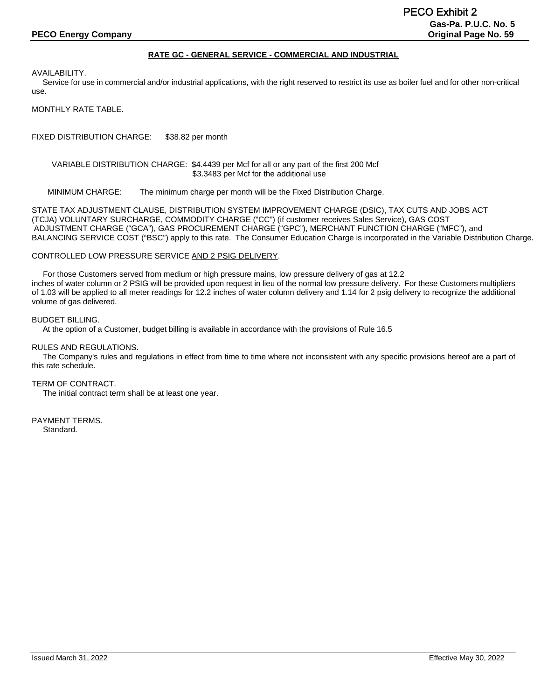#### **RATE GC - GENERAL SERVICE - COMMERCIAL AND INDUSTRIAL**

AVAILABILITY.

 Service for use in commercial and/or industrial applications, with the right reserved to restrict its use as boiler fuel and for other non-critical use.

MONTHLY RATE TABLE.

FIXED DISTRIBUTION CHARGE: \$38.82 per month

VARIABLE DISTRIBUTION CHARGE: \$4.4439 per Mcf for all or any part of the first 200 Mcf \$3.3483 per Mcf for the additional use

MINIMUM CHARGE: The minimum charge per month will be the Fixed Distribution Charge.

STATE TAX ADJUSTMENT CLAUSE, DISTRIBUTION SYSTEM IMPROVEMENT CHARGE (DSIC), TAX CUTS AND JOBS ACT (TCJA) VOLUNTARY SURCHARGE, COMMODITY CHARGE ("CC") (if customer receives Sales Service), GAS COST ADJUSTMENT CHARGE ("GCA"), GAS PROCUREMENT CHARGE ("GPC"), MERCHANT FUNCTION CHARGE ("MFC"), and BALANCING SERVICE COST ("BSC") apply to this rate. The Consumer Education Charge is incorporated in the Variable Distribution Charge.

CONTROLLED LOW PRESSURE SERVICE AND 2 PSIG DELIVERY.

 For those Customers served from medium or high pressure mains, low pressure delivery of gas at 12.2 inches of water column or 2 PSIG will be provided upon request in lieu of the normal low pressure delivery. For these Customers multipliers of 1.03 will be applied to all meter readings for 12.2 inches of water column delivery and 1.14 for 2 psig delivery to recognize the additional volume of gas delivered.

#### BUDGET BILLING.

At the option of a Customer, budget billing is available in accordance with the provisions of Rule 16.5

#### RULES AND REGULATIONS.

 The Company's rules and regulations in effect from time to time where not inconsistent with any specific provisions hereof are a part of this rate schedule.

#### TERM OF CONTRACT.

The initial contract term shall be at least one year.

PAYMENT TERMS. Standard.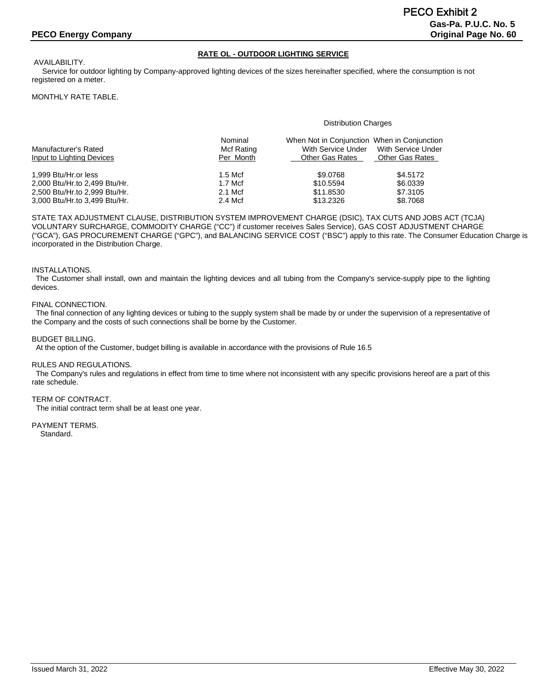# **RATE OL - OUTDOOR LIGHTING SERVICE**

AVAILABILITY. Service for outdoor lighting by Company-approved lighting devices of the sizes hereinafter specified, where the consumption is not registered on a meter.

#### MONTHLY RATE TABLE.

#### Distribution Charges

| Manufacturer's Rated<br>Input to Lighting Devices | Nominal<br>Mcf Rating<br>Per Month | When Not in Conjunction When in Conjunction<br>With Service Under<br><b>Other Gas Rates</b> | With Service Under<br>Other Gas Rates |
|---------------------------------------------------|------------------------------------|---------------------------------------------------------------------------------------------|---------------------------------------|
| 1.999 Btu/Hr.or less                              | $1.5$ Mcf                          | \$9,0768                                                                                    | \$4.5172                              |
| 2,000 Btu/Hr.to 2,499 Btu/Hr.                     | $1.7$ Mcf                          | \$10,5594                                                                                   | \$6,0339                              |
| 2,500 Btu/Hr.to 2,999 Btu/Hr.                     | 2.1 Mcf                            | \$11.8530                                                                                   | \$7,3105                              |
| 3,000 Btu/Hr.to 3,499 Btu/Hr.                     | 2.4 Mcf                            | \$13,2326                                                                                   | \$8.7068                              |

STATE TAX ADJUSTMENT CLAUSE, DISTRIBUTION SYSTEM IMPROVEMENT CHARGE (DSIC), TAX CUTS AND JOBS ACT (TCJA) VOLUNTARY SURCHARGE, COMMODITY CHARGE ("CC") if customer receives Sales Service), GAS COST ADJUSTMENT CHARGE ("GCA"), GAS PROCUREMENT CHARGE ("GPC"), and BALANCING SERVICE COST ("BSC") apply to this rate. The Consumer Education Charge is incorporated in the Distribution Charge.

#### INSTALLATIONS.

 The Customer shall install, own and maintain the lighting devices and all tubing from the Company's service-supply pipe to the lighting devices.

#### FINAL CONNECTION.

 The final connection of any lighting devices or tubing to the supply system shall be made by or under the supervision of a representative of the Company and the costs of such connections shall be borne by the Customer.

#### BUDGET BILLING.

At the option of the Customer, budget billing is available in accordance with the provisions of Rule 16.5

#### RULES AND REGULATIONS.

 The Company's rules and regulations in effect from time to time where not inconsistent with any specific provisions hereof are a part of this rate schedule.

#### TERM OF CONTRACT.

The initial contract term shall be at least one year.

# PAYMENT TERMS.

Standard.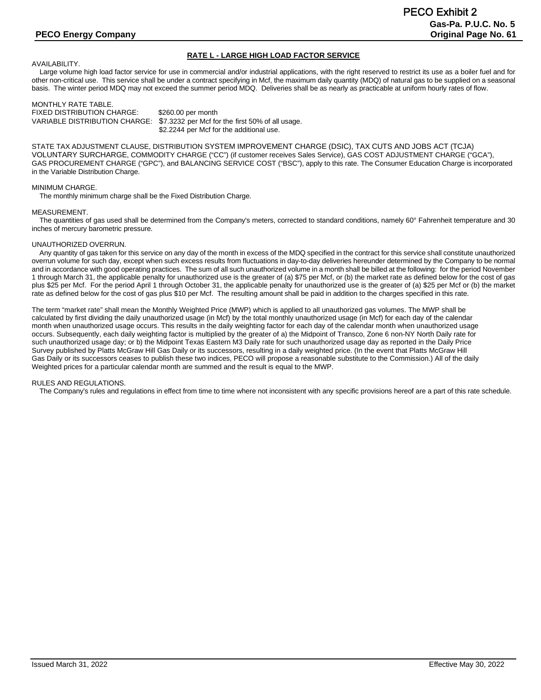# **RATE L - LARGE HIGH LOAD FACTOR SERVICE**

AVAILABILITY.

Large volume high load factor service for use in commercial and/or industrial applications, with the right reserved to restrict its use as a boiler fuel and for other non-critical use. This service shall be under a contract specifying in Mcf, the maximum daily quantity (MDQ) of natural gas to be supplied on a seasonal basis. The winter period MDQ may not exceed the summer period MDQ. Deliveries shall be as nearly as practicable at uniform hourly rates of flow.

MONTHLY RATE TABLE. FIXED DISTRIBUTION CHARGE: \$260.00 per month<br>VARIABLE DISTRIBUTION CHARGE: \$7.3232 per Mcf fo \$7.3232 per Mcf for the first 50% of all usage. \$2.2244 per Mcf for the additional use.

STATE TAX ADJUSTMENT CLAUSE, DISTRIBUTION SYSTEM IMPROVEMENT CHARGE (DSIC), TAX CUTS AND JOBS ACT (TCJA) VOLUNTARY SURCHARGE, COMMODITY CHARGE ("CC") (if customer receives Sales Service), GAS COST ADJUSTMENT CHARGE ("GCA"), GAS PROCUREMENT CHARGE ("GPC"), and BALANCING SERVICE COST ("BSC"), apply to this rate. The Consumer Education Charge is incorporated in the Variable Distribution Charge.

#### MINIMUM CHARGE.

The monthly minimum charge shall be the Fixed Distribution Charge.

#### MEASUREMENT.

 The quantities of gas used shall be determined from the Company's meters, corrected to standard conditions, namely 60° Fahrenheit temperature and 30 inches of mercury barometric pressure.

#### UNAUTHORIZED OVERRUN.

 Any quantity of gas taken for this service on any day of the month in excess of the MDQ specified in the contract for this service shall constitute unauthorized overrun volume for such day, except when such excess results from fluctuations in day-to-day deliveries hereunder determined by the Company to be normal and in accordance with good operating practices. The sum of all such unauthorized volume in a month shall be billed at the following: for the period November 1 through March 31, the applicable penalty for unauthorized use is the greater of (a) \$75 per Mcf, or (b) the market rate as defined below for the cost of gas plus \$25 per Mcf. For the period April 1 through October 31, the applicable penalty for unauthorized use is the greater of (a) \$25 per Mcf or (b) the market rate as defined below for the cost of gas plus \$10 per Mcf. The resulting amount shall be paid in addition to the charges specified in this rate.

The term "market rate" shall mean the Monthly Weighted Price (MWP) which is applied to all unauthorized gas volumes. The MWP shall be calculated by first dividing the daily unauthorized usage (in Mcf) by the total monthly unauthorized usage (in Mcf) for each day of the calendar month when unauthorized usage occurs. This results in the daily weighting factor for each day of the calendar month when unauthorized usage occurs. Subsequently, each daily weighting factor is multiplied by the greater of a) the Midpoint of Transco, Zone 6 non-NY North Daily rate for such unauthorized usage day; or b) the Midpoint Texas Eastern M3 Daily rate for such unauthorized usage day as reported in the Daily Price Survey published by Platts McGraw Hill Gas Daily or its successors, resulting in a daily weighted price. (In the event that Platts McGraw Hill Gas Daily or its successors ceases to publish these two indices, PECO will propose a reasonable substitute to the Commission.) All of the daily Weighted prices for a particular calendar month are summed and the result is equal to the MWP.

#### RULES AND REGULATIONS.

The Company's rules and regulations in effect from time to time where not inconsistent with any specific provisions hereof are a part of this rate schedule.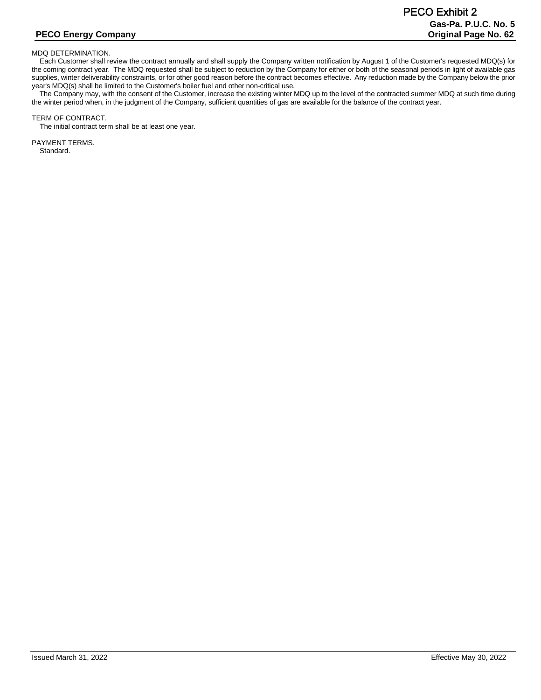#### MDQ DETERMINATION.

 Each Customer shall review the contract annually and shall supply the Company written notification by August 1 of the Customer's requested MDQ(s) for the coming contract year. The MDQ requested shall be subject to reduction by the Company for either or both of the seasonal periods in light of available gas supplies, winter deliverability constraints, or for other good reason before the contract becomes effective. Any reduction made by the Company below the prior year's MDQ(s) shall be limited to the Customer's boiler fuel and other non-critical use.

 The Company may, with the consent of the Customer, increase the existing winter MDQ up to the level of the contracted summer MDQ at such time during the winter period when, in the judgment of the Company, sufficient quantities of gas are available for the balance of the contract year.

#### TERM OF CONTRACT.

The initial contract term shall be at least one year.

PAYMENT TERMS. Standard.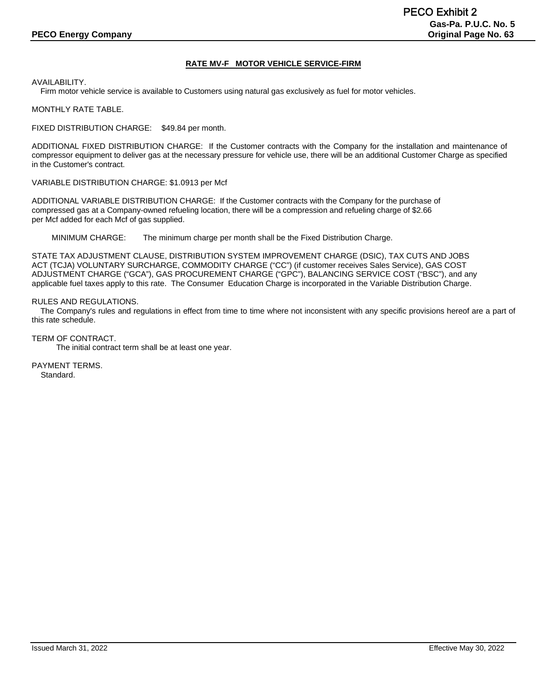# **RATE MV-F MOTOR VEHICLE SERVICE-FIRM**

AVAILABILITY.

Firm motor vehicle service is available to Customers using natural gas exclusively as fuel for motor vehicles.

MONTHLY RATE TABLE.

FIXED DISTRIBUTION CHARGE: \$49.84 per month.

ADDITIONAL FIXED DISTRIBUTION CHARGE: If the Customer contracts with the Company for the installation and maintenance of compressor equipment to deliver gas at the necessary pressure for vehicle use, there will be an additional Customer Charge as specified in the Customer's contract.

VARIABLE DISTRIBUTION CHARGE: \$1.0913 per Mcf

ADDITIONAL VARIABLE DISTRIBUTION CHARGE: If the Customer contracts with the Company for the purchase of compressed gas at a Company-owned refueling location, there will be a compression and refueling charge of \$2.66 per Mcf added for each Mcf of gas supplied.

MINIMUM CHARGE: The minimum charge per month shall be the Fixed Distribution Charge.

STATE TAX ADJUSTMENT CLAUSE, DISTRIBUTION SYSTEM IMPROVEMENT CHARGE (DSIC), TAX CUTS AND JOBS ACT (TCJA) VOLUNTARY SURCHARGE, COMMODITY CHARGE ("CC") (if customer receives Sales Service), GAS COST ADJUSTMENT CHARGE ("GCA"), GAS PROCUREMENT CHARGE ("GPC"), BALANCING SERVICE COST ("BSC"), and any applicable fuel taxes apply to this rate. The Consumer Education Charge is incorporated in the Variable Distribution Charge.

#### RULES AND REGULATIONS.

 The Company's rules and regulations in effect from time to time where not inconsistent with any specific provisions hereof are a part of this rate schedule.

TERM OF CONTRACT.

The initial contract term shall be at least one year.

PAYMENT TERMS. Standard.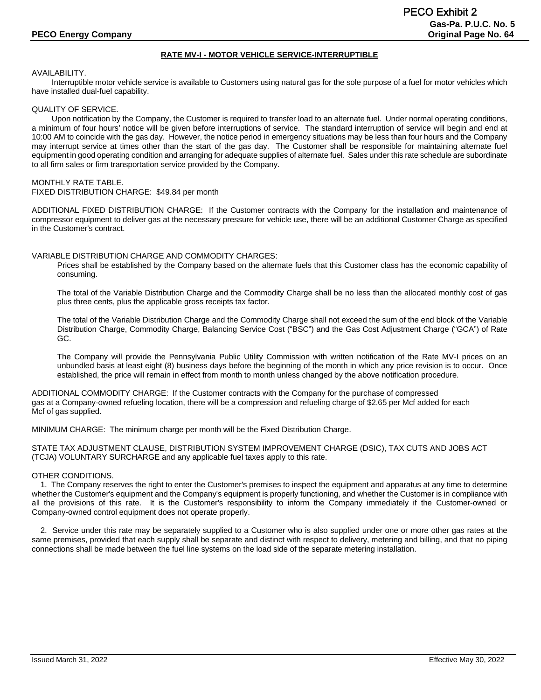## **RATE MV-I - MOTOR VEHICLE SERVICE-INTERRUPTIBLE**

#### AVAILABILITY.

Interruptible motor vehicle service is available to Customers using natural gas for the sole purpose of a fuel for motor vehicles which have installed dual-fuel capability.

#### QUALITY OF SERVICE.

Upon notification by the Company, the Customer is required to transfer load to an alternate fuel. Under normal operating conditions, a minimum of four hours' notice will be given before interruptions of service. The standard interruption of service will begin and end at 10:00 AM to coincide with the gas day. However, the notice period in emergency situations may be less than four hours and the Company may interrupt service at times other than the start of the gas day. The Customer shall be responsible for maintaining alternate fuel equipment in good operating condition and arranging for adequate supplies of alternate fuel. Sales under this rate schedule are subordinate to all firm sales or firm transportation service provided by the Company.

#### MONTHLY RATE TABLE.

FIXED DISTRIBUTION CHARGE: \$49.84 per month

ADDITIONAL FIXED DISTRIBUTION CHARGE: If the Customer contracts with the Company for the installation and maintenance of compressor equipment to deliver gas at the necessary pressure for vehicle use, there will be an additional Customer Charge as specified in the Customer's contract.

#### VARIABLE DISTRIBUTION CHARGE AND COMMODITY CHARGES:

Prices shall be established by the Company based on the alternate fuels that this Customer class has the economic capability of consuming.

The total of the Variable Distribution Charge and the Commodity Charge shall be no less than the allocated monthly cost of gas plus three cents, plus the applicable gross receipts tax factor.

The total of the Variable Distribution Charge and the Commodity Charge shall not exceed the sum of the end block of the Variable Distribution Charge, Commodity Charge, Balancing Service Cost ("BSC") and the Gas Cost Adjustment Charge ("GCA") of Rate GC.

The Company will provide the Pennsylvania Public Utility Commission with written notification of the Rate MV-I prices on an unbundled basis at least eight (8) business days before the beginning of the month in which any price revision is to occur. Once established, the price will remain in effect from month to month unless changed by the above notification procedure.

ADDITIONAL COMMODITY CHARGE: If the Customer contracts with the Company for the purchase of compressed gas at a Company-owned refueling location, there will be a compression and refueling charge of \$2.65 per Mcf added for each Mcf of gas supplied.

MINIMUM CHARGE: The minimum charge per month will be the Fixed Distribution Charge.

STATE TAX ADJUSTMENT CLAUSE, DISTRIBUTION SYSTEM IMPROVEMENT CHARGE (DSIC), TAX CUTS AND JOBS ACT (TCJA) VOLUNTARY SURCHARGE and any applicable fuel taxes apply to this rate.

#### OTHER CONDITIONS.

 1. The Company reserves the right to enter the Customer's premises to inspect the equipment and apparatus at any time to determine whether the Customer's equipment and the Company's equipment is properly functioning, and whether the Customer is in compliance with all the provisions of this rate. It is the Customer's responsibility to inform the Company immediately if the Customer-owned or Company-owned control equipment does not operate properly.

 2. Service under this rate may be separately supplied to a Customer who is also supplied under one or more other gas rates at the same premises, provided that each supply shall be separate and distinct with respect to delivery, metering and billing, and that no piping connections shall be made between the fuel line systems on the load side of the separate metering installation.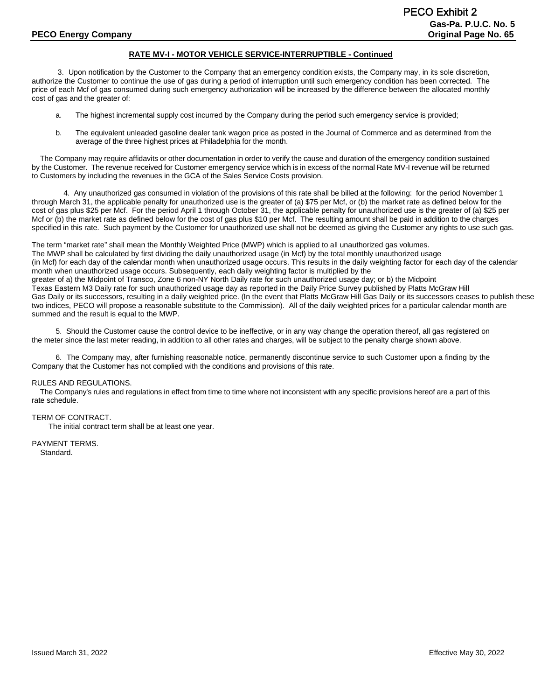### **RATE MV-I - MOTOR VEHICLE SERVICE-INTERRUPTIBLE - Continued**

3. Upon notification by the Customer to the Company that an emergency condition exists, the Company may, in its sole discretion, authorize the Customer to continue the use of gas during a period of interruption until such emergency condition has been corrected. The price of each Mcf of gas consumed during such emergency authorization will be increased by the difference between the allocated monthly cost of gas and the greater of:

- a. The highest incremental supply cost incurred by the Company during the period such emergency service is provided;
- b. The equivalent unleaded gasoline dealer tank wagon price as posted in the Journal of Commerce and as determined from the average of the three highest prices at Philadelphia for the month.

 The Company may require affidavits or other documentation in order to verify the cause and duration of the emergency condition sustained by the Customer. The revenue received for Customer emergency service which is in excess of the normal Rate MV-I revenue will be returned to Customers by including the revenues in the GCA of the Sales Service Costs provision.

4. Any unauthorized gas consumed in violation of the provisions of this rate shall be billed at the following: for the period November 1 through March 31, the applicable penalty for unauthorized use is the greater of (a) \$75 per Mcf, or (b) the market rate as defined below for the cost of gas plus \$25 per Mcf. For the period April 1 through October 31, the applicable penalty for unauthorized use is the greater of (a) \$25 per Mcf or (b) the market rate as defined below for the cost of gas plus \$10 per Mcf. The resulting amount shall be paid in addition to the charges specified in this rate. Such payment by the Customer for unauthorized use shall not be deemed as giving the Customer any rights to use such gas.

The term "market rate" shall mean the Monthly Weighted Price (MWP) which is applied to all unauthorized gas volumes. The MWP shall be calculated by first dividing the daily unauthorized usage (in Mcf) by the total monthly unauthorized usage (in Mcf) for each day of the calendar month when unauthorized usage occurs. This results in the daily weighting factor for each day of the calendar month when unauthorized usage occurs. Subsequently, each daily weighting factor is multiplied by the greater of a) the Midpoint of Transco, Zone 6 non-NY North Daily rate for such unauthorized usage day; or b) the Midpoint Texas Eastern M3 Daily rate for such unauthorized usage day as reported in the Daily Price Survey published by Platts McGraw Hill Gas Daily or its successors, resulting in a daily weighted price. (In the event that Platts McGraw Hill Gas Daily or its successors ceases to publish these two indices, PECO will propose a reasonable substitute to the Commission). All of the daily weighted prices for a particular calendar month are summed and the result is equal to the MWP.

5. Should the Customer cause the control device to be ineffective, or in any way change the operation thereof, all gas registered on the meter since the last meter reading, in addition to all other rates and charges, will be subject to the penalty charge shown above.

6. The Company may, after furnishing reasonable notice, permanently discontinue service to such Customer upon a finding by the Company that the Customer has not complied with the conditions and provisions of this rate.

#### RULES AND REGULATIONS.

 The Company's rules and regulations in effect from time to time where not inconsistent with any specific provisions hereof are a part of this rate schedule.

#### TERM OF CONTRACT.

The initial contract term shall be at least one year.

PAYMENT TERMS. Standard.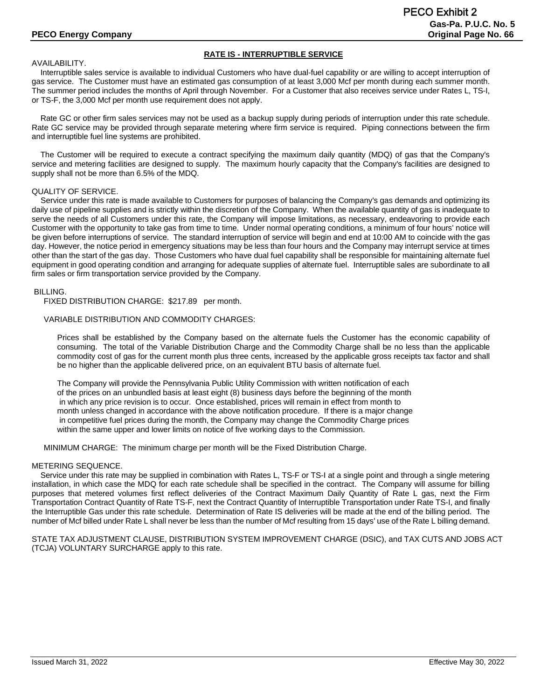# **RATE IS - INTERRUPTIBLE SERVICE**

#### AVAILABILITY.

 Interruptible sales service is available to individual Customers who have dual-fuel capability or are willing to accept interruption of gas service. The Customer must have an estimated gas consumption of at least 3,000 Mcf per month during each summer month. The summer period includes the months of April through November. For a Customer that also receives service under Rates L, TS-I, or TS-F, the 3,000 Mcf per month use requirement does not apply.

 Rate GC or other firm sales services may not be used as a backup supply during periods of interruption under this rate schedule. Rate GC service may be provided through separate metering where firm service is required. Piping connections between the firm and interruptible fuel line systems are prohibited.

 The Customer will be required to execute a contract specifying the maximum daily quantity (MDQ) of gas that the Company's service and metering facilities are designed to supply. The maximum hourly capacity that the Company's facilities are designed to supply shall not be more than 6.5% of the MDQ.

#### QUALITY OF SERVICE.

 Service under this rate is made available to Customers for purposes of balancing the Company's gas demands and optimizing its daily use of pipeline supplies and is strictly within the discretion of the Company. When the available quantity of gas is inadequate to serve the needs of all Customers under this rate, the Company will impose limitations, as necessary, endeavoring to provide each Customer with the opportunity to take gas from time to time. Under normal operating conditions, a minimum of four hours' notice will be given before interruptions of service. The standard interruption of service will begin and end at 10:00 AM to coincide with the gas day. However, the notice period in emergency situations may be less than four hours and the Company may interrupt service at times other than the start of the gas day. Those Customers who have dual fuel capability shall be responsible for maintaining alternate fuel equipment in good operating condition and arranging for adequate supplies of alternate fuel. Interruptible sales are subordinate to all firm sales or firm transportation service provided by the Company.

#### BILLING.

FIXED DISTRIBUTION CHARGE: \$217.89 per month.

#### VARIABLE DISTRIBUTION AND COMMODITY CHARGES:

Prices shall be established by the Company based on the alternate fuels the Customer has the economic capability of consuming. The total of the Variable Distribution Charge and the Commodity Charge shall be no less than the applicable commodity cost of gas for the current month plus three cents, increased by the applicable gross receipts tax factor and shall be no higher than the applicable delivered price, on an equivalent BTU basis of alternate fuel.

The Company will provide the Pennsylvania Public Utility Commission with written notification of each of the prices on an unbundled basis at least eight (8) business days before the beginning of the month in which any price revision is to occur. Once established, prices will remain in effect from month to month unless changed in accordance with the above notification procedure. If there is a major change in competitive fuel prices during the month, the Company may change the Commodity Charge prices within the same upper and lower limits on notice of five working days to the Commission.

MINIMUM CHARGE: The minimum charge per month will be the Fixed Distribution Charge.

#### METERING SEQUENCE.

 Service under this rate may be supplied in combination with Rates L, TS-F or TS-I at a single point and through a single metering installation, in which case the MDQ for each rate schedule shall be specified in the contract. The Company will assume for billing purposes that metered volumes first reflect deliveries of the Contract Maximum Daily Quantity of Rate L gas, next the Firm Transportation Contract Quantity of Rate TS-F, next the Contract Quantity of Interruptible Transportation under Rate TS-I, and finally the Interruptible Gas under this rate schedule. Determination of Rate IS deliveries will be made at the end of the billing period. The number of Mcf billed under Rate L shall never be less than the number of Mcf resulting from 15 days' use of the Rate L billing demand.

STATE TAX ADJUSTMENT CLAUSE, DISTRIBUTION SYSTEM IMPROVEMENT CHARGE (DSIC), and TAX CUTS AND JOBS ACT (TCJA) VOLUNTARY SURCHARGE apply to this rate.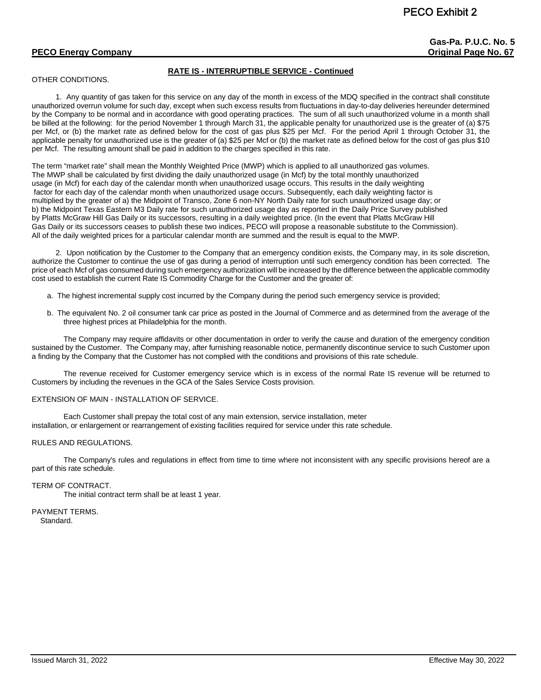**Gas-Pa. P.U.C. No. 5**

# **PECO Energy Company Company Company Company Company Company Company Company Company Company Company Company Company Company Company Company Company Company Company Company Company Company Company Company Company Company C**

# **RATE IS - INTERRUPTIBLE SERVICE - Continued**

### OTHER CONDITIONS.

1. Any quantity of gas taken for this service on any day of the month in excess of the MDQ specified in the contract shall constitute unauthorized overrun volume for such day, except when such excess results from fluctuations in day-to-day deliveries hereunder determined by the Company to be normal and in accordance with good operating practices. The sum of all such unauthorized volume in a month shall be billed at the following: for the period November 1 through March 31, the applicable penalty for unauthorized use is the greater of (a) \$75 per Mcf, or (b) the market rate as defined below for the cost of gas plus \$25 per Mcf. For the period April 1 through October 31, the applicable penalty for unauthorized use is the greater of (a) \$25 per Mcf or (b) the market rate as defined below for the cost of gas plus \$10 per Mcf. The resulting amount shall be paid in addition to the charges specified in this rate.

The term "market rate" shall mean the Monthly Weighted Price (MWP) which is applied to all unauthorized gas volumes. The MWP shall be calculated by first dividing the daily unauthorized usage (in Mcf) by the total monthly unauthorized usage (in Mcf) for each day of the calendar month when unauthorized usage occurs. This results in the daily weighting factor for each day of the calendar month when unauthorized usage occurs. Subsequently, each daily weighting factor is multiplied by the greater of a) the Midpoint of Transco, Zone 6 non-NY North Daily rate for such unauthorized usage day; or b) the Midpoint Texas Eastern M3 Daily rate for such unauthorized usage day as reported in the Daily Price Survey published by Platts McGraw Hill Gas Daily or its successors, resulting in a daily weighted price. (In the event that Platts McGraw Hill Gas Daily or its successors ceases to publish these two indices, PECO will propose a reasonable substitute to the Commission). All of the daily weighted prices for a particular calendar month are summed and the result is equal to the MWP.

2. Upon notification by the Customer to the Company that an emergency condition exists, the Company may, in its sole discretion, authorize the Customer to continue the use of gas during a period of interruption until such emergency condition has been corrected. The price of each Mcf of gas consumed during such emergency authorization will be increased by the difference between the applicable commodity cost used to establish the current Rate IS Commodity Charge for the Customer and the greater of:

- a. The highest incremental supply cost incurred by the Company during the period such emergency service is provided;
- b. The equivalent No. 2 oil consumer tank car price as posted in the Journal of Commerce and as determined from the average of the three highest prices at Philadelphia for the month.

The Company may require affidavits or other documentation in order to verify the cause and duration of the emergency condition sustained by the Customer. The Company may, after furnishing reasonable notice, permanently discontinue service to such Customer upon a finding by the Company that the Customer has not complied with the conditions and provisions of this rate schedule.

The revenue received for Customer emergency service which is in excess of the normal Rate IS revenue will be returned to Customers by including the revenues in the GCA of the Sales Service Costs provision.

#### EXTENSION OF MAIN - INSTALLATION OF SERVICE.

Each Customer shall prepay the total cost of any main extension, service installation, meter installation, or enlargement or rearrangement of existing facilities required for service under this rate schedule.

#### RULES AND REGULATIONS.

The Company's rules and regulations in effect from time to time where not inconsistent with any specific provisions hereof are a part of this rate schedule.

#### TERM OF CONTRACT.

The initial contract term shall be at least 1 year.

PAYMENT TERMS. Standard.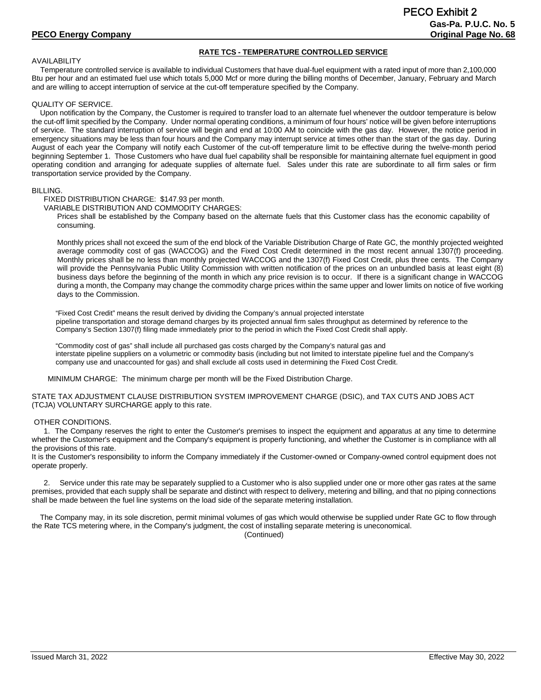#### **RATE TCS - TEMPERATURE CONTROLLED SERVICE**

#### AVAILABILITY

 Temperature controlled service is available to individual Customers that have dual-fuel equipment with a rated input of more than 2,100,000 Btu per hour and an estimated fuel use which totals 5,000 Mcf or more during the billing months of December, January, February and March and are willing to accept interruption of service at the cut-off temperature specified by the Company.

#### QUALITY OF SERVICE.

 Upon notification by the Company, the Customer is required to transfer load to an alternate fuel whenever the outdoor temperature is below the cut-off limit specified by the Company. Under normal operating conditions, a minimum of four hours' notice will be given before interruptions of service. The standard interruption of service will begin and end at 10:00 AM to coincide with the gas day. However, the notice period in emergency situations may be less than four hours and the Company may interrupt service at times other than the start of the gas day. During August of each year the Company will notify each Customer of the cut-off temperature limit to be effective during the twelve-month period beginning September 1. Those Customers who have dual fuel capability shall be responsible for maintaining alternate fuel equipment in good operating condition and arranging for adequate supplies of alternate fuel. Sales under this rate are subordinate to all firm sales or firm transportation service provided by the Company.

#### BILLING.

FIXED DISTRIBUTION CHARGE: \$147.93 per month.

VARIABLE DISTRIBUTION AND COMMODITY CHARGES:

Prices shall be established by the Company based on the alternate fuels that this Customer class has the economic capability of consuming.

Monthly prices shall not exceed the sum of the end block of the Variable Distribution Charge of Rate GC, the monthly projected weighted average commodity cost of gas (WACCOG) and the Fixed Cost Credit determined in the most recent annual 1307(f) proceeding. Monthly prices shall be no less than monthly projected WACCOG and the 1307(f) Fixed Cost Credit, plus three cents. The Company will provide the Pennsylvania Public Utility Commission with written notification of the prices on an unbundled basis at least eight (8) business days before the beginning of the month in which any price revision is to occur. If there is a significant change in WACCOG during a month, the Company may change the commodity charge prices within the same upper and lower limits on notice of five working days to the Commission.

"Fixed Cost Credit" means the result derived by dividing the Company's annual projected interstate pipeline transportation and storage demand charges by its projected annual firm sales throughput as determined by reference to the Company's Section 1307(f) filing made immediately prior to the period in which the Fixed Cost Credit shall apply.

"Commodity cost of gas" shall include all purchased gas costs charged by the Company's natural gas and interstate pipeline suppliers on a volumetric or commodity basis (including but not limited to interstate pipeline fuel and the Company's company use and unaccounted for gas) and shall exclude all costs used in determining the Fixed Cost Credit.

MINIMUM CHARGE: The minimum charge per month will be the Fixed Distribution Charge.

STATE TAX ADJUSTMENT CLAUSE DISTRIBUTION SYSTEM IMPROVEMENT CHARGE (DSIC), and TAX CUTS AND JOBS ACT (TCJA) VOLUNTARY SURCHARGE apply to this rate.

#### OTHER CONDITIONS.

1. The Company reserves the right to enter the Customer's premises to inspect the equipment and apparatus at any time to determine whether the Customer's equipment and the Company's equipment is properly functioning, and whether the Customer is in compliance with all the provisions of this rate.

It is the Customer's responsibility to inform the Company immediately if the Customer-owned or Company-owned control equipment does not operate properly.

Service under this rate may be separately supplied to a Customer who is also supplied under one or more other gas rates at the same premises, provided that each supply shall be separate and distinct with respect to delivery, metering and billing, and that no piping connections shall be made between the fuel line systems on the load side of the separate metering installation.

 The Company may, in its sole discretion, permit minimal volumes of gas which would otherwise be supplied under Rate GC to flow through the Rate TCS metering where, in the Company's judgment, the cost of installing separate metering is uneconomical.

(Continued)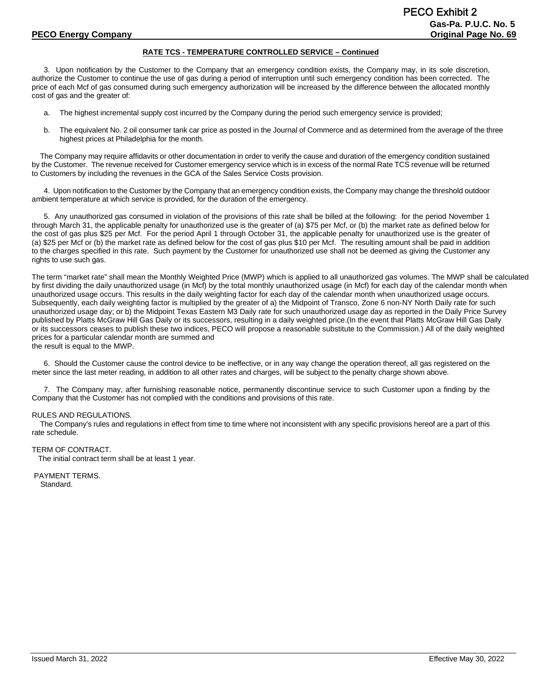#### **RATE TCS - TEMPERATURE CONTROLLED SERVICE – Continued**

3. Upon notification by the Customer to the Company that an emergency condition exists, the Company may, in its sole discretion, authorize the Customer to continue the use of gas during a period of interruption until such emergency condition has been corrected. The price of each Mcf of gas consumed during such emergency authorization will be increased by the difference between the allocated monthly cost of gas and the greater of:

- a. The highest incremental supply cost incurred by the Company during the period such emergency service is provided;
- b. The equivalent No. 2 oil consumer tank car price as posted in the Journal of Commerce and as determined from the average of the three highest prices at Philadelphia for the month.

 The Company may require affidavits or other documentation in order to verify the cause and duration of the emergency condition sustained by the Customer. The revenue received for Customer emergency service which is in excess of the normal Rate TCS revenue will be returned to Customers by including the revenues in the GCA of the Sales Service Costs provision.

4. Upon notification to the Customer by the Company that an emergency condition exists, the Company may change the threshold outdoor ambient temperature at which service is provided, for the duration of the emergency.

5. Any unauthorized gas consumed in violation of the provisions of this rate shall be billed at the following: for the period November 1 through March 31, the applicable penalty for unauthorized use is the greater of (a) \$75 per Mcf, or (b) the market rate as defined below for the cost of gas plus \$25 per Mcf. For the period April 1 through October 31, the applicable penalty for unauthorized use is the greater of (a) \$25 per Mcf or (b) the market rate as defined below for the cost of gas plus \$10 per Mcf. The resulting amount shall be paid in addition to the charges specified in this rate. Such payment by the Customer for unauthorized use shall not be deemed as giving the Customer any rights to use such gas.

The term "market rate" shall mean the Monthly Weighted Price (MWP) which is applied to all unauthorized gas volumes. The MWP shall be calculated by first dividing the daily unauthorized usage (in Mcf) by the total monthly unauthorized usage (in Mcf) for each day of the calendar month when unauthorized usage occurs. This results in the daily weighting factor for each day of the calendar month when unauthorized usage occurs. Subsequently, each daily weighting factor is multiplied by the greater of a) the Midpoint of Transco, Zone 6 non-NY North Daily rate for such unauthorized usage day; or b) the Midpoint Texas Eastern M3 Daily rate for such unauthorized usage day as reported in the Daily Price Survey published by Platts McGraw Hill Gas Daily or its successors, resulting in a daily weighted price.(In the event that Platts McGraw Hill Gas Daily or its successors ceases to publish these two indices, PECO will propose a reasonable substitute to the Commission.) All of the daily weighted prices for a particular calendar month are summed and the result is equal to the MWP.

6. Should the Customer cause the control device to be ineffective, or in any way change the operation thereof, all gas registered on the meter since the last meter reading, in addition to all other rates and charges, will be subject to the penalty charge shown above.

7. The Company may, after furnishing reasonable notice, permanently discontinue service to such Customer upon a finding by the Company that the Customer has not complied with the conditions and provisions of this rate.

#### RULES AND REGULATIONS.

 The Company's rules and regulations in effect from time to time where not inconsistent with any specific provisions hereof are a part of this rate schedule.

#### TERM OF CONTRACT.

The initial contract term shall be at least 1 year.

PAYMENT TERMS. Standard.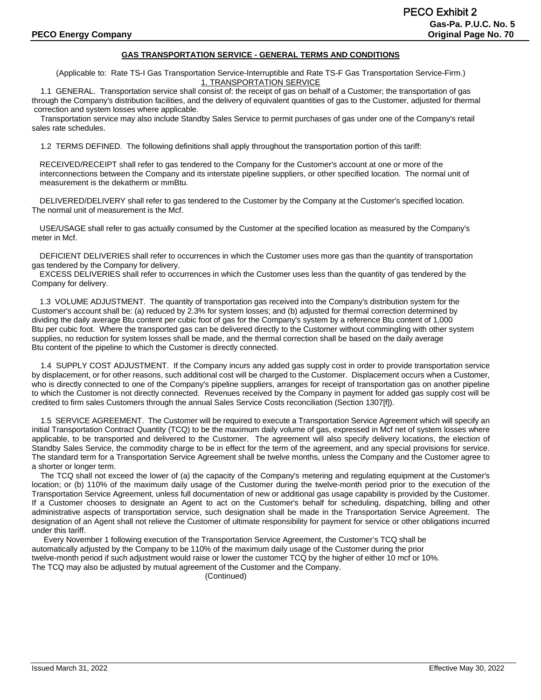## **GAS TRANSPORTATION SERVICE - GENERAL TERMS AND CONDITIONS**

(Applicable to: Rate TS-I Gas Transportation Service-Interruptible and Rate TS-F Gas Transportation Service-Firm.) 1. TRANSPORTATION SERVICE

 1.1 GENERAL. Transportation service shall consist of: the receipt of gas on behalf of a Customer; the transportation of gas through the Company's distribution facilities, and the delivery of equivalent quantities of gas to the Customer, adjusted for thermal correction and system losses where applicable.

 Transportation service may also include Standby Sales Service to permit purchases of gas under one of the Company's retail sales rate schedules.

1.2 TERMS DEFINED. The following definitions shall apply throughout the transportation portion of this tariff:

RECEIVED/RECEIPT shall refer to gas tendered to the Company for the Customer's account at one or more of the interconnections between the Company and its interstate pipeline suppliers, or other specified location. The normal unit of measurement is the dekatherm or mmBtu.

DELIVERED/DELIVERY shall refer to gas tendered to the Customer by the Company at the Customer's specified location. The normal unit of measurement is the Mcf.

USE/USAGE shall refer to gas actually consumed by the Customer at the specified location as measured by the Company's meter in Mcf.

DEFICIENT DELIVERIES shall refer to occurrences in which the Customer uses more gas than the quantity of transportation gas tendered by the Company for delivery.

EXCESS DELIVERIES shall refer to occurrences in which the Customer uses less than the quantity of gas tendered by the Company for delivery.

1.3 VOLUME ADJUSTMENT. The quantity of transportation gas received into the Company's distribution system for the Customer's account shall be: (a) reduced by 2.3% for system losses; and (b) adjusted for thermal correction determined by dividing the daily average Btu content per cubic foot of gas for the Company's system by a reference Btu content of 1,000 Btu per cubic foot. Where the transported gas can be delivered directly to the Customer without commingling with other system supplies, no reduction for system losses shall be made, and the thermal correction shall be based on the daily average Btu content of the pipeline to which the Customer is directly connected.

 1.4 SUPPLY COST ADJUSTMENT. If the Company incurs any added gas supply cost in order to provide transportation service by displacement, or for other reasons, such additional cost will be charged to the Customer. Displacement occurs when a Customer, who is directly connected to one of the Company's pipeline suppliers, arranges for receipt of transportation gas on another pipeline to which the Customer is not directly connected. Revenues received by the Company in payment for added gas supply cost will be credited to firm sales Customers through the annual Sales Service Costs reconciliation (Section 1307[f]).

 1.5 SERVICE AGREEMENT. The Customer will be required to execute a Transportation Service Agreement which will specify an initial Transportation Contract Quantity (TCQ) to be the maximum daily volume of gas, expressed in Mcf net of system losses where applicable, to be transported and delivered to the Customer. The agreement will also specify delivery locations, the election of Standby Sales Service, the commodity charge to be in effect for the term of the agreement, and any special provisions for service. The standard term for a Transportation Service Agreement shall be twelve months, unless the Company and the Customer agree to a shorter or longer term.

 The TCQ shall not exceed the lower of (a) the capacity of the Company's metering and regulating equipment at the Customer's location; or (b) 110% of the maximum daily usage of the Customer during the twelve-month period prior to the execution of the Transportation Service Agreement, unless full documentation of new or additional gas usage capability is provided by the Customer. If a Customer chooses to designate an Agent to act on the Customer's behalf for scheduling, dispatching, billing and other administrative aspects of transportation service, such designation shall be made in the Transportation Service Agreement. The designation of an Agent shall not relieve the Customer of ultimate responsibility for payment for service or other obligations incurred under this tariff.

Every November 1 following execution of the Transportation Service Agreement, the Customer's TCQ shall be automatically adjusted by the Company to be 110% of the maximum daily usage of the Customer during the prior twelve-month period if such adjustment would raise or lower the customer TCQ by the higher of either 10 mcf or 10%. The TCQ may also be adjusted by mutual agreement of the Customer and the Company.

(Continued)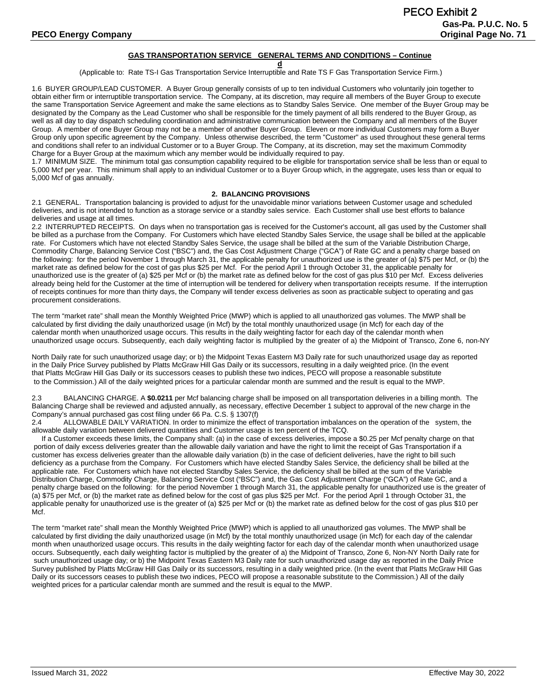#### **GAS TRANSPORTATION SERVICE GENERAL TERMS AND CONDITIONS – Continue**

**d** (Applicable to: Rate TS-I Gas Transportation Service Interruptible and Rate TS F Gas Transportation Service Firm.)

1.6 BUYER GROUP/LEAD CUSTOMER. A Buyer Group generally consists of up to ten individual Customers who voluntarily join together to obtain either firm or interruptible transportation service. The Company, at its discretion, may require all members of the Buyer Group to execute the same Transportation Service Agreement and make the same elections as to Standby Sales Service. One member of the Buyer Group may be designated by the Company as the Lead Customer who shall be responsible for the timely payment of all bills rendered to the Buyer Group, as well as all day to day dispatch scheduling coordination and administrative communication between the Company and all members of the Buyer Group. A member of one Buyer Group may not be a member of another Buyer Group. Eleven or more individual Customers may form a Buyer Group only upon specific agreement by the Company. Unless otherwise described, the term "Customer" as used throughout these general terms and conditions shall refer to an individual Customer or to a Buyer Group. The Company, at its discretion, may set the maximum Commodity Charge for a Buyer Group at the maximum which any member would be individually required to pay.

1.7 MINIMUM SIZE. The minimum total gas consumption capability required to be eligible for transportation service shall be less than or equal to 5,000 Mcf per year. This minimum shall apply to an individual Customer or to a Buyer Group which, in the aggregate, uses less than or equal to 5,000 Mcf of gas annually.

#### **2. BALANCING PROVISIONS**

2.1 GENERAL. Transportation balancing is provided to adjust for the unavoidable minor variations between Customer usage and scheduled deliveries, and is not intended to function as a storage service or a standby sales service. Each Customer shall use best efforts to balance deliveries and usage at all times.

2.2 INTERRUPTED RECEIPTS. On days when no transportation gas is received for the Customer's account, all gas used by the Customer shall be billed as a purchase from the Company. For Customers which have elected Standby Sales Service, the usage shall be billed at the applicable rate. For Customers which have not elected Standby Sales Service, the usage shall be billed at the sum of the Variable Distribution Charge, Commodity Charge, Balancing Service Cost ("BSC") and, the Gas Cost Adjustment Charge ("GCA") of Rate GC and a penalty charge based on the following: for the period November 1 through March 31, the applicable penalty for unauthorized use is the greater of (a) \$75 per Mcf, or (b) the market rate as defined below for the cost of gas plus \$25 per Mcf. For the period April 1 through October 31, the applicable penalty for unauthorized use is the greater of (a) \$25 per Mcf or (b) the market rate as defined below for the cost of gas plus \$10 per Mcf. Excess deliveries already being held for the Customer at the time of interruption will be tendered for delivery when transportation receipts resume. If the interruption of receipts continues for more than thirty days, the Company will tender excess deliveries as soon as practicable subject to operating and gas procurement considerations.

The term "market rate" shall mean the Monthly Weighted Price (MWP) which is applied to all unauthorized gas volumes. The MWP shall be calculated by first dividing the daily unauthorized usage (in Mcf) by the total monthly unauthorized usage (in Mcf) for each day of the calendar month when unauthorized usage occurs. This results in the daily weighting factor for each day of the calendar month when unauthorized usage occurs. Subsequently, each daily weighting factor is multiplied by the greater of a) the Midpoint of Transco, Zone 6, non-NY

North Daily rate for such unauthorized usage day; or b) the Midpoint Texas Eastern M3 Daily rate for such unauthorized usage day as reported in the Daily Price Survey published by Platts McGraw Hill Gas Daily or its successors, resulting in a daily weighted price. (In the event that Platts McGraw Hill Gas Daily or its successors ceases to publish these two indices, PECO will propose a reasonable substitute to the Commission.) All of the daily weighted prices for a particular calendar month are summed and the result is equal to the MWP.

2.3 BALANCING CHARGE. A **\$0.0211** per Mcf balancing charge shall be imposed on all transportation deliveries in a billing month. The Balancing Charge shall be reviewed and adjusted annually, as necessary, effective December 1 subject to approval of the new charge in the Company's annual purchased gas cost filing under 66 Pa. C.S. § 1307(f)

2.4 ALLOWABLE DAILY VARIATION. In order to minimize the effect of transportation imbalances on the operation of the system, the allowable daily variation between delivered quantities and Customer usage is ten percent of the TCQ.

 If a Customer exceeds these limits, the Company shall: (a) in the case of excess deliveries, impose a \$0.25 per Mcf penalty charge on that portion of daily excess deliveries greater than the allowable daily variation and have the right to limit the receipt of Gas Transportation if a customer has excess deliveries greater than the allowable daily variation (b) in the case of deficient deliveries, have the right to bill such deficiency as a purchase from the Company. For Customers which have elected Standby Sales Service, the deficiency shall be billed at the applicable rate. For Customers which have not elected Standby Sales Service, the deficiency shall be billed at the sum of the Variable Distribution Charge, Commodity Charge, Balancing Service Cost ("BSC") and, the Gas Cost Adjustment Charge ("GCA") of Rate GC, and a penalty charge based on the following: for the period November 1 through March 31, the applicable penalty for unauthorized use is the greater of (a) \$75 per Mcf, or (b) the market rate as defined below for the cost of gas plus \$25 per Mcf. For the period April 1 through October 31, the applicable penalty for unauthorized use is the greater of (a) \$25 per Mcf or (b) the market rate as defined below for the cost of gas plus \$10 per Mcf.

The term "market rate" shall mean the Monthly Weighted Price (MWP) which is applied to all unauthorized gas volumes. The MWP shall be calculated by first dividing the daily unauthorized usage (in Mcf) by the total monthly unauthorized usage (in Mcf) for each day of the calendar month when unauthorized usage occurs. This results in the daily weighting factor for each day of the calendar month when unauthorized usage occurs. Subsequently, each daily weighting factor is multiplied by the greater of a) the Midpoint of Transco, Zone 6, Non-NY North Daily rate for such unauthorized usage day; or b) the Midpoint Texas Eastern M3 Daily rate for such unauthorized usage day as reported in the Daily Price Survey published by Platts McGraw Hill Gas Daily or its successors, resulting in a daily weighted price. (In the event that Platts McGraw Hill Gas Daily or its successors ceases to publish these two indices, PECO will propose a reasonable substitute to the Commission.) All of the daily weighted prices for a particular calendar month are summed and the result is equal to the MWP.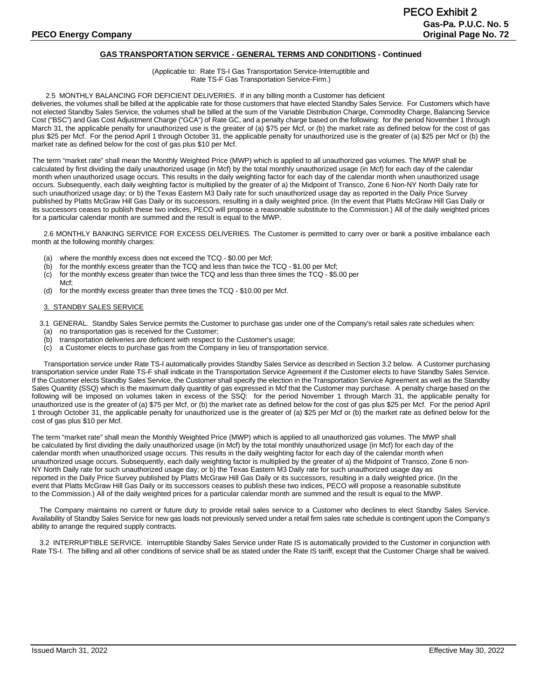## **GAS TRANSPORTATION SERVICE - GENERAL TERMS AND CONDITIONS - Continued**

#### (Applicable to: Rate TS-I Gas Transportation Service-Interruptible and Rate TS-F Gas Transportation Service-Firm.)

#### 2.5 MONTHLY BALANCING FOR DEFICIENT DELIVERIES. If in any billing month a Customer has deficient

deliveries, the volumes shall be billed at the applicable rate for those customers that have elected Standby Sales Service. For Customers which have not elected Standby Sales Service, the volumes shall be billed at the sum of the Variable Distribution Charge, Commodity Charge, Balancing Service Cost ("BSC") and Gas Cost Adjustment Charge ("GCA") of Rate GC, and a penalty charge based on the following: for the period November 1 through March 31, the applicable penalty for unauthorized use is the greater of (a) \$75 per Mcf, or (b) the market rate as defined below for the cost of gas plus \$25 per Mcf. For the period April 1 through October 31, the applicable penalty for unauthorized use is the greater of (a) \$25 per Mcf or (b) the market rate as defined below for the cost of gas plus \$10 per Mcf.

The term "market rate" shall mean the Monthly Weighted Price (MWP) which is applied to all unauthorized gas volumes. The MWP shall be calculated by first dividing the daily unauthorized usage (in Mcf) by the total monthly unauthorized usage (in Mcf) for each day of the calendar month when unauthorized usage occurs. This results in the daily weighting factor for each day of the calendar month when unauthorized usage occurs. Subsequently, each daily weighting factor is multiplied by the greater of a) the Midpoint of Transco, Zone 6 Non-NY North Daily rate for such unauthorized usage day; or b) the Texas Eastern M3 Daily rate for such unauthorized usage day as reported in the Daily Price Survey published by Platts McGraw Hill Gas Daily or its successors, resulting in a daily weighted price. (In the event that Platts McGraw Hill Gas Daily or its successors ceases to publish these two indices, PECO will propose a reasonable substitute to the Commission.) All of the daily weighted prices for a particular calendar month are summed and the result is equal to the MWP.

2.6 MONTHLY BANKING SERVICE FOR EXCESS DELIVERIES. The Customer is permitted to carry over or bank a positive imbalance each month at the following monthly charges:

- (a) where the monthly excess does not exceed the TCQ \$0.00 per Mcf;
- (b) for the monthly excess greater than the TCQ and less than twice the TCQ \$1.00 per Mcf;
- (c) for the monthly excess greater than twice the TCQ and less than three times the TCQ \$5.00 per
- Mcf<sup>-</sup> (d) for the monthly excess greater than three times the TCQ - \$10.00 per Mcf.

#### 3. STANDBY SALES SERVICE

3.1 GENERAL. Standby Sales Service permits the Customer to purchase gas under one of the Company's retail sales rate schedules when:

- (a) no transportation gas is received for the Customer;
- (b) transportation deliveries are deficient with respect to the Customer's usage;
- (c) a Customer elects to purchase gas from the Company in lieu of transportation service.

Transportation service under Rate TS-I automatically provides Standby Sales Service as described in Section 3.2 below. A Customer purchasing transportation service under Rate TS-F shall indicate in the Transportation Service Agreement if the Customer elects to have Standby Sales Service. If the Customer elects Standby Sales Service, the Customer shall specify the election in the Transportation Service Agreement as well as the Standby Sales Quantity (SSQ) which is the maximum daily quantity of gas expressed in Mcf that the Customer may purchase. A penalty charge based on the following will be imposed on volumes taken in excess of the SSQ: for the period November 1 through March 31, the applicable penalty for unauthorized use is the greater of (a) \$75 per Mcf, or (b) the market rate as defined below for the cost of gas plus \$25 per Mcf. For the period April 1 through October 31, the applicable penalty for unauthorized use is the greater of (a) \$25 per Mcf or (b) the market rate as defined below for the cost of gas plus \$10 per Mcf.

The term "market rate" shall mean the Monthly Weighted Price (MWP) which is applied to all unauthorized gas volumes. The MWP shall be calculated by first dividing the daily unauthorized usage (in Mcf) by the total monthly unauthorized usage (in Mcf) for each day of the calendar month when unauthorized usage occurs. This results in the daily weighting factor for each day of the calendar month when unauthorized usage occurs. Subsequently, each daily weighting factor is multiplied by the greater of a) the Midpoint of Transco, Zone 6 non-NY North Daily rate for such unauthorized usage day; or b) the Texas Eastern M3 Daily rate for such unauthorized usage day as reported in the Daily Price Survey published by Platts McGraw Hill Gas Daily or its successors, resulting in a daily weighted price. (In the event that Platts McGraw Hill Gas Daily or its successors ceases to publish these two indices, PECO will propose a reasonable substitute to the Commission.) All of the daily weighted prices for a particular calendar month are summed and the result is equal to the MWP.

 The Company maintains no current or future duty to provide retail sales service to a Customer who declines to elect Standby Sales Service. Availability of Standby Sales Service for new gas loads not previously served under a retail firm sales rate schedule is contingent upon the Company's ability to arrange the required supply contracts.

 3.2 INTERRUPTIBLE SERVICE. Interruptible Standby Sales Service under Rate IS is automatically provided to the Customer in conjunction with Rate TS-I. The billing and all other conditions of service shall be as stated under the Rate IS tariff, except that the Customer Charge shall be waived.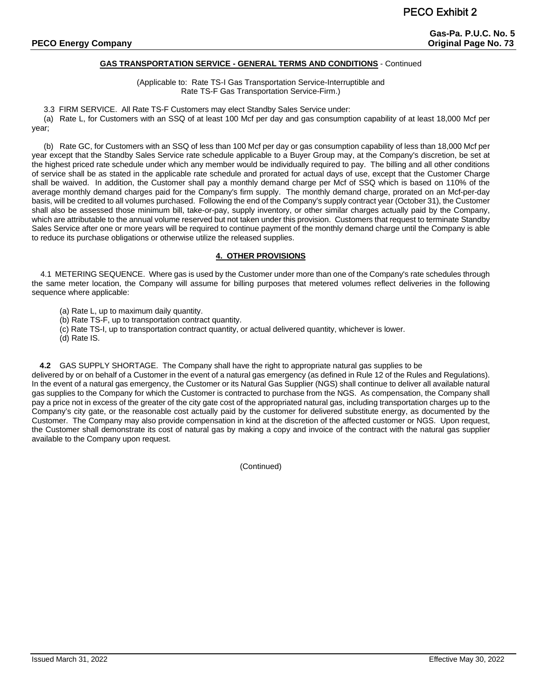### **GAS TRANSPORTATION SERVICE - GENERAL TERMS AND CONDITIONS** - Continued

(Applicable to: Rate TS-I Gas Transportation Service-Interruptible and Rate TS-F Gas Transportation Service-Firm.)

3.3 FIRM SERVICE. All Rate TS-F Customers may elect Standby Sales Service under:

(a) Rate L, for Customers with an SSQ of at least 100 Mcf per day and gas consumption capability of at least 18,000 Mcf per year;

(b) Rate GC, for Customers with an SSQ of less than 100 Mcf per day or gas consumption capability of less than 18,000 Mcf per year except that the Standby Sales Service rate schedule applicable to a Buyer Group may, at the Company's discretion, be set at the highest priced rate schedule under which any member would be individually required to pay. The billing and all other conditions of service shall be as stated in the applicable rate schedule and prorated for actual days of use, except that the Customer Charge shall be waived. In addition, the Customer shall pay a monthly demand charge per Mcf of SSQ which is based on 110% of the average monthly demand charges paid for the Company's firm supply. The monthly demand charge, prorated on an Mcf-per-day basis, will be credited to all volumes purchased. Following the end of the Company's supply contract year (October 31), the Customer shall also be assessed those minimum bill, take-or-pay, supply inventory, or other similar charges actually paid by the Company, which are attributable to the annual volume reserved but not taken under this provision. Customers that request to terminate Standby Sales Service after one or more years will be required to continue payment of the monthly demand charge until the Company is able to reduce its purchase obligations or otherwise utilize the released supplies.

### **4. OTHER PROVISIONS**

 4.1 METERING SEQUENCE. Where gas is used by the Customer under more than one of the Company's rate schedules through the same meter location, the Company will assume for billing purposes that metered volumes reflect deliveries in the following sequence where applicable:

(a) Rate L, up to maximum daily quantity.

(b) Rate TS-F, up to transportation contract quantity.

(c) Rate TS-I, up to transportation contract quantity, or actual delivered quantity, whichever is lower.

(d) Rate IS.

**4.2** GAS SUPPLY SHORTAGE. The Company shall have the right to appropriate natural gas supplies to be delivered by or on behalf of a Customer in the event of a natural gas emergency (as defined in Rule 12 of the Rules and Regulations). In the event of a natural gas emergency, the Customer or its Natural Gas Supplier (NGS) shall continue to deliver all available natural gas supplies to the Company for which the Customer is contracted to purchase from the NGS. As compensation, the Company shall pay a price not in excess of the greater of the city gate cost of the appropriated natural gas, including transportation charges up to the Company's city gate, or the reasonable cost actually paid by the customer for delivered substitute energy, as documented by the Customer. The Company may also provide compensation in kind at the discretion of the affected customer or NGS. Upon request, the Customer shall demonstrate its cost of natural gas by making a copy and invoice of the contract with the natural gas supplier available to the Company upon request.

(Continued)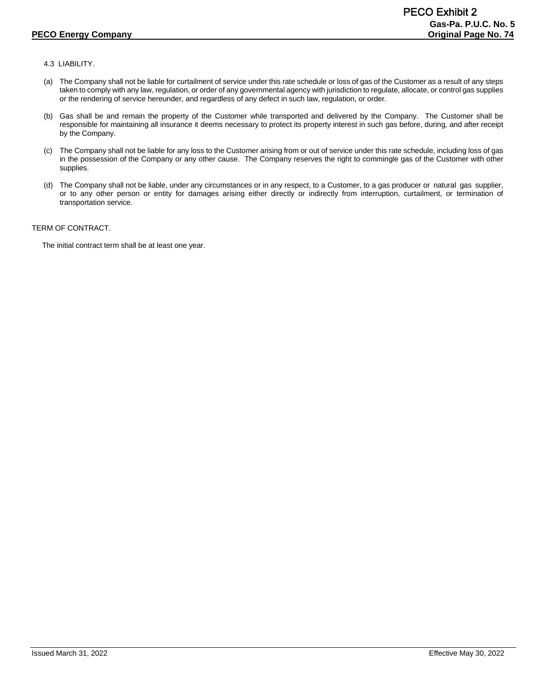# 4.3 LIABILITY.

- (a) The Company shall not be liable for curtailment of service under this rate schedule or loss of gas of the Customer as a result of any steps taken to comply with any law, regulation, or order of any governmental agency with jurisdiction to regulate, allocate, or control gas supplies or the rendering of service hereunder, and regardless of any defect in such law, regulation, or order.
- (b) Gas shall be and remain the property of the Customer while transported and delivered by the Company. The Customer shall be responsible for maintaining all insurance it deems necessary to protect its property interest in such gas before, during, and after receipt by the Company.
- (c) The Company shall not be liable for any loss to the Customer arising from or out of service under this rate schedule, including loss of gas in the possession of the Company or any other cause. The Company reserves the right to commingle gas of the Customer with other supplies.
- (d) The Company shall not be liable, under any circumstances or in any respect, to a Customer, to a gas producer or natural gas supplier, or to any other person or entity for damages arising either directly or indirectly from interruption, curtailment, or termination of transportation service.

## TERM OF CONTRACT.

The initial contract term shall be at least one year.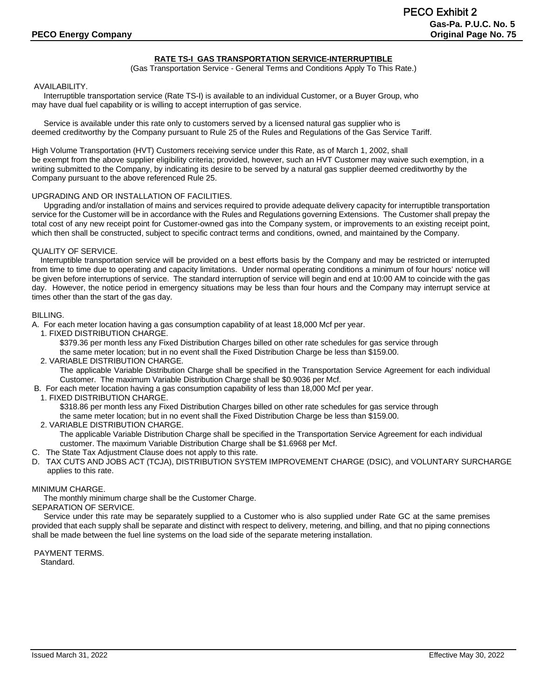# **RATE TS-I GAS TRANSPORTATION SERVICE-INTERRUPTIBLE**

(Gas Transportation Service - General Terms and Conditions Apply To This Rate.)

## AVAILABILITY.

Interruptible transportation service (Rate TS-I) is available to an individual Customer, or a Buyer Group, who may have dual fuel capability or is willing to accept interruption of gas service.

Service is available under this rate only to customers served by a licensed natural gas supplier who is deemed creditworthy by the Company pursuant to Rule 25 of the Rules and Regulations of the Gas Service Tariff.

High Volume Transportation (HVT) Customers receiving service under this Rate, as of March 1, 2002, shall be exempt from the above supplier eligibility criteria; provided, however, such an HVT Customer may waive such exemption, in a writing submitted to the Company, by indicating its desire to be served by a natural gas supplier deemed creditworthy by the Company pursuant to the above referenced Rule 25.

### UPGRADING AND OR INSTALLATION OF FACILITIES.

Upgrading and/or installation of mains and services required to provide adequate delivery capacity for interruptible transportation service for the Customer will be in accordance with the Rules and Regulations governing Extensions. The Customer shall prepay the total cost of any new receipt point for Customer-owned gas into the Company system, or improvements to an existing receipt point, which then shall be constructed, subject to specific contract terms and conditions, owned, and maintained by the Company.

## QUALITY OF SERVICE.

 Interruptible transportation service will be provided on a best efforts basis by the Company and may be restricted or interrupted from time to time due to operating and capacity limitations. Under normal operating conditions a minimum of four hours' notice will be given before interruptions of service. The standard interruption of service will begin and end at 10:00 AM to coincide with the gas day. However, the notice period in emergency situations may be less than four hours and the Company may interrupt service at times other than the start of the gas day.

### BILLING.

A. For each meter location having a gas consumption capability of at least 18,000 Mcf per year.

1. FIXED DISTRIBUTION CHARGE.

\$379.36 per month less any Fixed Distribution Charges billed on other rate schedules for gas service through

the same meter location; but in no event shall the Fixed Distribution Charge be less than \$159.00.

2. VARIABLE DISTRIBUTION CHARGE.

The applicable Variable Distribution Charge shall be specified in the Transportation Service Agreement for each individual Customer. The maximum Variable Distribution Charge shall be \$0.9036 per Mcf.

- B. For each meter location having a gas consumption capability of less than 18,000 Mcf per year.
- 1. FIXED DISTRIBUTION CHARGE.

\$318.86 per month less any Fixed Distribution Charges billed on other rate schedules for gas service through

the same meter location; but in no event shall the Fixed Distribution Charge be less than \$159.00.

2. VARIABLE DISTRIBUTION CHARGE.

The applicable Variable Distribution Charge shall be specified in the Transportation Service Agreement for each individual customer. The maximum Variable Distribution Charge shall be \$1.6968 per Mcf.

- C. The State Tax Adjustment Clause does not apply to this rate.
- D. TAX CUTS AND JOBS ACT (TCJA), DISTRIBUTION SYSTEM IMPROVEMENT CHARGE (DSIC), and VOLUNTARY SURCHARGE applies to this rate.

## MINIMUM CHARGE.

The monthly minimum charge shall be the Customer Charge.

## SEPARATION OF SERVICE.

Service under this rate may be separately supplied to a Customer who is also supplied under Rate GC at the same premises provided that each supply shall be separate and distinct with respect to delivery, metering, and billing, and that no piping connections shall be made between the fuel line systems on the load side of the separate metering installation.

PAYMENT TERMS. Standard.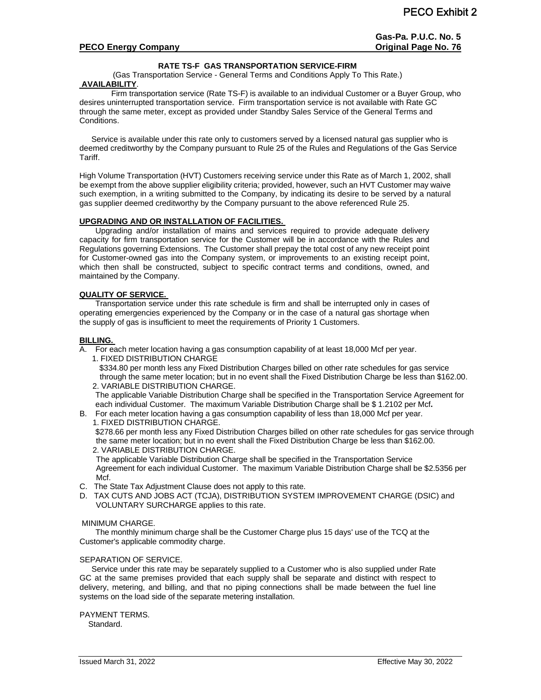## **RATE TS-F GAS TRANSPORTATION SERVICE-FIRM**

(Gas Transportation Service - General Terms and Conditions Apply To This Rate.) **AVAILABILITY**.

Firm transportation service (Rate TS-F) is available to an individual Customer or a Buyer Group, who desires uninterrupted transportation service. Firm transportation service is not available with Rate GC through the same meter, except as provided under Standby Sales Service of the General Terms and Conditions.

Service is available under this rate only to customers served by a licensed natural gas supplier who is deemed creditworthy by the Company pursuant to Rule 25 of the Rules and Regulations of the Gas Service Tariff.

High Volume Transportation (HVT) Customers receiving service under this Rate as of March 1, 2002, shall be exempt from the above supplier eligibility criteria; provided, however, such an HVT Customer may waive such exemption, in a writing submitted to the Company, by indicating its desire to be served by a natural gas supplier deemed creditworthy by the Company pursuant to the above referenced Rule 25.

## **UPGRADING AND OR INSTALLATION OF FACILITIES.**

Upgrading and/or installation of mains and services required to provide adequate delivery capacity for firm transportation service for the Customer will be in accordance with the Rules and Regulations governing Extensions. The Customer shall prepay the total cost of any new receipt point for Customer-owned gas into the Company system, or improvements to an existing receipt point, which then shall be constructed, subject to specific contract terms and conditions, owned, and maintained by the Company.

## **QUALITY OF SERVICE.**

Transportation service under this rate schedule is firm and shall be interrupted only in cases of operating emergencies experienced by the Company or in the case of a natural gas shortage when the supply of gas is insufficient to meet the requirements of Priority 1 Customers.

## **BILLING.**

A. For each meter location having a gas consumption capability of at least 18,000 Mcf per year.

1. FIXED DISTRIBUTION CHARGE

\$334.80 per month less any Fixed Distribution Charges billed on other rate schedules for gas service through the same meter location; but in no event shall the Fixed Distribution Charge be less than \$162.00. 2. VARIABLE DISTRIBUTION CHARGE.

The applicable Variable Distribution Charge shall be specified in the Transportation Service Agreement for each individual Customer. The maximum Variable Distribution Charge shall be \$ 1.2102 per Mcf**.** 

B. For each meter location having a gas consumption capability of less than 18,000 Mcf per year. 1. FIXED DISTRIBUTION CHARGE.

 \$278.66 per month less any Fixed Distribution Charges billed on other rate schedules for gas service through the same meter location; but in no event shall the Fixed Distribution Charge be less than \$162.00. 2. VARIABLE DISTRIBUTION CHARGE.

 The applicable Variable Distribution Charge shall be specified in the Transportation Service Agreement for each individual Customer. The maximum Variable Distribution Charge shall be \$2.5356 per Mcf.

- C. The State Tax Adjustment Clause does not apply to this rate.
- D. TAX CUTS AND JOBS ACT (TCJA), DISTRIBUTION SYSTEM IMPROVEMENT CHARGE (DSIC) and VOLUNTARY SURCHARGE applies to this rate.

## MINIMUM CHARGE.

The monthly minimum charge shall be the Customer Charge plus 15 days' use of the TCQ at the Customer's applicable commodity charge.

## SEPARATION OF SERVICE.

Service under this rate may be separately supplied to a Customer who is also supplied under Rate GC at the same premises provided that each supply shall be separate and distinct with respect to delivery, metering, and billing, and that no piping connections shall be made between the fuel line systems on the load side of the separate metering installation.

PAYMENT TERMS.

Standard.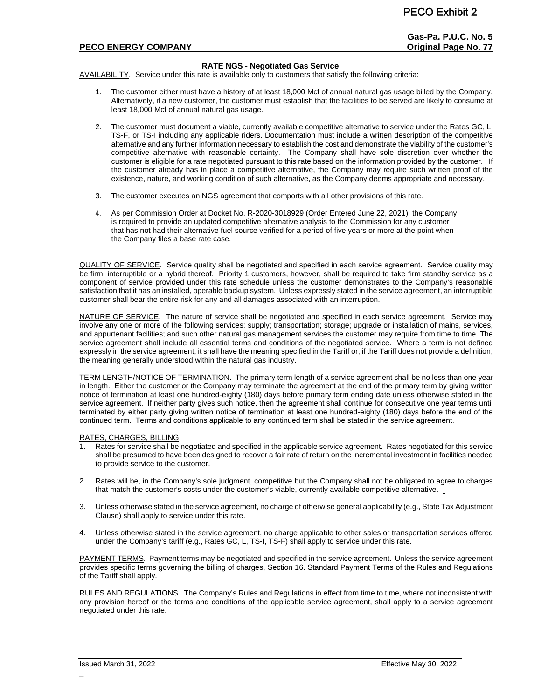**Gas-Pa. P.U.C. No. 5**

# **PECO ENERGY COMPANY Original Page No. 77**

## **RATE NGS - Negotiated Gas Service**

AVAILABILITY. Service under this rate is available only to customers that satisfy the following criteria:

- 1. The customer either must have a history of at least 18,000 Mcf of annual natural gas usage billed by the Company. Alternatively, if a new customer, the customer must establish that the facilities to be served are likely to consume at least 18,000 Mcf of annual natural gas usage.
- 2. The customer must document a viable, currently available competitive alternative to service under the Rates GC, L, TS-F, or TS-I including any applicable riders. Documentation must include a written description of the competitive alternative and any further information necessary to establish the cost and demonstrate the viability of the customer's competitive alternative with reasonable certainty. The Company shall have sole discretion over whether the customer is eligible for a rate negotiated pursuant to this rate based on the information provided by the customer. If the customer already has in place a competitive alternative, the Company may require such written proof of the existence, nature, and working condition of such alternative, as the Company deems appropriate and necessary.
- 3. The customer executes an NGS agreement that comports with all other provisions of this rate.
- 4. As per Commission Order at Docket No. R-2020-3018929 (Order Entered June 22, 2021), the Company is required to provide an updated competitive alternative analysis to the Commission for any customer that has not had their alternative fuel source verified for a period of five years or more at the point when the Company files a base rate case.

QUALITY OF SERVICE. Service quality shall be negotiated and specified in each service agreement. Service quality may be firm, interruptible or a hybrid thereof. Priority 1 customers, however, shall be required to take firm standby service as a component of service provided under this rate schedule unless the customer demonstrates to the Company's reasonable satisfaction that it has an installed, operable backup system. Unless expressly stated in the service agreement, an interruptible customer shall bear the entire risk for any and all damages associated with an interruption.

NATURE OF SERVICE. The nature of service shall be negotiated and specified in each service agreement. Service may involve any one or more of the following services: supply; transportation; storage; upgrade or installation of mains, services, and appurtenant facilities; and such other natural gas management services the customer may require from time to time. The service agreement shall include all essential terms and conditions of the negotiated service. Where a term is not defined expressly in the service agreement, it shall have the meaning specified in the Tariff or, if the Tariff does not provide a definition, the meaning generally understood within the natural gas industry.

TERM LENGTH/NOTICE OF TERMINATION. The primary term length of a service agreement shall be no less than one year in length. Either the customer or the Company may terminate the agreement at the end of the primary term by giving written notice of termination at least one hundred-eighty (180) days before primary term ending date unless otherwise stated in the service agreement. If neither party gives such notice, then the agreement shall continue for consecutive one year terms until terminated by either party giving written notice of termination at least one hundred-eighty (180) days before the end of the continued term. Terms and conditions applicable to any continued term shall be stated in the service agreement.

# RATES, CHARGES, BILLING.<br>1 Rates for service shall be

- Rates for service shall be negotiated and specified in the applicable service agreement. Rates negotiated for this service shall be presumed to have been designed to recover a fair rate of return on the incremental investment in facilities needed to provide service to the customer.
- 2. Rates will be, in the Company's sole judgment, competitive but the Company shall not be obligated to agree to charges that match the customer's costs under the customer's viable, currently available competitive alternative.
- 3. Unless otherwise stated in the service agreement, no charge of otherwise general applicability (e.g., State Tax Adjustment Clause) shall apply to service under this rate.
- 4. Unless otherwise stated in the service agreement, no charge applicable to other sales or transportation services offered under the Company's tariff (e.g., Rates GC, L, TS-I, TS-F) shall apply to service under this rate.

PAYMENT TERMS. Payment terms may be negotiated and specified in the service agreement. Unless the service agreement provides specific terms governing the billing of charges, Section 16. Standard Payment Terms of the Rules and Regulations of the Tariff shall apply.

RULES AND REGULATIONS. The Company's Rules and Regulations in effect from time to time, where not inconsistent with any provision hereof or the terms and conditions of the applicable service agreement, shall apply to a service agreement negotiated under this rate.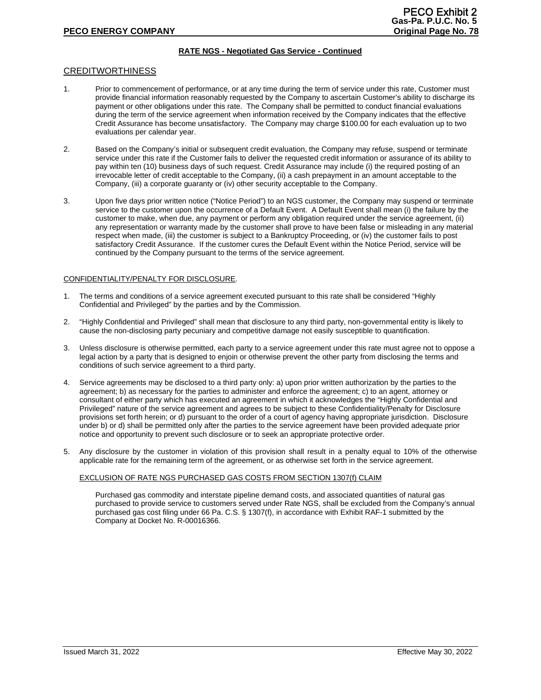# **RATE NGS - Negotiated Gas Service - Continued**

## CREDITWORTHINESS

- 1. Prior to commencement of performance, or at any time during the term of service under this rate, Customer must provide financial information reasonably requested by the Company to ascertain Customer's ability to discharge its payment or other obligations under this rate. The Company shall be permitted to conduct financial evaluations during the term of the service agreement when information received by the Company indicates that the effective Credit Assurance has become unsatisfactory. The Company may charge \$100.00 for each evaluation up to two evaluations per calendar year.
- 2. Based on the Company's initial or subsequent credit evaluation, the Company may refuse, suspend or terminate service under this rate if the Customer fails to deliver the requested credit information or assurance of its ability to pay within ten (10) business days of such request. Credit Assurance may include (i) the required posting of an irrevocable letter of credit acceptable to the Company, (ii) a cash prepayment in an amount acceptable to the Company, (iii) a corporate guaranty or (iv) other security acceptable to the Company.
- 3. Upon five days prior written notice ("Notice Period") to an NGS customer, the Company may suspend or terminate service to the customer upon the occurrence of a Default Event. A Default Event shall mean (i) the failure by the customer to make, when due, any payment or perform any obligation required under the service agreement, (ii) any representation or warranty made by the customer shall prove to have been false or misleading in any material respect when made, (iii) the customer is subject to a Bankruptcy Proceeding, or (iv) the customer fails to post satisfactory Credit Assurance. If the customer cures the Default Event within the Notice Period, service will be continued by the Company pursuant to the terms of the service agreement.

### CONFIDENTIALITY/PENALTY FOR DISCLOSURE.

- 1. The terms and conditions of a service agreement executed pursuant to this rate shall be considered "Highly Confidential and Privileged" by the parties and by the Commission.
- 2. "Highly Confidential and Privileged" shall mean that disclosure to any third party, non-governmental entity is likely to cause the non-disclosing party pecuniary and competitive damage not easily susceptible to quantification.
- 3. Unless disclosure is otherwise permitted, each party to a service agreement under this rate must agree not to oppose a legal action by a party that is designed to enjoin or otherwise prevent the other party from disclosing the terms and conditions of such service agreement to a third party.
- 4. Service agreements may be disclosed to a third party only: a) upon prior written authorization by the parties to the agreement; b) as necessary for the parties to administer and enforce the agreement; c) to an agent, attorney or consultant of either party which has executed an agreement in which it acknowledges the "Highly Confidential and Privileged" nature of the service agreement and agrees to be subject to these Confidentiality/Penalty for Disclosure provisions set forth herein; or d) pursuant to the order of a court of agency having appropriate jurisdiction. Disclosure under b) or d) shall be permitted only after the parties to the service agreement have been provided adequate prior notice and opportunity to prevent such disclosure or to seek an appropriate protective order.
- 5. Any disclosure by the customer in violation of this provision shall result in a penalty equal to 10% of the otherwise applicable rate for the remaining term of the agreement, or as otherwise set forth in the service agreement.

## EXCLUSION OF RATE NGS PURCHASED GAS COSTS FROM SECTION 1307(f) CLAIM

Purchased gas commodity and interstate pipeline demand costs, and associated quantities of natural gas purchased to provide service to customers served under Rate NGS, shall be excluded from the Company's annual purchased gas cost filing under 66 Pa. C.S. § 1307(f), in accordance with Exhibit RAF-1 submitted by the Company at Docket No. R-00016366.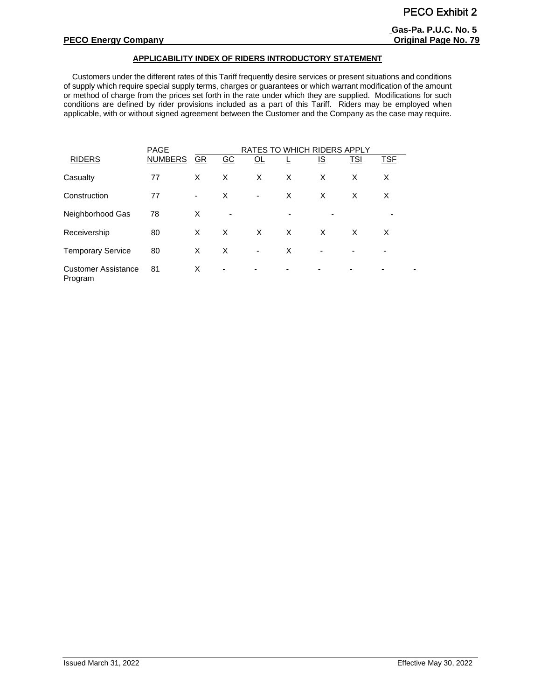## **APPLICABILITY INDEX OF RIDERS INTRODUCTORY STATEMENT**

 Customers under the different rates of this Tariff frequently desire services or present situations and conditions of supply which require special supply terms, charges or guarantees or which warrant modification of the amount or method of charge from the prices set forth in the rate under which they are supplied. Modifications for such conditions are defined by rider provisions included as a part of this Tariff. Riders may be employed when applicable, with or without signed agreement between the Customer and the Company as the case may require.

|                                       | <b>PAGE</b>    | RATES TO WHICH RIDERS APPLY |                          |                          |   |                          |            |                          |  |
|---------------------------------------|----------------|-----------------------------|--------------------------|--------------------------|---|--------------------------|------------|--------------------------|--|
| <b>RIDERS</b>                         | <b>NUMBERS</b> | GR                          | GC                       | QL                       |   | <u>IS</u>                | <b>TSI</b> | <b>TSF</b>               |  |
| Casualty                              | 77             | X                           | X                        | X                        | X | X                        | X          | X                        |  |
| Construction                          | 77             | -                           | X                        | $\overline{\phantom{a}}$ | X | X                        | X          | X                        |  |
| Neighborhood Gas                      | 78             | Х                           | $\overline{\phantom{a}}$ |                          |   |                          |            |                          |  |
| Receivership                          | 80             | X                           | X                        | X                        | X | X                        | X          | X                        |  |
| <b>Temporary Service</b>              | 80             | X                           | X                        | ٠                        | X |                          |            | $\overline{\phantom{0}}$ |  |
| <b>Customer Assistance</b><br>Program | 81             | X                           | $\overline{\phantom{a}}$ |                          | ۰ | $\overline{\phantom{0}}$ |            |                          |  |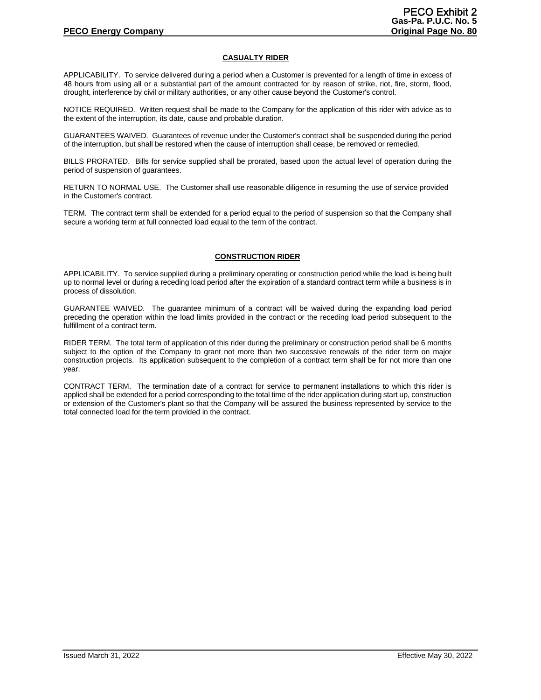## **CASUALTY RIDER**

APPLICABILITY. To service delivered during a period when a Customer is prevented for a length of time in excess of 48 hours from using all or a substantial part of the amount contracted for by reason of strike, riot, fire, storm, flood, drought, interference by civil or military authorities, or any other cause beyond the Customer's control.

NOTICE REQUIRED. Written request shall be made to the Company for the application of this rider with advice as to the extent of the interruption, its date, cause and probable duration.

GUARANTEES WAIVED. Guarantees of revenue under the Customer's contract shall be suspended during the period of the interruption, but shall be restored when the cause of interruption shall cease, be removed or remedied.

BILLS PRORATED. Bills for service supplied shall be prorated, based upon the actual level of operation during the period of suspension of guarantees.

RETURN TO NORMAL USE. The Customer shall use reasonable diligence in resuming the use of service provided in the Customer's contract.

TERM. The contract term shall be extended for a period equal to the period of suspension so that the Company shall secure a working term at full connected load equal to the term of the contract.

## **CONSTRUCTION RIDER**

APPLICABILITY. To service supplied during a preliminary operating or construction period while the load is being built up to normal level or during a receding load period after the expiration of a standard contract term while a business is in process of dissolution.

GUARANTEE WAIVED. The guarantee minimum of a contract will be waived during the expanding load period preceding the operation within the load limits provided in the contract or the receding load period subsequent to the fulfillment of a contract term.

RIDER TERM. The total term of application of this rider during the preliminary or construction period shall be 6 months subject to the option of the Company to grant not more than two successive renewals of the rider term on major construction projects. Its application subsequent to the completion of a contract term shall be for not more than one year.

CONTRACT TERM. The termination date of a contract for service to permanent installations to which this rider is applied shall be extended for a period corresponding to the total time of the rider application during start up, construction or extension of the Customer's plant so that the Company will be assured the business represented by service to the total connected load for the term provided in the contract.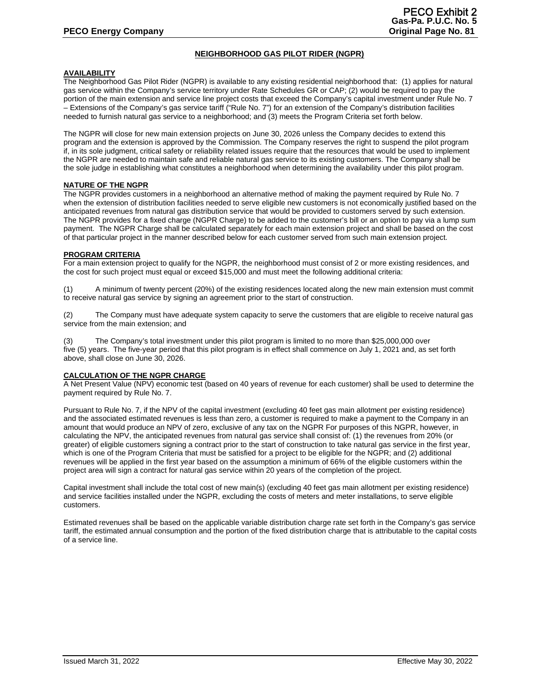# **NEIGHBORHOOD GAS PILOT RIDER (NGPR)**

## **AVAILABILITY**

The Neighborhood Gas Pilot Rider (NGPR) is available to any existing residential neighborhood that: (1) applies for natural gas service within the Company's service territory under Rate Schedules GR or CAP; (2) would be required to pay the portion of the main extension and service line project costs that exceed the Company's capital investment under Rule No. 7 – Extensions of the Company's gas service tariff ("Rule No. 7") for an extension of the Company's distribution facilities needed to furnish natural gas service to a neighborhood; and (3) meets the Program Criteria set forth below.

The NGPR will close for new main extension projects on June 30, 2026 unless the Company decides to extend this program and the extension is approved by the Commission. The Company reserves the right to suspend the pilot program if, in its sole judgment, critical safety or reliability related issues require that the resources that would be used to implement the NGPR are needed to maintain safe and reliable natural gas service to its existing customers. The Company shall be the sole judge in establishing what constitutes a neighborhood when determining the availability under this pilot program.

## **NATURE OF THE NGPR**

The NGPR provides customers in a neighborhood an alternative method of making the payment required by Rule No. 7 when the extension of distribution facilities needed to serve eligible new customers is not economically justified based on the anticipated revenues from natural gas distribution service that would be provided to customers served by such extension. The NGPR provides for a fixed charge (NGPR Charge) to be added to the customer's bill or an option to pay via a lump sum payment. The NGPR Charge shall be calculated separately for each main extension project and shall be based on the cost of that particular project in the manner described below for each customer served from such main extension project.

## **PROGRAM CRITERIA**

For a main extension project to qualify for the NGPR, the neighborhood must consist of 2 or more existing residences, and the cost for such project must equal or exceed \$15,000 and must meet the following additional criteria:

(1) A minimum of twenty percent (20%) of the existing residences located along the new main extension must commit to receive natural gas service by signing an agreement prior to the start of construction.

(2) The Company must have adequate system capacity to serve the customers that are eligible to receive natural gas service from the main extension; and

(3) The Company's total investment under this pilot program is limited to no more than \$25,000,000 over five (5) years. The five-year period that this pilot program is in effect shall commence on July 1, 2021 and, as set forth above, shall close on June 30, 2026.

## **CALCULATION OF THE NGPR CHARGE**

A Net Present Value (NPV) economic test (based on 40 years of revenue for each customer) shall be used to determine the payment required by Rule No. 7.

Pursuant to Rule No. 7, if the NPV of the capital investment (excluding 40 feet gas main allotment per existing residence) and the associated estimated revenues is less than zero, a customer is required to make a payment to the Company in an amount that would produce an NPV of zero, exclusive of any tax on the NGPR For purposes of this NGPR, however, in calculating the NPV, the anticipated revenues from natural gas service shall consist of: (1) the revenues from 20% (or greater) of eligible customers signing a contract prior to the start of construction to take natural gas service in the first year, which is one of the Program Criteria that must be satisfied for a project to be eligible for the NGPR; and (2) additional revenues will be applied in the first year based on the assumption a minimum of 66% of the eligible customers within the project area will sign a contract for natural gas service within 20 years of the completion of the project.

Capital investment shall include the total cost of new main(s) (excluding 40 feet gas main allotment per existing residence) and service facilities installed under the NGPR, excluding the costs of meters and meter installations, to serve eligible customers.

Estimated revenues shall be based on the applicable variable distribution charge rate set forth in the Company's gas service tariff, the estimated annual consumption and the portion of the fixed distribution charge that is attributable to the capital costs of a service line.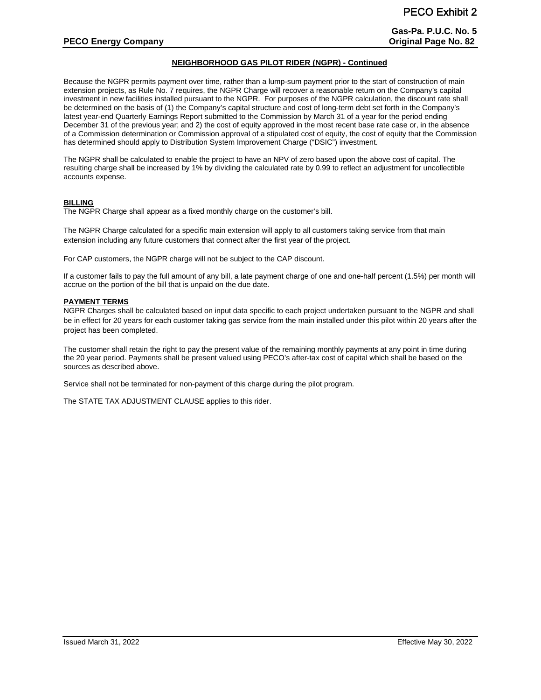# **NEIGHBORHOOD GAS PILOT RIDER (NGPR) - Continued**

Because the NGPR permits payment over time, rather than a lump-sum payment prior to the start of construction of main extension projects, as Rule No. 7 requires, the NGPR Charge will recover a reasonable return on the Company's capital investment in new facilities installed pursuant to the NGPR. For purposes of the NGPR calculation, the discount rate shall be determined on the basis of (1) the Company's capital structure and cost of long-term debt set forth in the Company's latest year-end Quarterly Earnings Report submitted to the Commission by March 31 of a year for the period ending December 31 of the previous year; and 2) the cost of equity approved in the most recent base rate case or, in the absence of a Commission determination or Commission approval of a stipulated cost of equity, the cost of equity that the Commission has determined should apply to Distribution System Improvement Charge ("DSIC") investment.

The NGPR shall be calculated to enable the project to have an NPV of zero based upon the above cost of capital. The resulting charge shall be increased by 1% by dividing the calculated rate by 0.99 to reflect an adjustment for uncollectible accounts expense.

# **BILLING**

The NGPR Charge shall appear as a fixed monthly charge on the customer's bill.

The NGPR Charge calculated for a specific main extension will apply to all customers taking service from that main extension including any future customers that connect after the first year of the project.

For CAP customers, the NGPR charge will not be subject to the CAP discount.

If a customer fails to pay the full amount of any bill, a late payment charge of one and one-half percent (1.5%) per month will accrue on the portion of the bill that is unpaid on the due date.

## **PAYMENT TERMS**

NGPR Charges shall be calculated based on input data specific to each project undertaken pursuant to the NGPR and shall be in effect for 20 years for each customer taking gas service from the main installed under this pilot within 20 years after the project has been completed.

The customer shall retain the right to pay the present value of the remaining monthly payments at any point in time during the 20 year period. Payments shall be present valued using PECO's after-tax cost of capital which shall be based on the sources as described above.

Service shall not be terminated for non-payment of this charge during the pilot program.

The STATE TAX ADJUSTMENT CLAUSE applies to this rider.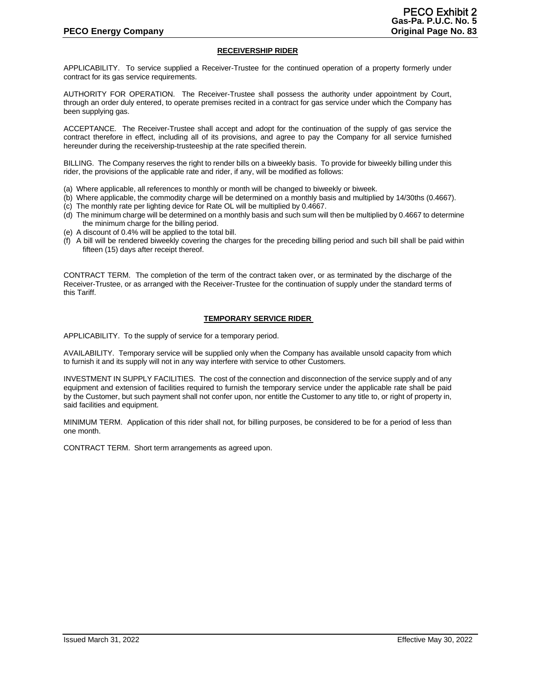## **RECEIVERSHIP RIDER**

APPLICABILITY. To service supplied a Receiver-Trustee for the continued operation of a property formerly under contract for its gas service requirements.

AUTHORITY FOR OPERATION. The Receiver-Trustee shall possess the authority under appointment by Court, through an order duly entered, to operate premises recited in a contract for gas service under which the Company has been supplying gas.

ACCEPTANCE. The Receiver-Trustee shall accept and adopt for the continuation of the supply of gas service the contract therefore in effect, including all of its provisions, and agree to pay the Company for all service furnished hereunder during the receivership-trusteeship at the rate specified therein.

BILLING. The Company reserves the right to render bills on a biweekly basis. To provide for biweekly billing under this rider, the provisions of the applicable rate and rider, if any, will be modified as follows:

- (a) Where applicable, all references to monthly or month will be changed to biweekly or biweek.
- (b) Where applicable, the commodity charge will be determined on a monthly basis and multiplied by 14/30ths (0.4667).
- (c) The monthly rate per lighting device for Rate OL will be multiplied by 0.4667.
- (d) The minimum charge will be determined on a monthly basis and such sum will then be multiplied by 0.4667 to determine the minimum charge for the billing period.
- (e) A discount of 0.4% will be applied to the total bill.
- (f) A bill will be rendered biweekly covering the charges for the preceding billing period and such bill shall be paid within fifteen (15) days after receipt thereof.

CONTRACT TERM. The completion of the term of the contract taken over, or as terminated by the discharge of the Receiver-Trustee, or as arranged with the Receiver-Trustee for the continuation of supply under the standard terms of this Tariff.

## **TEMPORARY SERVICE RIDER**

APPLICABILITY. To the supply of service for a temporary period.

AVAILABILITY. Temporary service will be supplied only when the Company has available unsold capacity from which to furnish it and its supply will not in any way interfere with service to other Customers.

INVESTMENT IN SUPPLY FACILITIES. The cost of the connection and disconnection of the service supply and of any equipment and extension of facilities required to furnish the temporary service under the applicable rate shall be paid by the Customer, but such payment shall not confer upon, nor entitle the Customer to any title to, or right of property in, said facilities and equipment.

MINIMUM TERM. Application of this rider shall not, for billing purposes, be considered to be for a period of less than one month.

CONTRACT TERM. Short term arrangements as agreed upon.